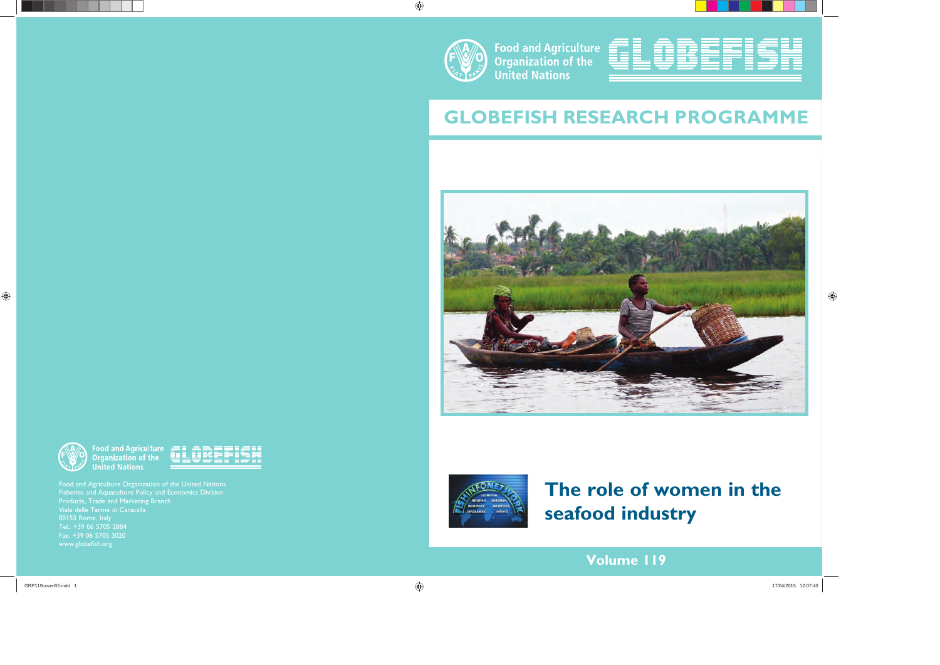

**Food and Agriculture Organization of the United Nations** 



# **GLOBEFISH RESEARCH PROGRAMME**





# **The role of women in the seafood industry**

**Volume 119**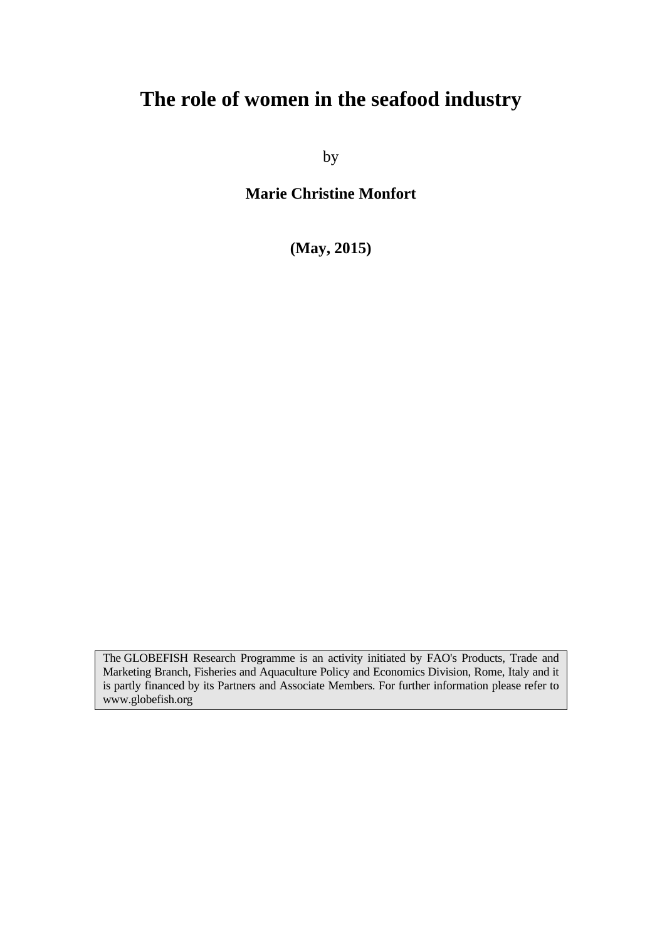# **The role of women in the seafood industry**

by

**Marie Christine Monfort** 

**(May, 2015)** 

The GLOBEFISH Research Programme is an activity initiated by FAO's Products, Trade and Marketing Branch, Fisheries and Aquaculture Policy and Economics Division, Rome, Italy and it is partly financed by its Partners and Associate Members. For further information please refer to www.globefish.org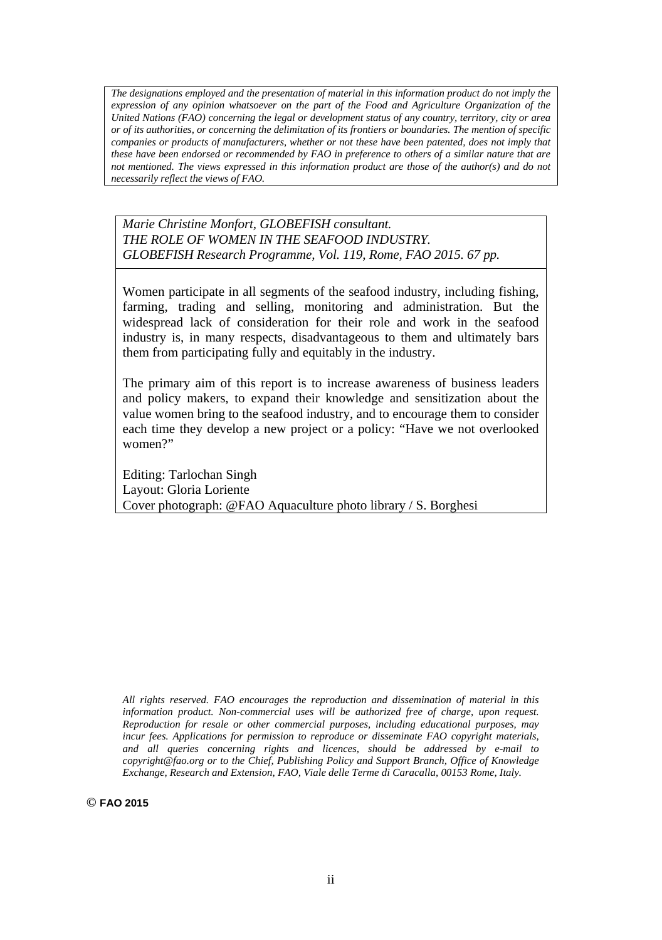*The designations employed and the presentation of material in this information product do not imply the expression of any opinion whatsoever on the part of the Food and Agriculture Organization of the United Nations (FAO) concerning the legal or development status of any country, territory, city or area or of its authorities, or concerning the delimitation of its frontiers or boundaries. The mention of specific companies or products of manufacturers, whether or not these have been patented, does not imply that these have been endorsed or recommended by FAO in preference to others of a similar nature that are not mentioned. The views expressed in this information product are those of the author(s) and do not necessarily reflect the views of FAO.*

*Marie Christine Monfort, GLOBEFISH consultant. THE ROLE OF WOMEN IN THE SEAFOOD INDUSTRY. GLOBEFISH Research Programme, Vol. 119, Rome, FAO 2015. 67 pp.*

Women participate in all segments of the seafood industry, including fishing, farming, trading and selling, monitoring and administration. But the widespread lack of consideration for their role and work in the seafood industry is, in many respects, disadvantageous to them and ultimately bars them from participating fully and equitably in the industry.

The primary aim of this report is to increase awareness of business leaders and policy makers, to expand their knowledge and sensitization about the value women bring to the seafood industry, and to encourage them to consider each time they develop a new project or a policy: "Have we not overlooked women?"

Editing: Tarlochan Singh Layout: Gloria Loriente Cover photograph: @FAO Aquaculture photo library / S. Borghesi

*All rights reserved. FAO encourages the reproduction and dissemination of material in this information product. Non-commercial uses will be authorized free of charge, upon request. Reproduction for resale or other commercial purposes, including educational purposes, may incur fees. Applications for permission to reproduce or disseminate FAO copyright materials, and all queries concerning rights and licences, should be addressed by e-mail to copyright@fao.org or to the Chief, Publishing Policy and Support Branch, Office of Knowledge Exchange, Research and Extension, FAO, Viale delle Terme di Caracalla, 00153 Rome, Italy.* 

**© FAO 2015**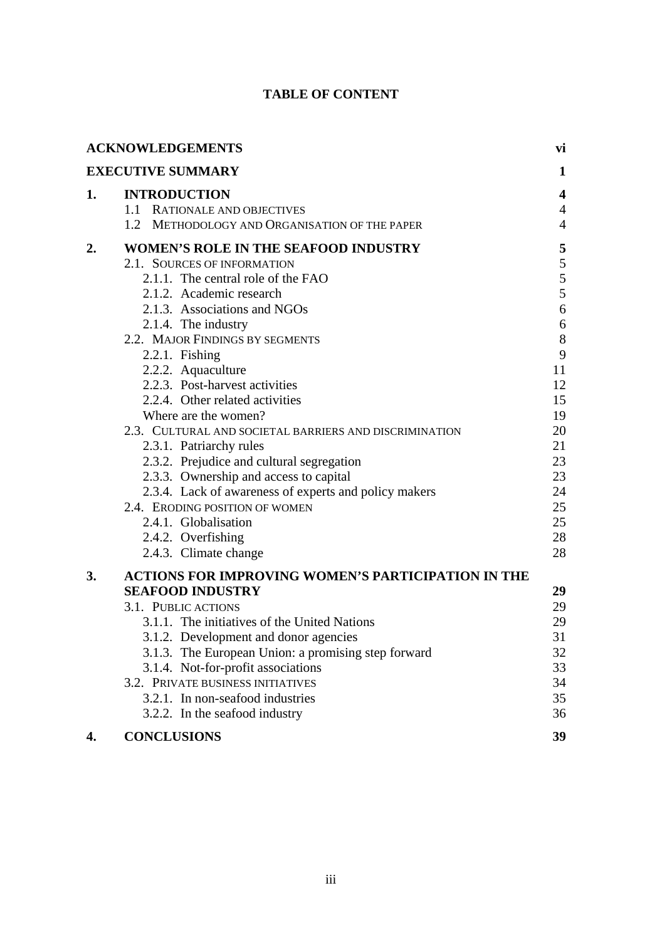# **TABLE OF CONTENT**

|    | <b>ACKNOWLEDGEMENTS</b>                                                                    | vi                               |
|----|--------------------------------------------------------------------------------------------|----------------------------------|
|    | <b>EXECUTIVE SUMMARY</b>                                                                   | 1                                |
| 1. | <b>INTRODUCTION</b>                                                                        | $\overline{\mathbf{4}}$          |
|    | 1.1 RATIONALE AND OBJECTIVES<br>$1.2^{\circ}$<br>METHODOLOGY AND ORGANISATION OF THE PAPER | $\overline{4}$<br>$\overline{4}$ |
|    |                                                                                            |                                  |
| 2. | WOMEN'S ROLE IN THE SEAFOOD INDUSTRY<br>2.1. SOURCES OF INFORMATION                        | 5<br>5                           |
|    | 2.1.1. The central role of the FAO                                                         | 5                                |
|    | 2.1.2. Academic research                                                                   | 5                                |
|    | 2.1.3. Associations and NGOs                                                               | 6                                |
|    | 2.1.4. The industry                                                                        | $\sqrt{6}$                       |
|    | 2.2. MAJOR FINDINGS BY SEGMENTS                                                            | $\boldsymbol{8}$                 |
|    | 2.2.1. Fishing                                                                             | 9                                |
|    | 2.2.2. Aquaculture                                                                         | 11                               |
|    | 2.2.3. Post-harvest activities                                                             | 12                               |
|    | 2.2.4. Other related activities                                                            | 15                               |
|    | Where are the women?                                                                       | 19                               |
|    | 2.3. CULTURAL AND SOCIETAL BARRIERS AND DISCRIMINATION                                     | 20                               |
|    | 2.3.1. Patriarchy rules                                                                    | 21                               |
|    | 2.3.2. Prejudice and cultural segregation                                                  | 23                               |
|    | 2.3.3. Ownership and access to capital                                                     | 23<br>24                         |
|    | 2.3.4. Lack of awareness of experts and policy makers<br>2.4. ERODING POSITION OF WOMEN    | 25                               |
|    | 2.4.1. Globalisation                                                                       | 25                               |
|    | 2.4.2. Overfishing                                                                         | 28                               |
|    | 2.4.3. Climate change                                                                      | 28                               |
| 3. | <b>ACTIONS FOR IMPROVING WOMEN'S PARTICIPATION IN THE</b>                                  |                                  |
|    | <b>SEAFOOD INDUSTRY</b>                                                                    | 29                               |
|    | 3.1. PUBLIC ACTIONS                                                                        | 29                               |
|    | 3.1.1. The initiatives of the United Nations                                               | 29                               |
|    | 3.1.2. Development and donor agencies                                                      | 31                               |
|    | 3.1.3. The European Union: a promising step forward                                        | 32                               |
|    | 3.1.4. Not-for-profit associations                                                         | 33                               |
|    | 3.2. PRIVATE BUSINESS INITIATIVES                                                          | 34                               |
|    | 3.2.1. In non-seafood industries                                                           | 35                               |
|    | 3.2.2. In the seafood industry                                                             | 36                               |
| 4. | <b>CONCLUSIONS</b>                                                                         | 39                               |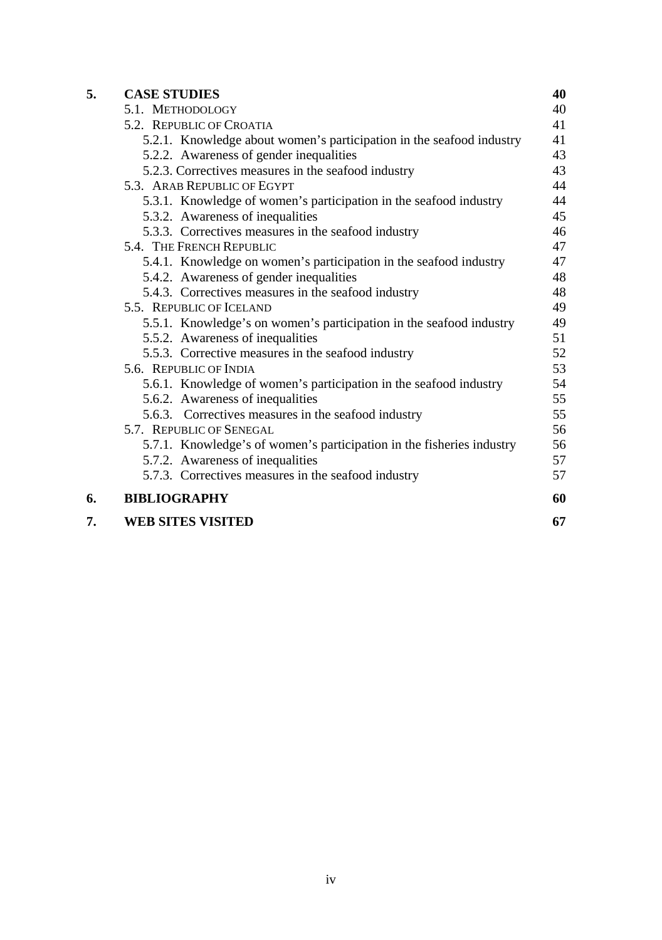| 5. | <b>CASE STUDIES</b>                                                   | 40 |
|----|-----------------------------------------------------------------------|----|
|    | 5.1. METHODOLOGY                                                      | 40 |
|    | 5.2. REPUBLIC OF CROATIA                                              | 41 |
|    | 5.2.1. Knowledge about women's participation in the seafood industry  | 41 |
|    | 5.2.2. Awareness of gender inequalities                               | 43 |
|    | 5.2.3. Correctives measures in the seafood industry                   | 43 |
|    | 5.3. ARAB REPUBLIC OF EGYPT                                           | 44 |
|    | 5.3.1. Knowledge of women's participation in the seafood industry     | 44 |
|    | 5.3.2. Awareness of inequalities                                      | 45 |
|    | 5.3.3. Correctives measures in the seafood industry                   | 46 |
|    | 5.4. THE FRENCH REPUBLIC                                              | 47 |
|    | 5.4.1. Knowledge on women's participation in the seafood industry     | 47 |
|    | 5.4.2. Awareness of gender inequalities                               | 48 |
|    | 5.4.3. Correctives measures in the seafood industry                   | 48 |
|    | 5.5. REPUBLIC OF ICELAND                                              | 49 |
|    | 5.5.1. Knowledge's on women's participation in the seafood industry   | 49 |
|    | 5.5.2. Awareness of inequalities                                      | 51 |
|    | 5.5.3. Corrective measures in the seafood industry                    | 52 |
|    | 5.6. REPUBLIC OF INDIA                                                | 53 |
|    | 5.6.1. Knowledge of women's participation in the seafood industry     | 54 |
|    | 5.6.2. Awareness of inequalities                                      | 55 |
|    | 5.6.3. Correctives measures in the seafood industry                   | 55 |
|    | 5.7. REPUBLIC OF SENEGAL                                              | 56 |
|    | 5.7.1. Knowledge's of women's participation in the fisheries industry | 56 |
|    | 5.7.2. Awareness of inequalities                                      | 57 |
|    | 5.7.3. Correctives measures in the seafood industry                   | 57 |
| 6. | <b>BIBLIOGRAPHY</b>                                                   | 60 |
| 7. | <b>WEB SITES VISITED</b>                                              | 67 |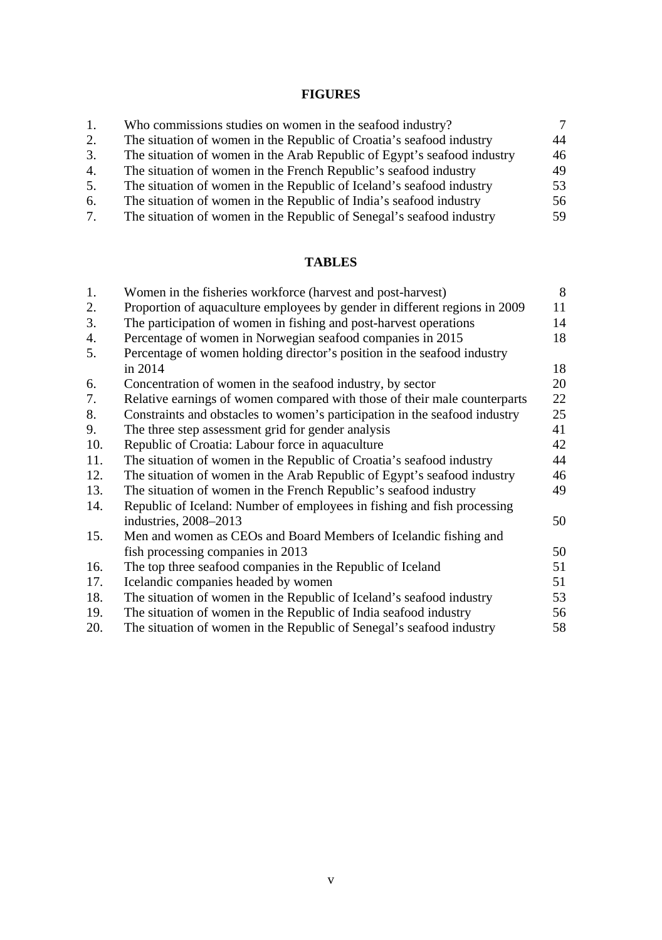# **FIGURES**

| 1. | Who commissions studies on women in the seafood industry?               | 7   |
|----|-------------------------------------------------------------------------|-----|
| 2. | The situation of women in the Republic of Croatia's seafood industry    | 44  |
| 3. | The situation of women in the Arab Republic of Egypt's seafood industry | 46  |
| 4. | The situation of women in the French Republic's seafood industry        | 49  |
| 5. | The situation of women in the Republic of Iceland's seafood industry    | 53. |
| 6. | The situation of women in the Republic of India's seafood industry      | 56  |
| 7. | The situation of women in the Republic of Senegal's seafood industry    | 59. |

# **TABLES**

| Women in the fisheries workforce (harvest and post-harvest)                | 8  |
|----------------------------------------------------------------------------|----|
| Proportion of aquaculture employees by gender in different regions in 2009 | 11 |
| The participation of women in fishing and post-harvest operations          | 14 |
| Percentage of women in Norwegian seafood companies in 2015                 | 18 |
| Percentage of women holding director's position in the seafood industry    |    |
| in 2014                                                                    | 18 |
| Concentration of women in the seafood industry, by sector                  | 20 |
| Relative earnings of women compared with those of their male counterparts  | 22 |
| Constraints and obstacles to women's participation in the seafood industry | 25 |
| The three step assessment grid for gender analysis                         | 41 |
| Republic of Croatia: Labour force in aquaculture                           | 42 |
| The situation of women in the Republic of Croatia's seafood industry       | 44 |
| The situation of women in the Arab Republic of Egypt's seafood industry    | 46 |
| The situation of women in the French Republic's seafood industry           | 49 |
| Republic of Iceland: Number of employees in fishing and fish processing    |    |
| industries, 2008–2013                                                      | 50 |
| Men and women as CEOs and Board Members of Icelandic fishing and           |    |
| fish processing companies in 2013                                          | 50 |
| The top three seafood companies in the Republic of Iceland                 | 51 |
| Icelandic companies headed by women                                        | 51 |
| The situation of women in the Republic of Iceland's seafood industry       | 53 |
| The situation of women in the Republic of India seafood industry           | 56 |
| The situation of women in the Republic of Senegal's seafood industry       | 58 |
|                                                                            |    |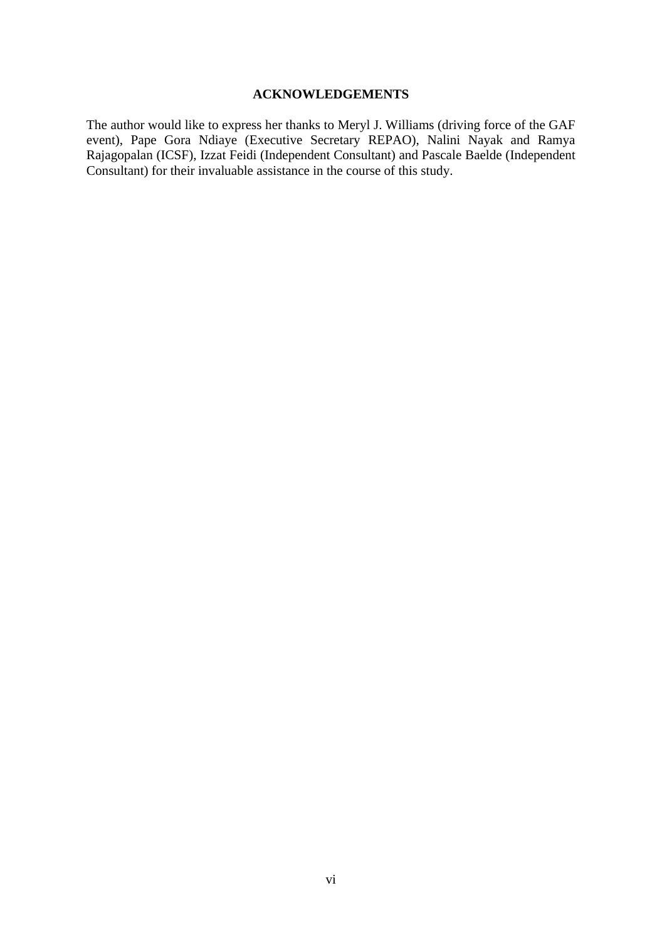#### **ACKNOWLEDGEMENTS**

The author would like to express her thanks to Meryl J. Williams (driving force of the GAF event), Pape Gora Ndiaye (Executive Secretary REPAO), Nalini Nayak and Ramya Rajagopalan (ICSF), Izzat Feidi (Independent Consultant) and Pascale Baelde (Independent Consultant) for their invaluable assistance in the course of this study.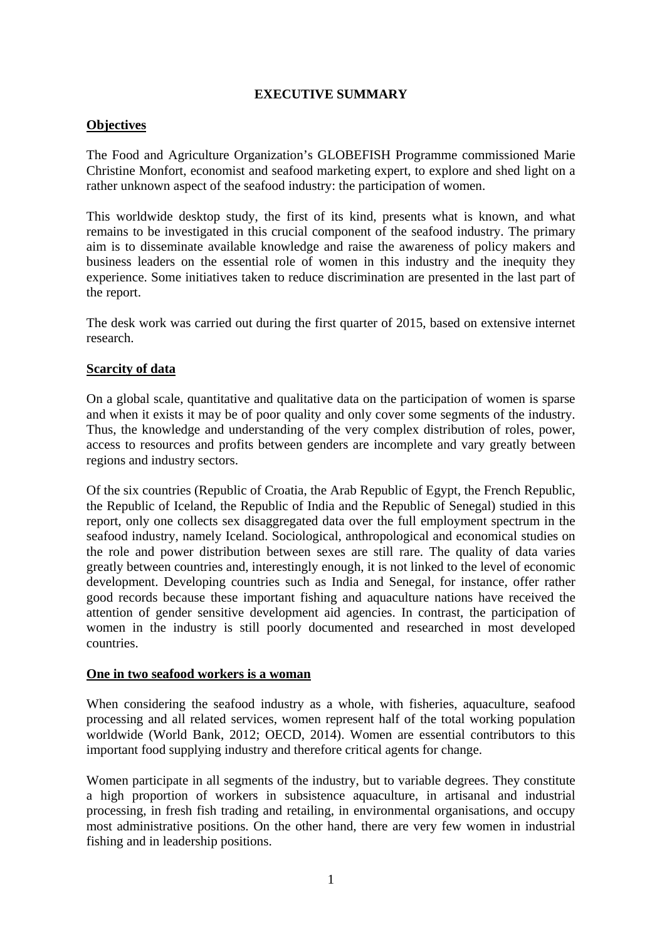#### **EXECUTIVE SUMMARY**

### **Objectives**

The Food and Agriculture Organization's GLOBEFISH Programme commissioned Marie Christine Monfort, economist and seafood marketing expert, to explore and shed light on a rather unknown aspect of the seafood industry: the participation of women.

This worldwide desktop study, the first of its kind, presents what is known, and what remains to be investigated in this crucial component of the seafood industry. The primary aim is to disseminate available knowledge and raise the awareness of policy makers and business leaders on the essential role of women in this industry and the inequity they experience. Some initiatives taken to reduce discrimination are presented in the last part of the report.

The desk work was carried out during the first quarter of 2015, based on extensive internet research.

#### **Scarcity of data**

On a global scale, quantitative and qualitative data on the participation of women is sparse and when it exists it may be of poor quality and only cover some segments of the industry. Thus, the knowledge and understanding of the very complex distribution of roles, power, access to resources and profits between genders are incomplete and vary greatly between regions and industry sectors.

Of the six countries (Republic of Croatia, the Arab Republic of Egypt, the French Republic, the Republic of Iceland, the Republic of India and the Republic of Senegal) studied in this report, only one collects sex disaggregated data over the full employment spectrum in the seafood industry, namely Iceland. Sociological, anthropological and economical studies on the role and power distribution between sexes are still rare. The quality of data varies greatly between countries and, interestingly enough, it is not linked to the level of economic development. Developing countries such as India and Senegal, for instance, offer rather good records because these important fishing and aquaculture nations have received the attention of gender sensitive development aid agencies. In contrast, the participation of women in the industry is still poorly documented and researched in most developed countries.

#### **One in two seafood workers is a woman**

When considering the seafood industry as a whole, with fisheries, aquaculture, seafood processing and all related services, women represent half of the total working population worldwide (World Bank, 2012; OECD, 2014). Women are essential contributors to this important food supplying industry and therefore critical agents for change.

Women participate in all segments of the industry, but to variable degrees. They constitute a high proportion of workers in subsistence aquaculture, in artisanal and industrial processing, in fresh fish trading and retailing, in environmental organisations, and occupy most administrative positions. On the other hand, there are very few women in industrial fishing and in leadership positions.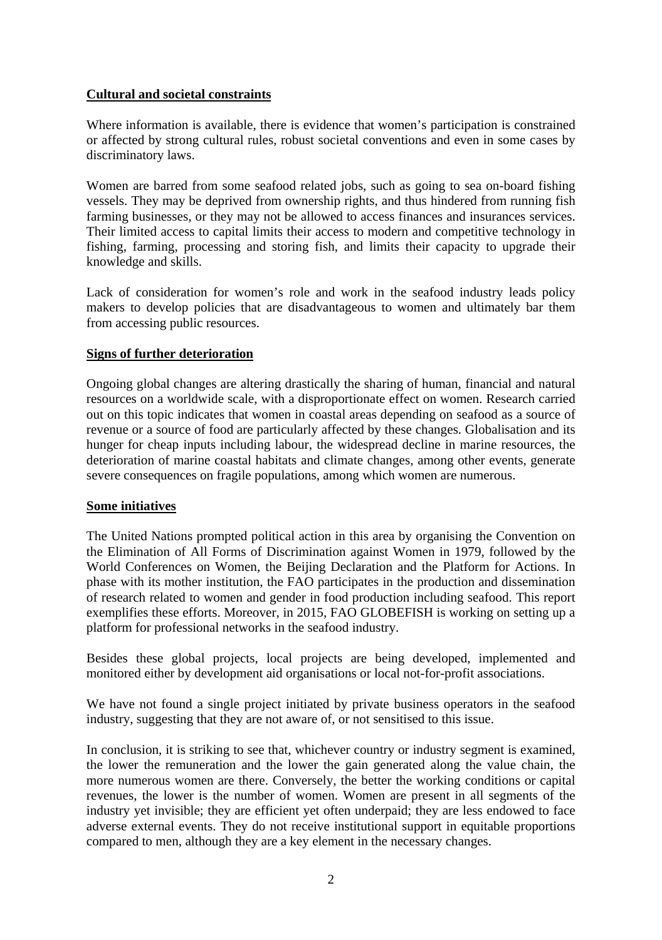#### **Cultural and societal constraints**

Where information is available, there is evidence that women's participation is constrained or affected by strong cultural rules, robust societal conventions and even in some cases by discriminatory laws.

Women are barred from some seafood related jobs, such as going to sea on-board fishing vessels. They may be deprived from ownership rights, and thus hindered from running fish farming businesses, or they may not be allowed to access finances and insurances services. Their limited access to capital limits their access to modern and competitive technology in fishing, farming, processing and storing fish, and limits their capacity to upgrade their knowledge and skills.

Lack of consideration for women's role and work in the seafood industry leads policy makers to develop policies that are disadvantageous to women and ultimately bar them from accessing public resources.

#### **Signs of further deterioration**

Ongoing global changes are altering drastically the sharing of human, financial and natural resources on a worldwide scale, with a disproportionate effect on women. Research carried out on this topic indicates that women in coastal areas depending on seafood as a source of revenue or a source of food are particularly affected by these changes. Globalisation and its hunger for cheap inputs including labour, the widespread decline in marine resources, the deterioration of marine coastal habitats and climate changes, among other events, generate severe consequences on fragile populations, among which women are numerous.

# **Some initiatives**

The United Nations prompted political action in this area by organising the Convention on the Elimination of All Forms of Discrimination against Women in 1979, followed by the World Conferences on Women, the Beijing Declaration and the Platform for Actions. In phase with its mother institution, the FAO participates in the production and dissemination of research related to women and gender in food production including seafood. This report exemplifies these efforts. Moreover, in 2015, FAO GLOBEFISH is working on setting up a platform for professional networks in the seafood industry.

Besides these global projects, local projects are being developed, implemented and monitored either by development aid organisations or local not-for-profit associations.

We have not found a single project initiated by private business operators in the seafood industry, suggesting that they are not aware of, or not sensitised to this issue.

In conclusion, it is striking to see that, whichever country or industry segment is examined, the lower the remuneration and the lower the gain generated along the value chain, the more numerous women are there. Conversely, the better the working conditions or capital revenues, the lower is the number of women. Women are present in all segments of the industry yet invisible; they are efficient yet often underpaid; they are less endowed to face adverse external events. They do not receive institutional support in equitable proportions compared to men, although they are a key element in the necessary changes.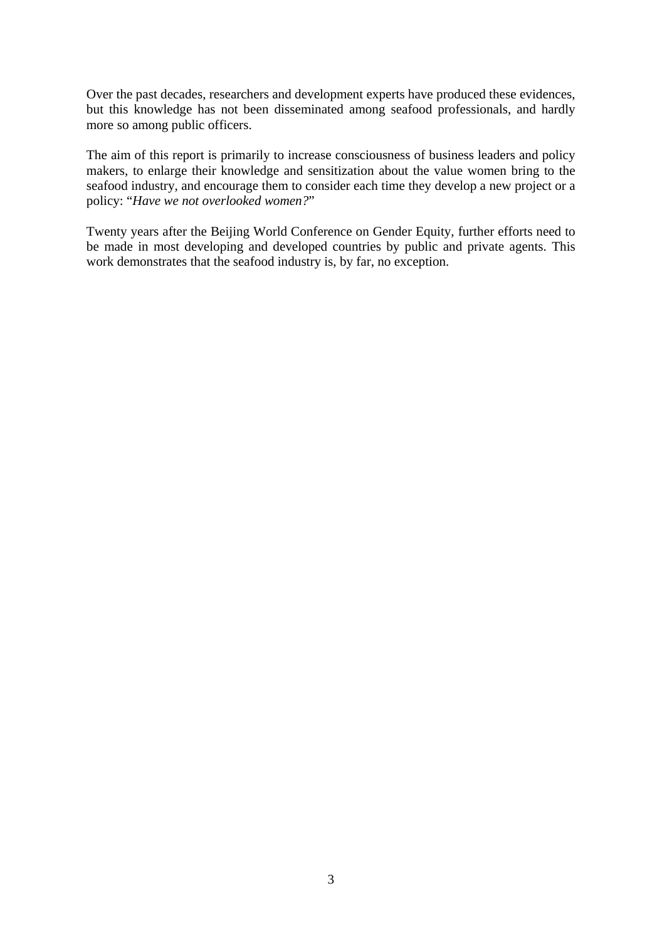Over the past decades, researchers and development experts have produced these evidences, but this knowledge has not been disseminated among seafood professionals, and hardly more so among public officers.

The aim of this report is primarily to increase consciousness of business leaders and policy makers, to enlarge their knowledge and sensitization about the value women bring to the seafood industry, and encourage them to consider each time they develop a new project or a policy: "*Have we not overlooked women?*"

Twenty years after the Beijing World Conference on Gender Equity, further efforts need to be made in most developing and developed countries by public and private agents. This work demonstrates that the seafood industry is, by far, no exception.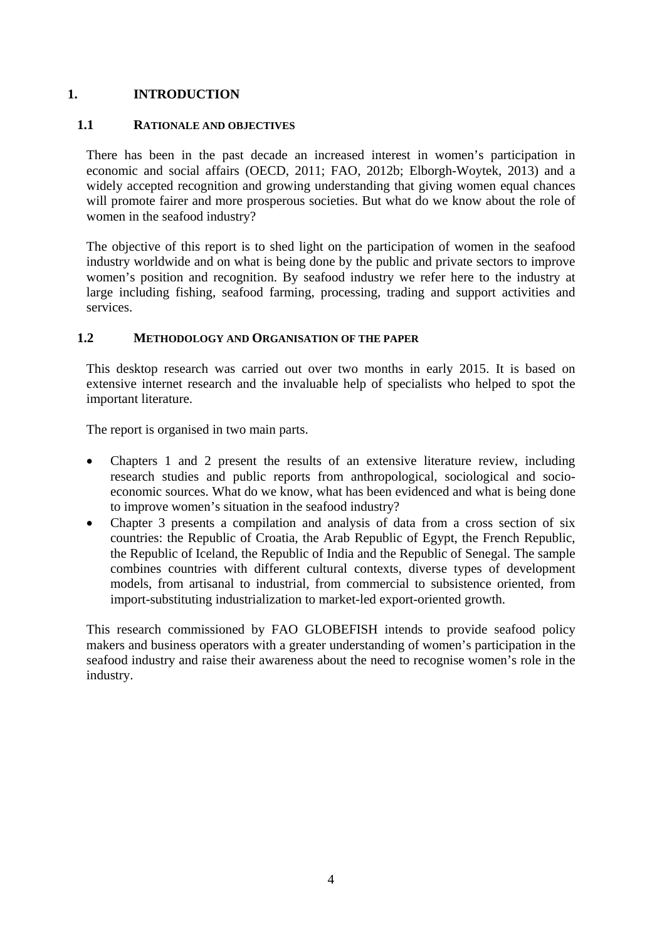# **1. INTRODUCTION**

# **1.1 RATIONALE AND OBJECTIVES**

There has been in the past decade an increased interest in women's participation in economic and social affairs (OECD, 2011; FAO, 2012b; Elborgh-Woytek, 2013) and a widely accepted recognition and growing understanding that giving women equal chances will promote fairer and more prosperous societies. But what do we know about the role of women in the seafood industry?

The objective of this report is to shed light on the participation of women in the seafood industry worldwide and on what is being done by the public and private sectors to improve women's position and recognition. By seafood industry we refer here to the industry at large including fishing, seafood farming, processing, trading and support activities and services.

#### **1.2 METHODOLOGY AND ORGANISATION OF THE PAPER**

This desktop research was carried out over two months in early 2015. It is based on extensive internet research and the invaluable help of specialists who helped to spot the important literature.

The report is organised in two main parts.

- Chapters 1 and 2 present the results of an extensive literature review, including research studies and public reports from anthropological, sociological and socioeconomic sources. What do we know, what has been evidenced and what is being done to improve women's situation in the seafood industry?
- Chapter 3 presents a compilation and analysis of data from a cross section of six countries: the Republic of Croatia, the Arab Republic of Egypt, the French Republic, the Republic of Iceland, the Republic of India and the Republic of Senegal. The sample combines countries with different cultural contexts, diverse types of development models, from artisanal to industrial, from commercial to subsistence oriented, from import-substituting industrialization to market-led export-oriented growth.

This research commissioned by FAO GLOBEFISH intends to provide seafood policy makers and business operators with a greater understanding of women's participation in the seafood industry and raise their awareness about the need to recognise women's role in the industry.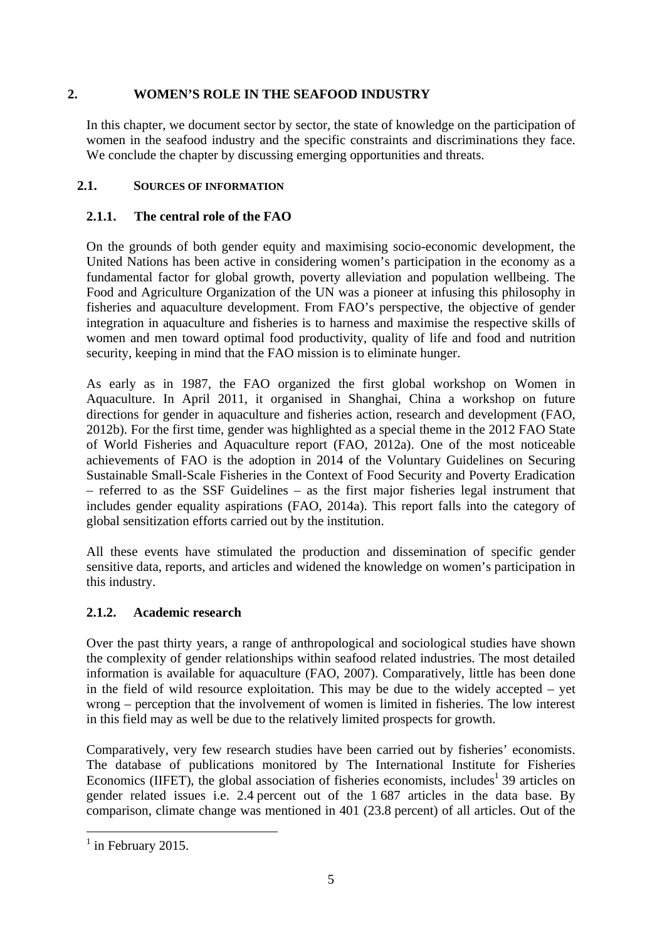### **2. WOMEN'S ROLE IN THE SEAFOOD INDUSTRY**

In this chapter, we document sector by sector, the state of knowledge on the participation of women in the seafood industry and the specific constraints and discriminations they face. We conclude the chapter by discussing emerging opportunities and threats.

# **2.1. SOURCES OF INFORMATION**

# **2.1.1. The central role of the FAO**

On the grounds of both gender equity and maximising socio-economic development, the United Nations has been active in considering women's participation in the economy as a fundamental factor for global growth, poverty alleviation and population wellbeing. The Food and Agriculture Organization of the UN was a pioneer at infusing this philosophy in fisheries and aquaculture development. From FAO's perspective, the objective of gender integration in aquaculture and fisheries is to harness and maximise the respective skills of women and men toward optimal food productivity, quality of life and food and nutrition security, keeping in mind that the FAO mission is to eliminate hunger.

As early as in 1987, the FAO organized the first global workshop on Women in Aquaculture. In April 2011, it organised in Shanghai, China a workshop on future directions for gender in aquaculture and fisheries action, research and development (FAO, 2012b). For the first time, gender was highlighted as a special theme in the 2012 FAO State of World Fisheries and Aquaculture report (FAO, 2012a). One of the most noticeable achievements of FAO is the adoption in 2014 of the Voluntary Guidelines on Securing Sustainable Small-Scale Fisheries in the Context of Food Security and Poverty Eradication – referred to as the SSF Guidelines – as the first major fisheries legal instrument that includes gender equality aspirations (FAO, 2014a). This report falls into the category of global sensitization efforts carried out by the institution.

All these events have stimulated the production and dissemination of specific gender sensitive data, reports, and articles and widened the knowledge on women's participation in this industry.

# **2.1.2. Academic research**

Over the past thirty years, a range of anthropological and sociological studies have shown the complexity of gender relationships within seafood related industries. The most detailed information is available for aquaculture (FAO, 2007). Comparatively, little has been done in the field of wild resource exploitation. This may be due to the widely accepted – yet wrong – perception that the involvement of women is limited in fisheries. The low interest in this field may as well be due to the relatively limited prospects for growth.

Comparatively, very few research studies have been carried out by fisheries' economists. The database of publications monitored by The International Institute for Fisheries Economics (IIFET), the global association of fisheries economists, includes<sup>1</sup> 39 articles on gender related issues i.e. 2.4 percent out of the 1 687 articles in the data base. By comparison, climate change was mentioned in 401 (23.8 percent) of all articles. Out of the

1

 $<sup>1</sup>$  in February 2015.</sup>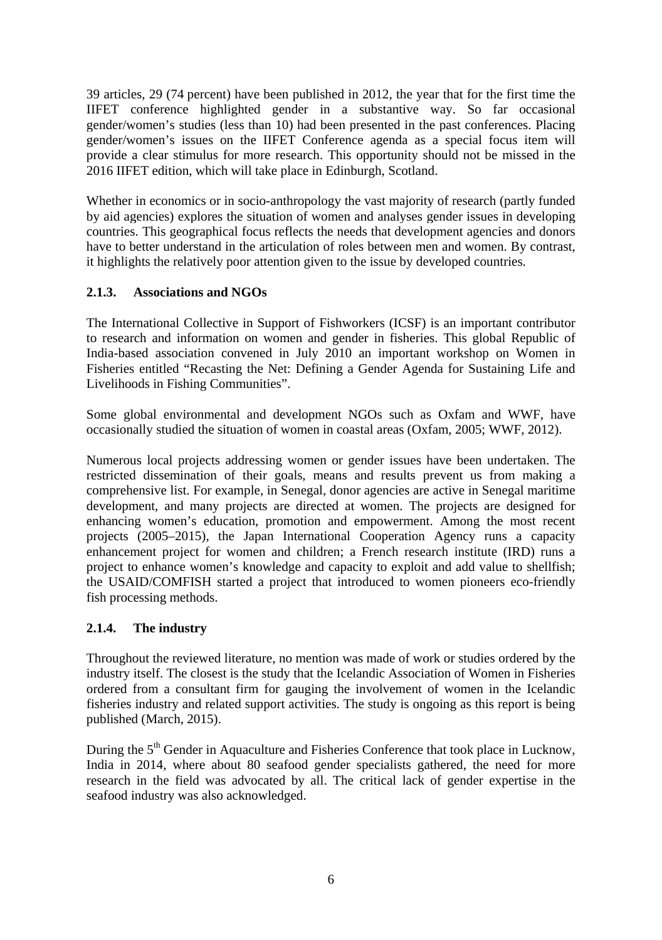39 articles, 29 (74 percent) have been published in 2012, the year that for the first time the IIFET conference highlighted gender in a substantive way. So far occasional gender/women's studies (less than 10) had been presented in the past conferences. Placing gender/women's issues on the IIFET Conference agenda as a special focus item will provide a clear stimulus for more research. This opportunity should not be missed in the 2016 IIFET edition, which will take place in Edinburgh, Scotland.

Whether in economics or in socio-anthropology the vast majority of research (partly funded by aid agencies) explores the situation of women and analyses gender issues in developing countries. This geographical focus reflects the needs that development agencies and donors have to better understand in the articulation of roles between men and women. By contrast, it highlights the relatively poor attention given to the issue by developed countries.

# **2.1.3. Associations and NGOs**

The International Collective in Support of Fishworkers (ICSF) is an important contributor to research and information on women and gender in fisheries. This global Republic of India-based association convened in July 2010 an important workshop on Women in Fisheries entitled "Recasting the Net: Defining a Gender Agenda for Sustaining Life and Livelihoods in Fishing Communities".

Some global environmental and development NGOs such as Oxfam and WWF, have occasionally studied the situation of women in coastal areas (Oxfam, 2005; WWF, 2012).

Numerous local projects addressing women or gender issues have been undertaken. The restricted dissemination of their goals, means and results prevent us from making a comprehensive list. For example, in Senegal, donor agencies are active in Senegal maritime development, and many projects are directed at women. The projects are designed for enhancing women's education, promotion and empowerment. Among the most recent projects (2005–2015), the Japan International Cooperation Agency runs a capacity enhancement project for women and children; a French research institute (IRD) runs a project to enhance women's knowledge and capacity to exploit and add value to shellfish; the USAID/COMFISH started a project that introduced to women pioneers eco-friendly fish processing methods.

# **2.1.4. The industry**

Throughout the reviewed literature, no mention was made of work or studies ordered by the industry itself. The closest is the study that the Icelandic Association of Women in Fisheries ordered from a consultant firm for gauging the involvement of women in the Icelandic fisheries industry and related support activities. The study is ongoing as this report is being published (March, 2015).

During the 5<sup>th</sup> Gender in Aquaculture and Fisheries Conference that took place in Lucknow, India in 2014, where about 80 seafood gender specialists gathered, the need for more research in the field was advocated by all. The critical lack of gender expertise in the seafood industry was also acknowledged.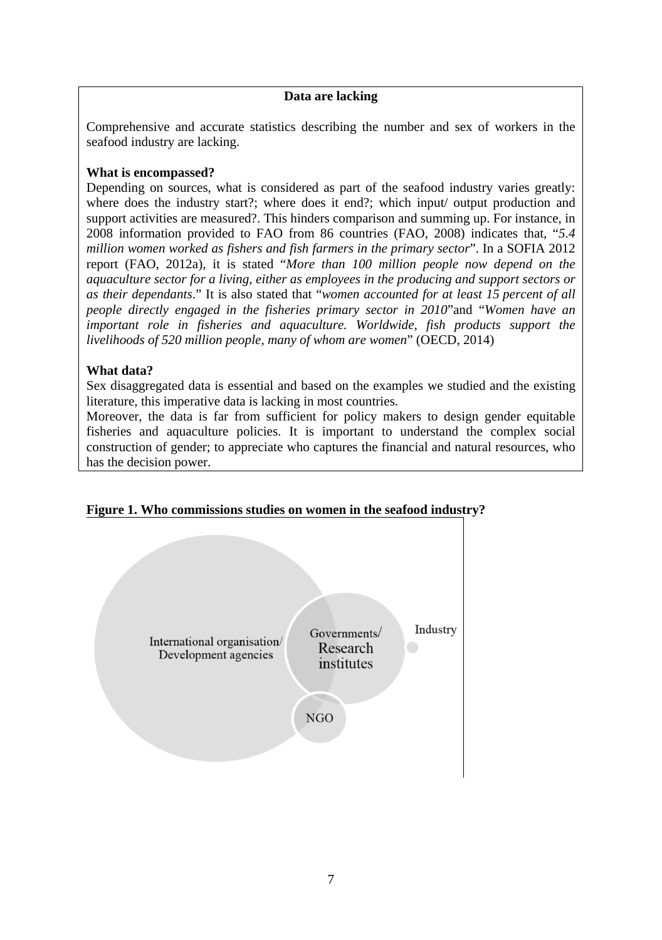# **Data are lacking**

Comprehensive and accurate statistics describing the number and sex of workers in the seafood industry are lacking.

#### **What is encompassed?**

Depending on sources, what is considered as part of the seafood industry varies greatly: where does the industry start?; where does it end?; which input output production and support activities are measured?. This hinders comparison and summing up. For instance, in 2008 information provided to FAO from 86 countries (FAO, 2008) indicates that, "*5.4 million women worked as fishers and fish farmers in the primary sector*". In a SOFIA 2012 report (FAO, 2012a), it is stated "*More than 100 million people now depend on the aquaculture sector for a living, either as employees in the producing and support sectors or as their dependants*." It is also stated that "*women accounted for at least 15 percent of all people directly engaged in the fisheries primary sector in 2010*"and "*Women have an important role in fisheries and aquaculture. Worldwide, fish products support the livelihoods of 520 million people, many of whom are women*" (OECD, 2014)

#### **What data?**

Sex disaggregated data is essential and based on the examples we studied and the existing literature, this imperative data is lacking in most countries.

Moreover, the data is far from sufficient for policy makers to design gender equitable fisheries and aquaculture policies. It is important to understand the complex social construction of gender; to appreciate who captures the financial and natural resources, who has the decision power.



# **Figure 1. Who commissions studies on women in the seafood industry?**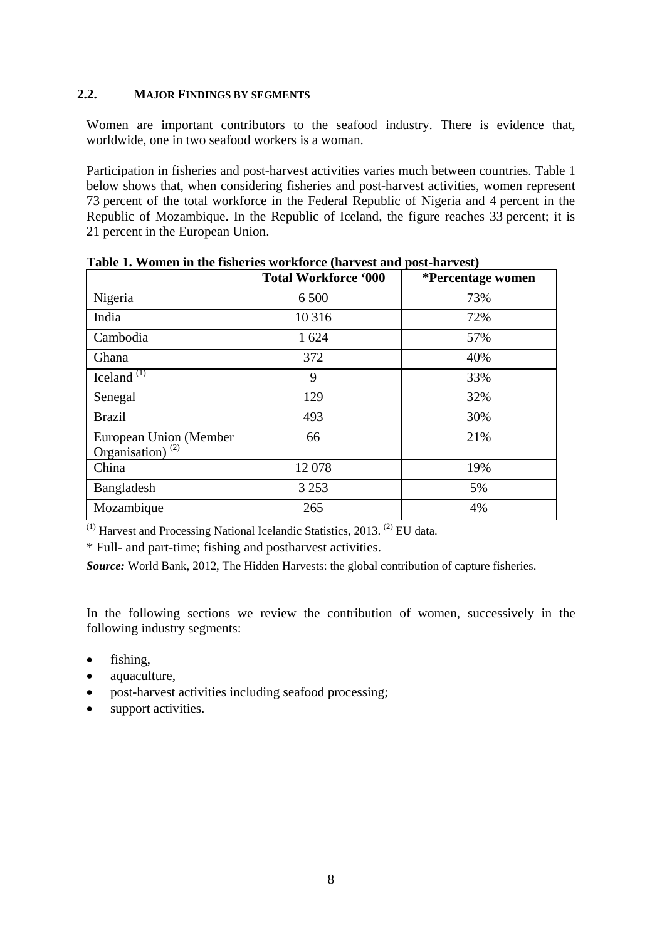#### **2.2. MAJOR FINDINGS BY SEGMENTS**

Women are important contributors to the seafood industry. There is evidence that, worldwide, one in two seafood workers is a woman.

Participation in fisheries and post-harvest activities varies much between countries. Table 1 below shows that, when considering fisheries and post-harvest activities, women represent 73 percent of the total workforce in the Federal Republic of Nigeria and 4 percent in the Republic of Mozambique. In the Republic of Iceland, the figure reaches 33 percent; it is 21 percent in the European Union.

|                                                  | <b>Total Workforce '000</b> | *Percentage women |
|--------------------------------------------------|-----------------------------|-------------------|
| Nigeria                                          | 6 500                       | 73%               |
| India                                            | 10 3 16                     | 72%               |
| Cambodia                                         | 1 624                       | 57%               |
| Ghana                                            | 372                         | 40%               |
| Iceland <sup><math>(1)</math></sup>              | 9                           | 33%               |
| Senegal                                          | 129                         | 32%               |
| <b>Brazil</b>                                    | 493                         | 30%               |
| European Union (Member<br>Organisation) $^{(2)}$ | 66                          | 21%               |
| China                                            | 12078                       | 19%               |
| Bangladesh                                       | 3 2 5 3                     | 5%                |
| Mozambique                                       | 265                         | 4%                |

**Table 1. Women in the fisheries workforce (harvest and post-harvest)** 

 $(1)$  Harvest and Processing National Icelandic Statistics, 2013.  $(2)$  EU data.

\* Full- and part-time; fishing and postharvest activities.

*Source:* World Bank, 2012, The Hidden Harvests: the global contribution of capture fisheries.

In the following sections we review the contribution of women, successively in the following industry segments:

- fishing,
- aquaculture,
- post-harvest activities including seafood processing;
- support activities.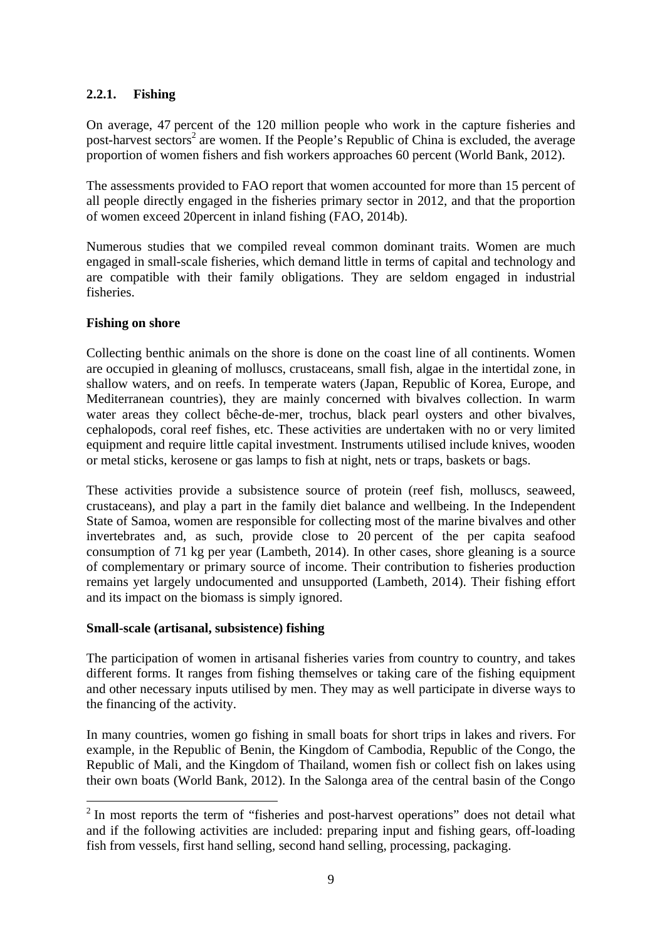# **2.2.1. Fishing**

On average, 47 percent of the 120 million people who work in the capture fisheries and post-harvest sectors<sup>2</sup> are women. If the People's Republic of China is excluded, the average proportion of women fishers and fish workers approaches 60 percent (World Bank, 2012).

The assessments provided to FAO report that women accounted for more than 15 percent of all people directly engaged in the fisheries primary sector in 2012, and that the proportion of women exceed 20percent in inland fishing (FAO, 2014b).

Numerous studies that we compiled reveal common dominant traits. Women are much engaged in small-scale fisheries, which demand little in terms of capital and technology and are compatible with their family obligations. They are seldom engaged in industrial fisheries.

# **Fishing on shore**

Collecting benthic animals on the shore is done on the coast line of all continents. Women are occupied in gleaning of molluscs, crustaceans, small fish, algae in the intertidal zone, in shallow waters, and on reefs. In temperate waters (Japan, Republic of Korea, Europe, and Mediterranean countries), they are mainly concerned with bivalves collection. In warm water areas they collect bêche-de-mer, trochus, black pearl oysters and other bivalves, cephalopods, coral reef fishes, etc. These activities are undertaken with no or very limited equipment and require little capital investment. Instruments utilised include knives, wooden or metal sticks, kerosene or gas lamps to fish at night, nets or traps, baskets or bags.

These activities provide a subsistence source of protein (reef fish, molluscs, seaweed, crustaceans), and play a part in the family diet balance and wellbeing. In the Independent State of Samoa, women are responsible for collecting most of the marine bivalves and other invertebrates and, as such, provide close to 20 percent of the per capita seafood consumption of 71 kg per year (Lambeth, 2014). In other cases, shore gleaning is a source of complementary or primary source of income. Their contribution to fisheries production remains yet largely undocumented and unsupported (Lambeth, 2014). Their fishing effort and its impact on the biomass is simply ignored.

#### **Small-scale (artisanal, subsistence) fishing**

The participation of women in artisanal fisheries varies from country to country, and takes different forms. It ranges from fishing themselves or taking care of the fishing equipment and other necessary inputs utilised by men. They may as well participate in diverse ways to the financing of the activity.

In many countries, women go fishing in small boats for short trips in lakes and rivers. For example, in the Republic of Benin, the Kingdom of Cambodia, Republic of the Congo, the Republic of Mali, and the Kingdom of Thailand, women fish or collect fish on lakes using their own boats (World Bank, 2012). In the Salonga area of the central basin of the Congo

<sup>&</sup>lt;sup>2</sup> In most reports the term of "fisheries and post-harvest operations" does not detail what and if the following activities are included: preparing input and fishing gears, off-loading fish from vessels, first hand selling, second hand selling, processing, packaging.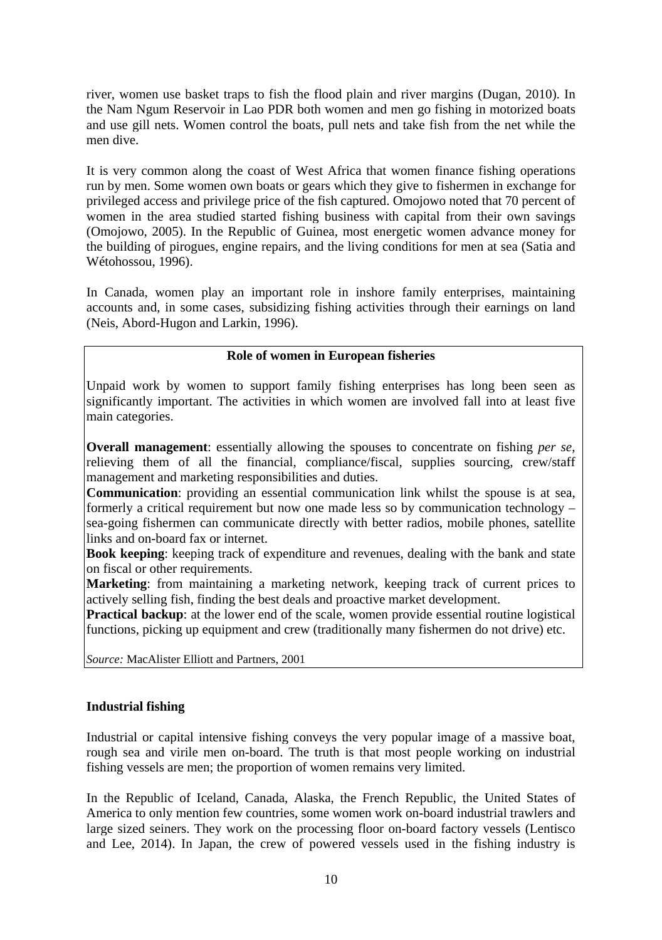river, women use basket traps to fish the flood plain and river margins (Dugan, 2010). In the Nam Ngum Reservoir in Lao PDR both women and men go fishing in motorized boats and use gill nets. Women control the boats, pull nets and take fish from the net while the men dive.

It is very common along the coast of West Africa that women finance fishing operations run by men. Some women own boats or gears which they give to fishermen in exchange for privileged access and privilege price of the fish captured. Omojowo noted that 70 percent of women in the area studied started fishing business with capital from their own savings (Omojowo, 2005). In the Republic of Guinea, most energetic women advance money for the building of pirogues, engine repairs, and the living conditions for men at sea (Satia and Wétohossou, 1996).

In Canada, women play an important role in inshore family enterprises, maintaining accounts and, in some cases, subsidizing fishing activities through their earnings on land (Neis, Abord-Hugon and Larkin, 1996).

#### **Role of women in European fisheries**

Unpaid work by women to support family fishing enterprises has long been seen as significantly important. The activities in which women are involved fall into at least five main categories.

**Overall management**: essentially allowing the spouses to concentrate on fishing *per se*, relieving them of all the financial, compliance/fiscal, supplies sourcing, crew/staff management and marketing responsibilities and duties.

**Communication**: providing an essential communication link whilst the spouse is at sea, formerly a critical requirement but now one made less so by communication technology – sea-going fishermen can communicate directly with better radios, mobile phones, satellite links and on-board fax or internet.

**Book keeping**: keeping track of expenditure and revenues, dealing with the bank and state on fiscal or other requirements.

**Marketing**: from maintaining a marketing network, keeping track of current prices to actively selling fish, finding the best deals and proactive market development.

**Practical backup**: at the lower end of the scale, women provide essential routine logistical functions, picking up equipment and crew (traditionally many fishermen do not drive) etc.

*Source:* MacAlister Elliott and Partners, 2001

#### **Industrial fishing**

Industrial or capital intensive fishing conveys the very popular image of a massive boat, rough sea and virile men on-board. The truth is that most people working on industrial fishing vessels are men; the proportion of women remains very limited.

In the Republic of Iceland, Canada, Alaska, the French Republic, the United States of America to only mention few countries, some women work on-board industrial trawlers and large sized seiners. They work on the processing floor on-board factory vessels (Lentisco and Lee, 2014). In Japan, the crew of powered vessels used in the fishing industry is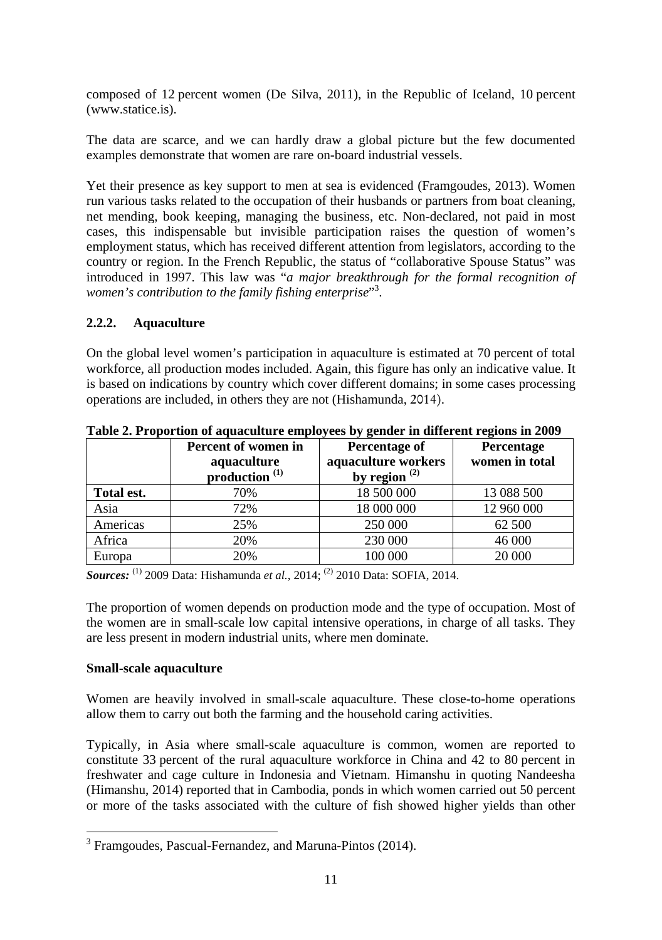composed of 12 percent women (De Silva, 2011), in the Republic of Iceland, 10 percent (www.statice.is).

The data are scarce, and we can hardly draw a global picture but the few documented examples demonstrate that women are rare on-board industrial vessels.

Yet their presence as key support to men at sea is evidenced (Framgoudes, 2013). Women run various tasks related to the occupation of their husbands or partners from boat cleaning, net mending, book keeping, managing the business, etc. Non-declared, not paid in most cases, this indispensable but invisible participation raises the question of women's employment status, which has received different attention from legislators, according to the country or region. In the French Republic, the status of "collaborative Spouse Status" was introduced in 1997. This law was "*a major breakthrough for the formal recognition of*  women's contribution to the family fishing enterprise"<sup>3</sup>.

# **2.2.2. Aquaculture**

On the global level women's participation in aquaculture is estimated at 70 percent of total workforce, all production modes included. Again, this figure has only an indicative value. It is based on indications by country which cover different domains; in some cases processing operations are included, in others they are not (Hishamunda, 2014).

|            | Percent of women in<br>aquaculture<br>production <sup>(1)</sup> | Percentage of<br>aquaculture workers<br>by region $(2)$ | <b>Percentage</b><br>women in total |
|------------|-----------------------------------------------------------------|---------------------------------------------------------|-------------------------------------|
| Total est. | 70%                                                             | 18 500 000                                              | 13 088 500                          |
| Asia       | 72%                                                             | 18 000 000                                              | 12 960 000                          |
| Americas   | 25%                                                             | 250 000                                                 | 62 500                              |
| Africa     | 20%                                                             | 230 000                                                 | 46 000                              |
| Europa     | 20%                                                             | 100 000                                                 | 20 000                              |

**Table 2. Proportion of aquaculture employees by gender in different regions in 2009** 

*Sources:* (1) 2009 Data: Hishamunda *et al.,* 2014; (2) 2010 Data: SOFIA, 2014.

The proportion of women depends on production mode and the type of occupation. Most of the women are in small-scale low capital intensive operations, in charge of all tasks. They are less present in modern industrial units, where men dominate.

# **Small-scale aquaculture**

1

Women are heavily involved in small-scale aquaculture. These close-to-home operations allow them to carry out both the farming and the household caring activities.

Typically, in Asia where small-scale aquaculture is common, women are reported to constitute 33 percent of the rural aquaculture workforce in China and 42 to 80 percent in freshwater and cage culture in Indonesia and Vietnam. Himanshu in quoting Nandeesha (Himanshu, 2014) reported that in Cambodia, ponds in which women carried out 50 percent or more of the tasks associated with the culture of fish showed higher yields than other

<sup>&</sup>lt;sup>3</sup> Framgoudes, Pascual-Fernandez, and Maruna-Pintos (2014).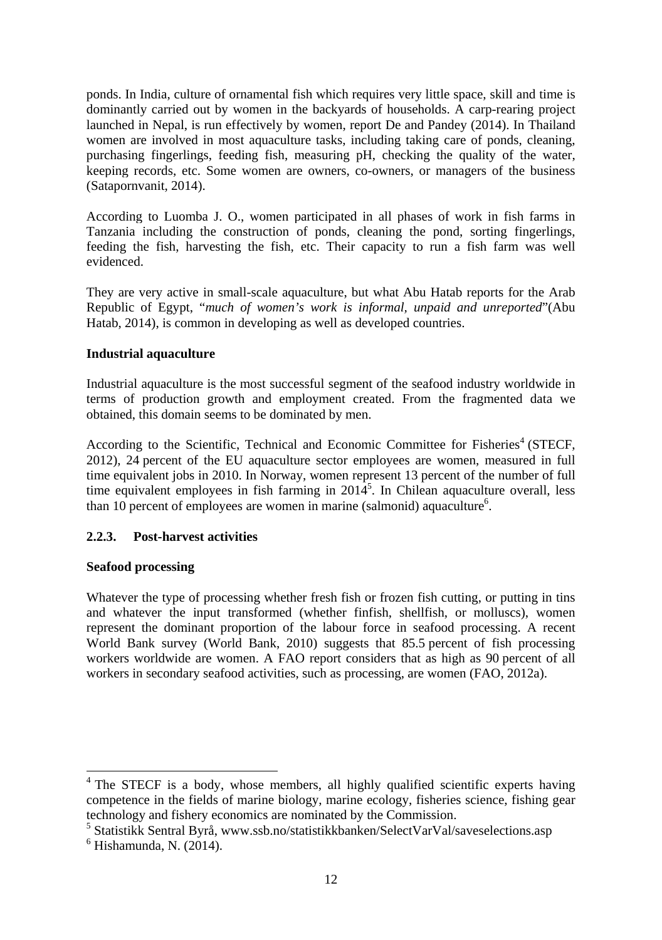ponds. In India, culture of ornamental fish which requires very little space, skill and time is dominantly carried out by women in the backyards of households. A carp-rearing project launched in Nepal, is run effectively by women, report De and Pandey (2014). In Thailand women are involved in most aquaculture tasks, including taking care of ponds, cleaning, purchasing fingerlings, feeding fish, measuring pH, checking the quality of the water, keeping records, etc. Some women are owners, co-owners, or managers of the business (Satapornvanit, 2014).

According to Luomba J. O., women participated in all phases of work in fish farms in Tanzania including the construction of ponds, cleaning the pond, sorting fingerlings, feeding the fish, harvesting the fish, etc. Their capacity to run a fish farm was well evidenced.

They are very active in small-scale aquaculture, but what Abu Hatab reports for the Arab Republic of Egypt, "*much of women's work is informal, unpaid and unreported*"(Abu Hatab, 2014), is common in developing as well as developed countries.

#### **Industrial aquaculture**

Industrial aquaculture is the most successful segment of the seafood industry worldwide in terms of production growth and employment created. From the fragmented data we obtained, this domain seems to be dominated by men.

According to the Scientific, Technical and Economic Committee for Fisheries<sup>4</sup> (STECF, 2012), 24 percent of the EU aquaculture sector employees are women, measured in full time equivalent jobs in 2010. In Norway, women represent 13 percent of the number of full time equivalent employees in fish farming in  $2014<sup>5</sup>$ . In Chilean aquaculture overall, less than 10 percent of employees are women in marine (salmonid) aquaculture<sup>6</sup>.

#### **2.2.3. Post-harvest activities**

#### **Seafood processing**

Whatever the type of processing whether fresh fish or frozen fish cutting, or putting in tins and whatever the input transformed (whether finfish, shellfish, or molluscs), women represent the dominant proportion of the labour force in seafood processing. A recent World Bank survey (World Bank, 2010) suggests that 85.5 percent of fish processing workers worldwide are women. A FAO report considers that as high as 90 percent of all workers in secondary seafood activities, such as processing, are women (FAO, 2012a).

The STECF is a body, whose members, all highly qualified scientific experts having competence in the fields of marine biology, marine ecology, fisheries science, fishing gear technology and fishery economics are nominated by the Commission.

<sup>&</sup>lt;sup>5</sup> Statistikk Sentral Byrå, www.ssb.no/statistikkbanken/SelectVarVal/saveselections.asp  $^{6}$  Hishamunda, N. (2014)

 $<sup>6</sup>$  Hishamunda, N. (2014).</sup>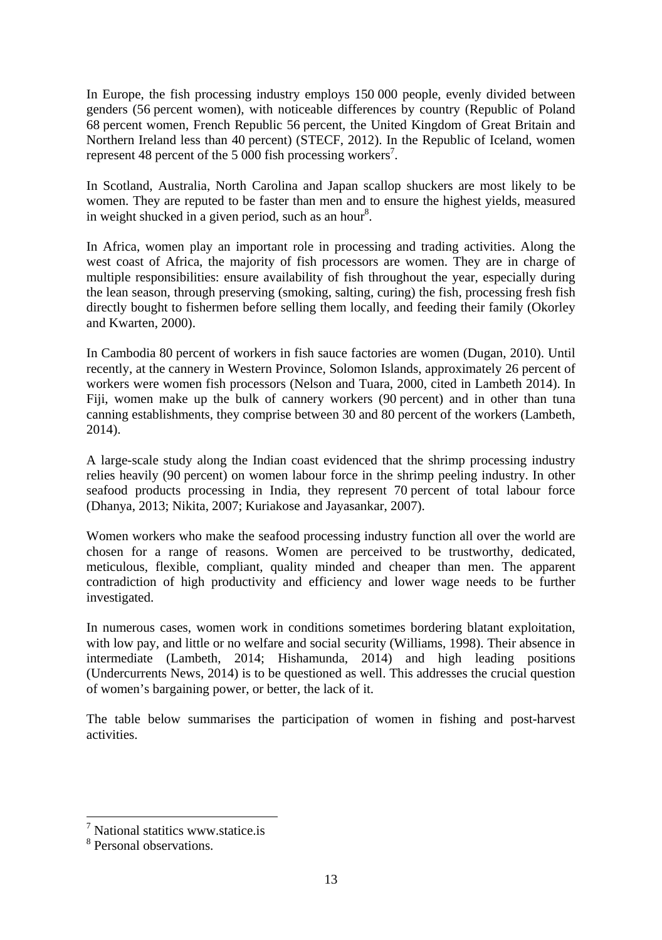In Europe, the fish processing industry employs 150 000 people, evenly divided between genders (56 percent women), with noticeable differences by country (Republic of Poland 68 percent women, French Republic 56 percent, the United Kingdom of Great Britain and Northern Ireland less than 40 percent) (STECF, 2012). In the Republic of Iceland, women represent 48 percent of the 5 000 fish processing workers<sup>7</sup>.

In Scotland, Australia, North Carolina and Japan scallop shuckers are most likely to be women. They are reputed to be faster than men and to ensure the highest yields, measured in weight shucked in a given period, such as an hour<sup>8</sup>.

In Africa, women play an important role in processing and trading activities. Along the west coast of Africa, the majority of fish processors are women. They are in charge of multiple responsibilities: ensure availability of fish throughout the year, especially during the lean season, through preserving (smoking, salting, curing) the fish, processing fresh fish directly bought to fishermen before selling them locally, and feeding their family (Okorley and Kwarten, 2000).

In Cambodia 80 percent of workers in fish sauce factories are women (Dugan, 2010). Until recently, at the cannery in Western Province, Solomon Islands, approximately 26 percent of workers were women fish processors (Nelson and Tuara, 2000, cited in Lambeth 2014). In Fiji, women make up the bulk of cannery workers (90 percent) and in other than tuna canning establishments, they comprise between 30 and 80 percent of the workers (Lambeth, 2014).

A large-scale study along the Indian coast evidenced that the shrimp processing industry relies heavily (90 percent) on women labour force in the shrimp peeling industry. In other seafood products processing in India, they represent 70 percent of total labour force (Dhanya, 2013; Nikita, 2007; Kuriakose and Jayasankar, 2007).

Women workers who make the seafood processing industry function all over the world are chosen for a range of reasons. Women are perceived to be trustworthy, dedicated, meticulous, flexible, compliant, quality minded and cheaper than men. The apparent contradiction of high productivity and efficiency and lower wage needs to be further investigated.

In numerous cases, women work in conditions sometimes bordering blatant exploitation, with low pay, and little or no welfare and social security (Williams, 1998). Their absence in intermediate (Lambeth, 2014; Hishamunda, 2014) and high leading positions (Undercurrents News, 2014) is to be questioned as well. This addresses the crucial question of women's bargaining power, or better, the lack of it.

The table below summarises the participation of women in fishing and post-harvest activities.

<sup>&</sup>lt;sup>7</sup> National statitics www.statice.is

<sup>8</sup> Personal observations.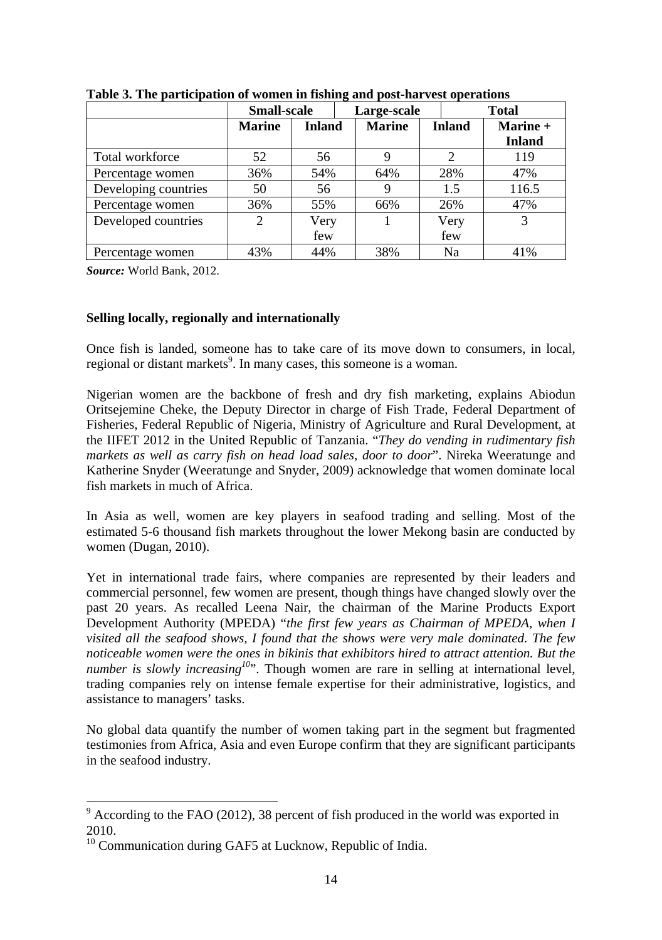|                      | <b>Small-scale</b> |               | Large-scale   |                | <b>Total</b>  |
|----------------------|--------------------|---------------|---------------|----------------|---------------|
|                      | <b>Marine</b>      | <b>Inland</b> | <b>Marine</b> | <b>Inland</b>  | Marine +      |
|                      |                    |               |               |                | <b>Inland</b> |
| Total workforce      | 52                 | 56            |               | $\mathfrak{D}$ | 119           |
| Percentage women     | 36%                | 54%           | 64%           | 28%            | 47%           |
| Developing countries | 50                 | 56            |               | 1.5            | 116.5         |
| Percentage women     | 36%                | 55%           | 66%           | 26%            | 47%           |
| Developed countries  | 2                  | Very          |               | Very           | 3             |
|                      |                    | few           |               | few            |               |
| Percentage women     | 43%                | 44%           | 38%           | Na             | 41%           |

**Table 3. The participation of women in fishing and post-harvest operations** 

*Source:* World Bank, 2012.

#### **Selling locally, regionally and internationally**

Once fish is landed, someone has to take care of its move down to consumers, in local, regional or distant markets<sup>9</sup>. In many cases, this someone is a woman.

Nigerian women are the backbone of fresh and dry fish marketing, explains Abiodun Oritsejemine Cheke, the Deputy Director in charge of Fish Trade, Federal Department of Fisheries, Federal Republic of Nigeria, Ministry of Agriculture and Rural Development, at the IIFET 2012 in the United Republic of Tanzania. "*They do vending in rudimentary fish markets as well as carry fish on head load sales, door to door*". Nireka Weeratunge and Katherine Snyder (Weeratunge and Snyder, 2009) acknowledge that women dominate local fish markets in much of Africa.

In Asia as well, women are key players in seafood trading and selling. Most of the estimated 5-6 thousand fish markets throughout the lower Mekong basin are conducted by women (Dugan, 2010).

Yet in international trade fairs, where companies are represented by their leaders and commercial personnel, few women are present, though things have changed slowly over the past 20 years. As recalled Leena Nair, the chairman of the Marine Products Export Development Authority (MPEDA) "*the first few years as Chairman of MPEDA, when I visited all the seafood shows, I found that the shows were very male dominated. The few noticeable women were the ones in bikinis that exhibitors hired to attract attention. But the number is slowly increasing<sup>10</sup>*". Though women are rare in selling at international level, trading companies rely on intense female expertise for their administrative, logistics, and assistance to managers' tasks.

No global data quantify the number of women taking part in the segment but fragmented testimonies from Africa, Asia and even Europe confirm that they are significant participants in the seafood industry.

 $\frac{9}{9}$  According to the FAO (2012), 38 percent of fish produced in the world was exported in 2010.

<sup>&</sup>lt;sup>10</sup> Communication during GAF5 at Lucknow, Republic of India.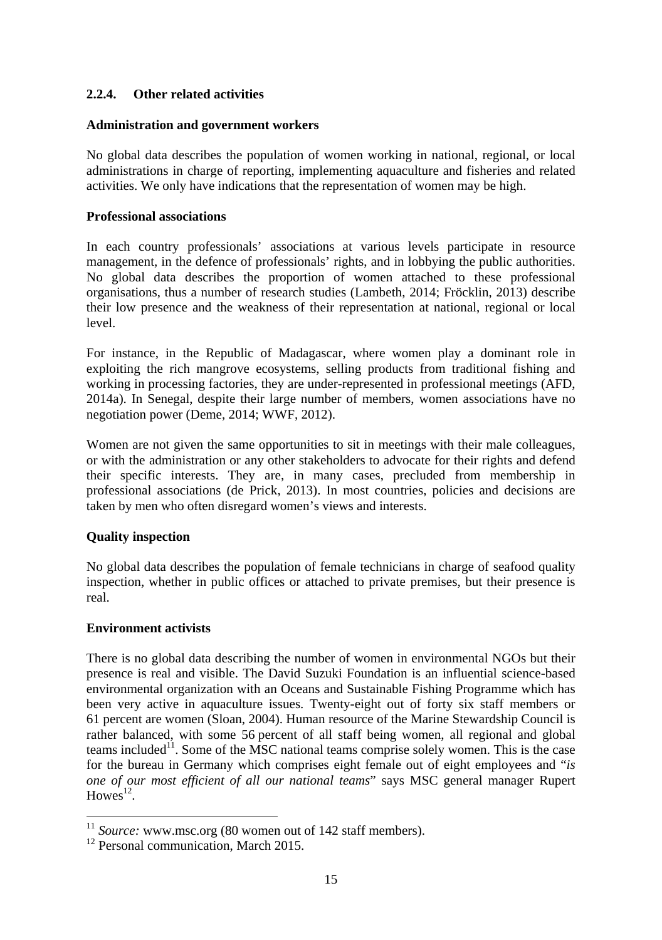# **2.2.4. Other related activities**

#### **Administration and government workers**

No global data describes the population of women working in national, regional, or local administrations in charge of reporting, implementing aquaculture and fisheries and related activities. We only have indications that the representation of women may be high.

#### **Professional associations**

In each country professionals' associations at various levels participate in resource management, in the defence of professionals' rights, and in lobbying the public authorities. No global data describes the proportion of women attached to these professional organisations, thus a number of research studies (Lambeth, 2014; Fröcklin, 2013) describe their low presence and the weakness of their representation at national, regional or local level.

For instance, in the Republic of Madagascar, where women play a dominant role in exploiting the rich mangrove ecosystems, selling products from traditional fishing and working in processing factories, they are under-represented in professional meetings (AFD, 2014a). In Senegal, despite their large number of members, women associations have no negotiation power (Deme, 2014; WWF, 2012).

Women are not given the same opportunities to sit in meetings with their male colleagues, or with the administration or any other stakeholders to advocate for their rights and defend their specific interests. They are, in many cases, precluded from membership in professional associations (de Prick, 2013). In most countries, policies and decisions are taken by men who often disregard women's views and interests.

# **Quality inspection**

No global data describes the population of female technicians in charge of seafood quality inspection, whether in public offices or attached to private premises, but their presence is real.

#### **Environment activists**

-

There is no global data describing the number of women in environmental NGOs but their presence is real and visible. The David Suzuki Foundation is an influential science-based environmental organization with an Oceans and Sustainable Fishing Programme which has been very active in aquaculture issues. Twenty-eight out of forty six staff members or 61 percent are women (Sloan, 2004). Human resource of the Marine Stewardship Council is rather balanced, with some 56 percent of all staff being women, all regional and global teams included<sup>11</sup>. Some of the MSC national teams comprise solely women. This is the case for the bureau in Germany which comprises eight female out of eight employees and "*is one of our most efficient of all our national teams*" says MSC general manager Rupert  $Howes<sup>12</sup>$ .

<sup>&</sup>lt;sup>11</sup> *Source:* www.msc.org (80 women out of 142 staff members).<br><sup>12</sup> Personal communication, March 2015.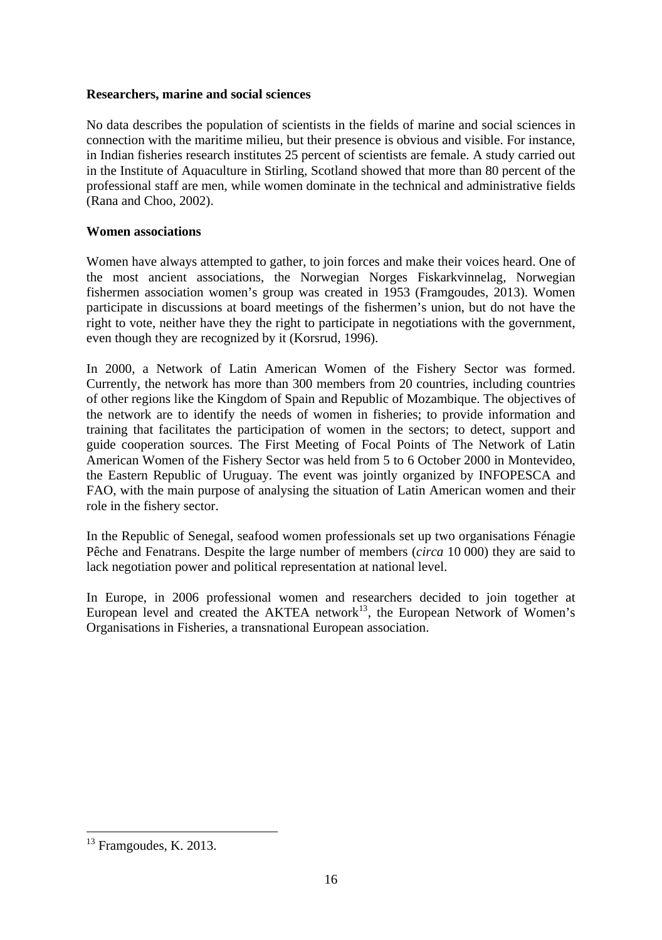#### **Researchers, marine and social sciences**

No data describes the population of scientists in the fields of marine and social sciences in connection with the maritime milieu, but their presence is obvious and visible. For instance, in Indian fisheries research institutes 25 percent of scientists are female. A study carried out in the Institute of Aquaculture in Stirling, Scotland showed that more than 80 percent of the professional staff are men, while women dominate in the technical and administrative fields (Rana and Choo, 2002).

#### **Women associations**

Women have always attempted to gather, to join forces and make their voices heard. One of the most ancient associations, the Norwegian Norges Fiskarkvinnelag, Norwegian fishermen association women's group was created in 1953 (Framgoudes, 2013). Women participate in discussions at board meetings of the fishermen's union, but do not have the right to vote, neither have they the right to participate in negotiations with the government, even though they are recognized by it (Korsrud, 1996).

In 2000, a Network of Latin American Women of the Fishery Sector was formed. Currently, the network has more than 300 members from 20 countries, including countries of other regions like the Kingdom of Spain and Republic of Mozambique. The objectives of the network are to identify the needs of women in fisheries; to provide information and training that facilitates the participation of women in the sectors; to detect, support and guide cooperation sources. The First Meeting of Focal Points of The Network of Latin American Women of the Fishery Sector was held from 5 to 6 October 2000 in Montevideo, the Eastern Republic of Uruguay. The event was jointly organized by INFOPESCA and FAO, with the main purpose of analysing the situation of Latin American women and their role in the fishery sector.

In the Republic of Senegal, seafood women professionals set up two organisations Fénagie Pêche and Fenatrans. Despite the large number of members (*circa* 10 000) they are said to lack negotiation power and political representation at national level.

In Europe, in 2006 professional women and researchers decided to join together at European level and created the AKTEA network<sup>13</sup>, the European Network of Women's Organisations in Fisheries, a transnational European association.

1

 $13$  Framgoudes, K. 2013.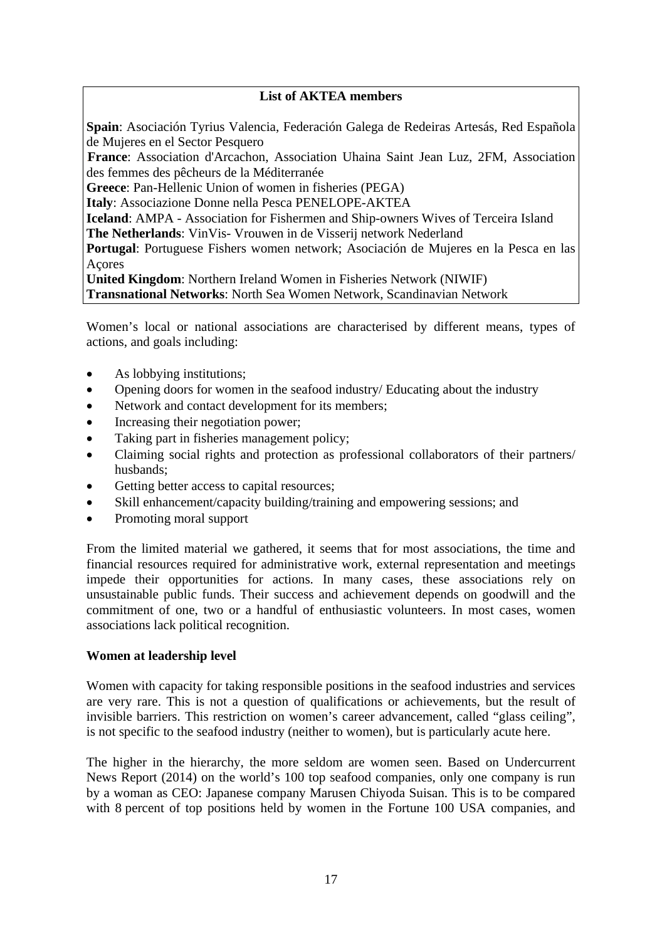# **List of AKTEA members**

**Spain**: Asociación Tyrius Valencia, Federación Galega de Redeiras Artesás, Red Española de Mujeres en el Sector Pesquero

**France**: Association d'Arcachon, Association Uhaina Saint Jean Luz, 2FM, Association des femmes des pêcheurs de la Méditerranée

**Greece**: Pan-Hellenic Union of women in fisheries (PEGA)

**Italy**: Associazione Donne nella Pesca PENELOPE-AKTEA

**Iceland**: AMPA - Association for Fishermen and Ship-owners Wives of Terceira Island **The Netherlands**: VinVis- Vrouwen in de Visserij network Nederland

**Portugal**: Portuguese Fishers women network; Asociación de Mujeres en la Pesca en las Açores

**United Kingdom**: Northern Ireland Women in Fisheries Network (NIWIF) **Transnational Networks**: North Sea Women Network, Scandinavian Network

Women's local or national associations are characterised by different means, types of actions, and goals including:

- As lobbying institutions;
- Opening doors for women in the seafood industry/ Educating about the industry
- Network and contact development for its members;
- Increasing their negotiation power;
- Taking part in fisheries management policy;
- Claiming social rights and protection as professional collaborators of their partners/ husbands;
- Getting better access to capital resources;
- Skill enhancement/capacity building/training and empowering sessions; and
- Promoting moral support

From the limited material we gathered, it seems that for most associations, the time and financial resources required for administrative work, external representation and meetings impede their opportunities for actions. In many cases, these associations rely on unsustainable public funds. Their success and achievement depends on goodwill and the commitment of one, two or a handful of enthusiastic volunteers. In most cases, women associations lack political recognition.

#### **Women at leadership level**

Women with capacity for taking responsible positions in the seafood industries and services are very rare. This is not a question of qualifications or achievements, but the result of invisible barriers. This restriction on women's career advancement, called "glass ceiling", is not specific to the seafood industry (neither to women), but is particularly acute here.

The higher in the hierarchy, the more seldom are women seen. Based on Undercurrent News Report (2014) on the world's 100 top seafood companies, only one company is run by a woman as CEO: Japanese company Marusen Chiyoda Suisan. This is to be compared with 8 percent of top positions held by women in the Fortune 100 USA companies, and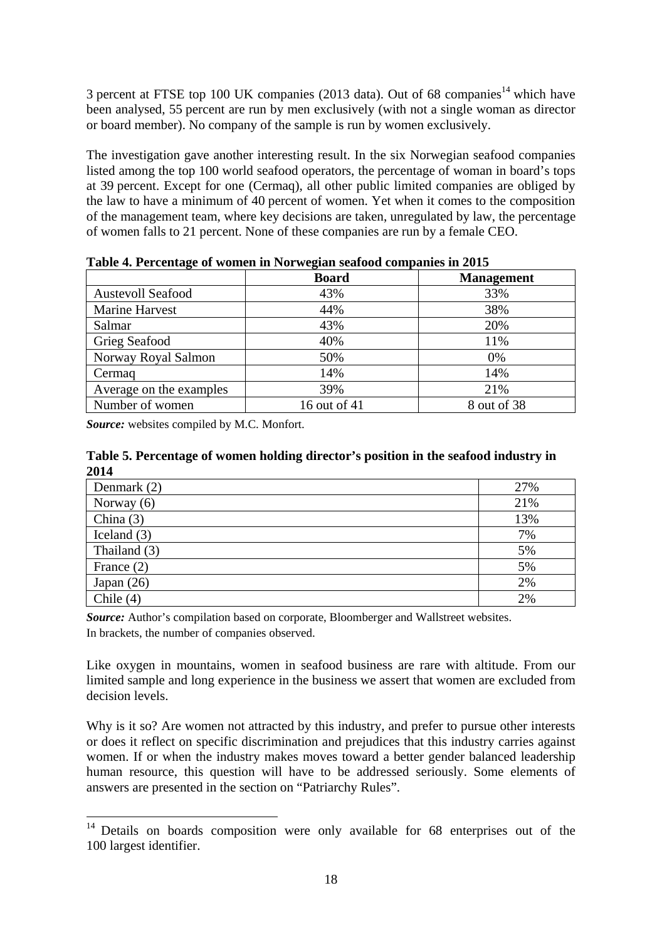3 percent at FTSE top 100 UK companies (2013 data). Out of 68 companies<sup>14</sup> which have been analysed, 55 percent are run by men exclusively (with not a single woman as director or board member). No company of the sample is run by women exclusively.

The investigation gave another interesting result. In the six Norwegian seafood companies listed among the top 100 world seafood operators, the percentage of woman in board's tops at 39 percent. Except for one (Cermaq), all other public limited companies are obliged by the law to have a minimum of 40 percent of women. Yet when it comes to the composition of the management team, where key decisions are taken, unregulated by law, the percentage of women falls to 21 percent. None of these companies are run by a female CEO.

|                          | <b>Board</b> | <b>Management</b> |
|--------------------------|--------------|-------------------|
| <b>Austevoll Seafood</b> | 43%          | 33%               |
| Marine Harvest           | 44%          | 38%               |
| Salmar                   | 43%          | 20%               |
| Grieg Seafood            | 40%          | 11%               |
| Norway Royal Salmon      | 50%          | $0\%$             |
| Cermag                   | 14%          | 14%               |
| Average on the examples  | 39%          | 21%               |
| Number of women          | 16 out of 41 | 8 out of 38       |

**Table 4. Percentage of women in Norwegian seafood companies in 2015** 

*Source:* websites compiled by M.C. Monfort.

-

#### **Table 5. Percentage of women holding director's position in the seafood industry in 2014**

| Denmark (2)   | 27% |
|---------------|-----|
| Norway $(6)$  | 21% |
| China $(3)$   | 13% |
| Iceland $(3)$ | 7%  |
| Thailand (3)  | 5%  |
| France $(2)$  | 5%  |
| Japan $(26)$  | 2%  |
| Chile (4)     | 2%  |

*Source:* Author's compilation based on corporate, Bloomberger and Wallstreet websites. In brackets, the number of companies observed.

Like oxygen in mountains, women in seafood business are rare with altitude. From our limited sample and long experience in the business we assert that women are excluded from decision levels.

Why is it so? Are women not attracted by this industry, and prefer to pursue other interests or does it reflect on specific discrimination and prejudices that this industry carries against women. If or when the industry makes moves toward a better gender balanced leadership human resource, this question will have to be addressed seriously. Some elements of answers are presented in the section on "Patriarchy Rules".

<sup>&</sup>lt;sup>14</sup> Details on boards composition were only available for 68 enterprises out of the 100 largest identifier.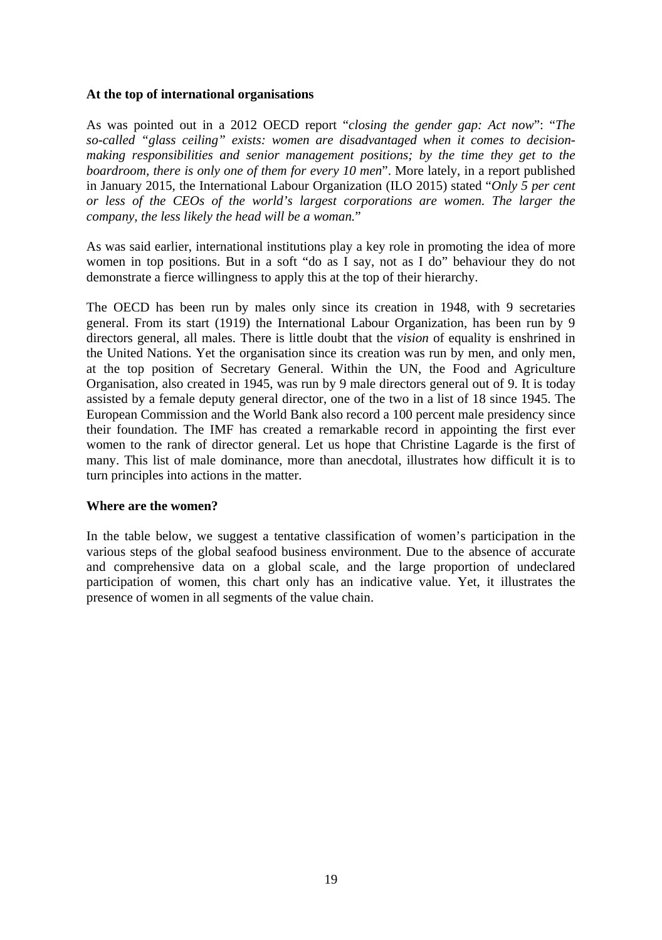#### **At the top of international organisations**

As was pointed out in a 2012 OECD report "*closing the gender gap: Act now*": "*The so-called "glass ceiling" exists: women are disadvantaged when it comes to decisionmaking responsibilities and senior management positions; by the time they get to the boardroom, there is only one of them for every 10 men*". More lately, in a report published in January 2015, the International Labour Organization (ILO 2015) stated "*Only 5 per cent or less of the CEOs of the world's largest corporations are women. The larger the company, the less likely the head will be a woman.*"

As was said earlier, international institutions play a key role in promoting the idea of more women in top positions. But in a soft "do as I say, not as I do" behaviour they do not demonstrate a fierce willingness to apply this at the top of their hierarchy.

The OECD has been run by males only since its creation in 1948, with 9 secretaries general. From its start (1919) the International Labour Organization, has been run by 9 directors general, all males. There is little doubt that the *vision* of equality is enshrined in the United Nations. Yet the organisation since its creation was run by men, and only men, at the top position of Secretary General. Within the UN, the Food and Agriculture Organisation, also created in 1945, was run by 9 male directors general out of 9. It is today assisted by a female deputy general director, one of the two in a list of 18 since 1945. The European Commission and the World Bank also record a 100 percent male presidency since their foundation. The IMF has created a remarkable record in appointing the first ever women to the rank of director general. Let us hope that Christine Lagarde is the first of many. This list of male dominance, more than anecdotal, illustrates how difficult it is to turn principles into actions in the matter.

#### **Where are the women?**

In the table below, we suggest a tentative classification of women's participation in the various steps of the global seafood business environment. Due to the absence of accurate and comprehensive data on a global scale, and the large proportion of undeclared participation of women, this chart only has an indicative value. Yet, it illustrates the presence of women in all segments of the value chain.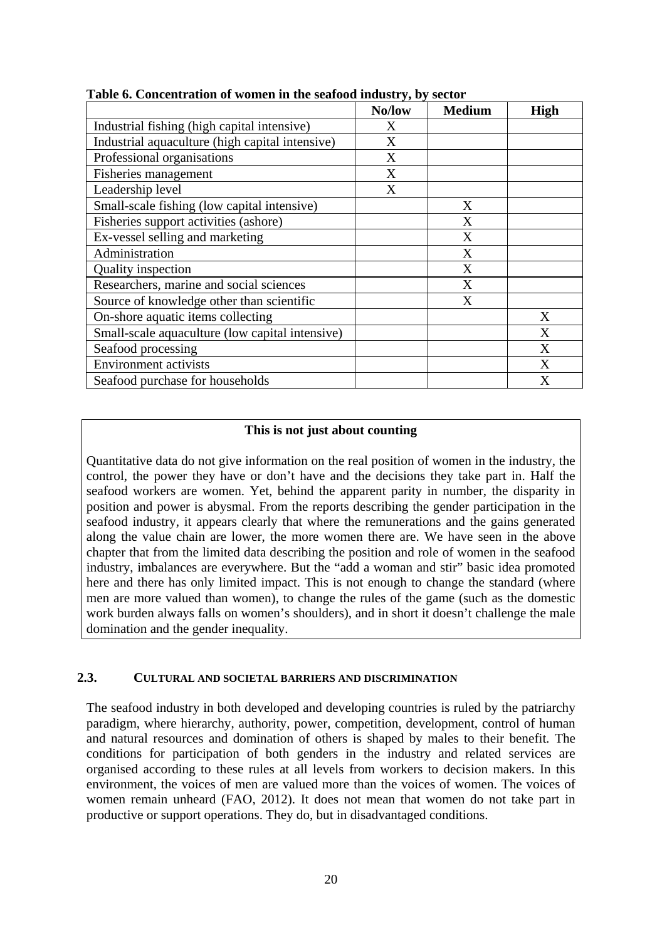| oncentration or women in the bethood mutube year | No/low | <b>Medium</b> | <b>High</b> |
|--------------------------------------------------|--------|---------------|-------------|
| Industrial fishing (high capital intensive)      | X      |               |             |
| Industrial aquaculture (high capital intensive)  | X      |               |             |
| Professional organisations                       | X      |               |             |
| Fisheries management                             | X      |               |             |
| Leadership level                                 | X      |               |             |
| Small-scale fishing (low capital intensive)      |        | X             |             |
| Fisheries support activities (ashore)            |        | X             |             |
| Ex-vessel selling and marketing                  |        | X             |             |
| Administration                                   |        | X             |             |
| Quality inspection                               |        | X             |             |
| Researchers, marine and social sciences          |        | X             |             |
| Source of knowledge other than scientific        |        | X             |             |
| On-shore aquatic items collecting                |        |               | X           |
| Small-scale aquaculture (low capital intensive)  |        |               | X           |
| Seafood processing                               |        |               | X           |
| <b>Environment</b> activists                     |        |               | X           |
| Seafood purchase for households                  |        |               | X           |

**Table 6. Concentration of women in the seafood industry, by sector** 

#### **This is not just about counting**

Quantitative data do not give information on the real position of women in the industry, the control, the power they have or don't have and the decisions they take part in. Half the seafood workers are women. Yet, behind the apparent parity in number, the disparity in position and power is abysmal. From the reports describing the gender participation in the seafood industry, it appears clearly that where the remunerations and the gains generated along the value chain are lower, the more women there are. We have seen in the above chapter that from the limited data describing the position and role of women in the seafood industry, imbalances are everywhere. But the "add a woman and stir" basic idea promoted here and there has only limited impact. This is not enough to change the standard (where men are more valued than women), to change the rules of the game (such as the domestic work burden always falls on women's shoulders), and in short it doesn't challenge the male domination and the gender inequality.

#### **2.3. CULTURAL AND SOCIETAL BARRIERS AND DISCRIMINATION**

The seafood industry in both developed and developing countries is ruled by the patriarchy paradigm, where hierarchy, authority, power, competition, development, control of human and natural resources and domination of others is shaped by males to their benefit. The conditions for participation of both genders in the industry and related services are organised according to these rules at all levels from workers to decision makers. In this environment, the voices of men are valued more than the voices of women. The voices of women remain unheard (FAO, 2012). It does not mean that women do not take part in productive or support operations. They do, but in disadvantaged conditions.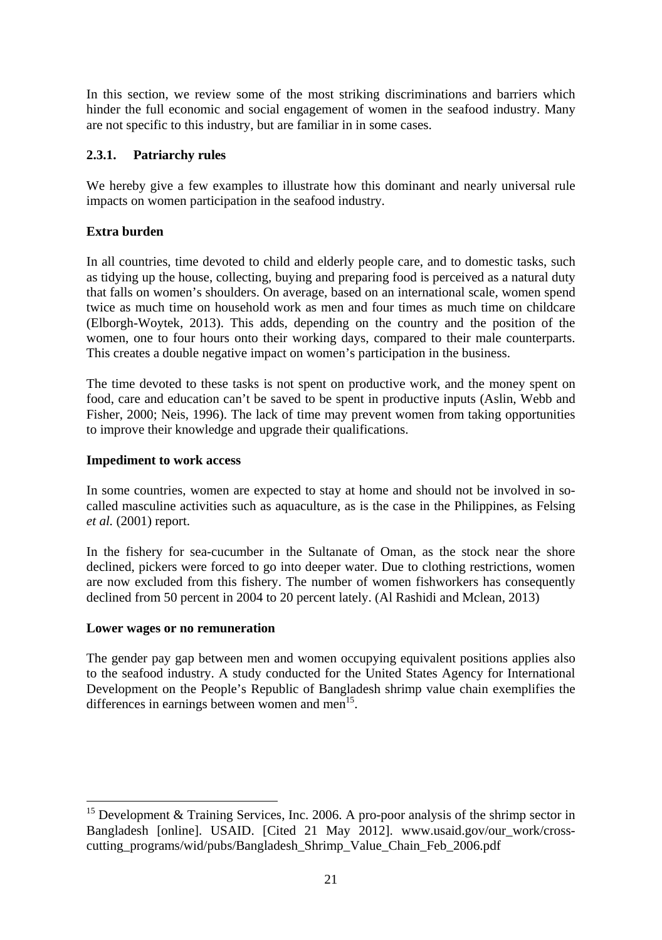In this section, we review some of the most striking discriminations and barriers which hinder the full economic and social engagement of women in the seafood industry. Many are not specific to this industry, but are familiar in in some cases.

# **2.3.1. Patriarchy rules**

We hereby give a few examples to illustrate how this dominant and nearly universal rule impacts on women participation in the seafood industry.

# **Extra burden**

In all countries, time devoted to child and elderly people care, and to domestic tasks, such as tidying up the house, collecting, buying and preparing food is perceived as a natural duty that falls on women's shoulders. On average, based on an international scale, women spend twice as much time on household work as men and four times as much time on childcare (Elborgh-Woytek, 2013). This adds, depending on the country and the position of the women, one to four hours onto their working days, compared to their male counterparts. This creates a double negative impact on women's participation in the business.

The time devoted to these tasks is not spent on productive work, and the money spent on food, care and education can't be saved to be spent in productive inputs (Aslin, Webb and Fisher, 2000; Neis, 1996). The lack of time may prevent women from taking opportunities to improve their knowledge and upgrade their qualifications.

#### **Impediment to work access**

In some countries, women are expected to stay at home and should not be involved in socalled masculine activities such as aquaculture, as is the case in the Philippines, as Felsing *et al.* (2001) report.

In the fishery for sea-cucumber in the Sultanate of Oman, as the stock near the shore declined, pickers were forced to go into deeper water. Due to clothing restrictions, women are now excluded from this fishery. The number of women fishworkers has consequently declined from 50 percent in 2004 to 20 percent lately. (Al Rashidi and Mclean, 2013)

#### **Lower wages or no remuneration**

-

The gender pay gap between men and women occupying equivalent positions applies also to the seafood industry. A study conducted for the United States Agency for International Development on the People's Republic of Bangladesh shrimp value chain exemplifies the differences in earnings between women and men $^{15}$ .

<sup>&</sup>lt;sup>15</sup> Development & Training Services, Inc. 2006. A pro-poor analysis of the shrimp sector in Bangladesh [online]. USAID. [Cited 21 May 2012]. www.usaid.gov/our\_work/crosscutting\_programs/wid/pubs/Bangladesh\_Shrimp\_Value\_Chain\_Feb\_2006.pdf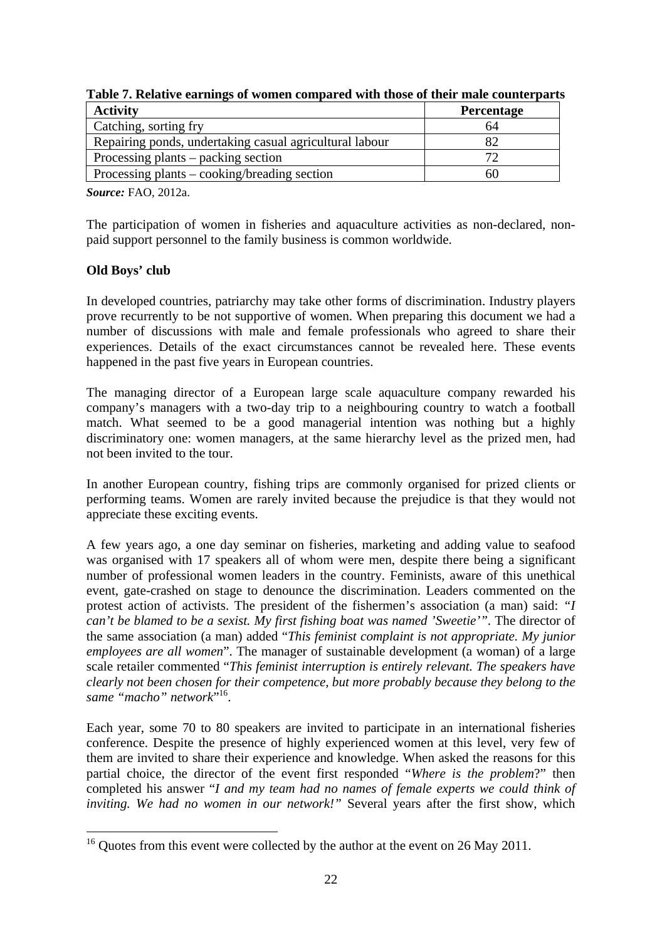| <b>Activity</b>                                         | Percentage |
|---------------------------------------------------------|------------|
| Catching, sorting fry                                   | 64         |
| Repairing ponds, undertaking casual agricultural labour |            |
| Processing plants – packing section                     |            |
| Processing plants – cooking/breading section            | 60         |

**Table 7. Relative earnings of women compared with those of their male counterparts** 

*Source:* FAO, 2012a.

The participation of women in fisheries and aquaculture activities as non-declared, nonpaid support personnel to the family business is common worldwide.

# **Old Boys' club**

1

In developed countries, patriarchy may take other forms of discrimination. Industry players prove recurrently to be not supportive of women. When preparing this document we had a number of discussions with male and female professionals who agreed to share their experiences. Details of the exact circumstances cannot be revealed here. These events happened in the past five years in European countries.

The managing director of a European large scale aquaculture company rewarded his company's managers with a two-day trip to a neighbouring country to watch a football match. What seemed to be a good managerial intention was nothing but a highly discriminatory one: women managers, at the same hierarchy level as the prized men, had not been invited to the tour.

In another European country, fishing trips are commonly organised for prized clients or performing teams. Women are rarely invited because the prejudice is that they would not appreciate these exciting events.

A few years ago, a one day seminar on fisheries, marketing and adding value to seafood was organised with 17 speakers all of whom were men, despite there being a significant number of professional women leaders in the country. Feminists, aware of this unethical event, gate-crashed on stage to denounce the discrimination. Leaders commented on the protest action of activists. The president of the fishermen's association (a man) said: *"I can't be blamed to be a sexist. My first fishing boat was named 'Sweetie'".* The director of the same association (a man) added "*This feminist complaint is not appropriate. My junior employees are all women*". The manager of sustainable development (a woman) of a large scale retailer commented "*This feminist interruption is entirely relevant. The speakers have clearly not been chosen for their competence, but more probably because they belong to the same "macho" network*" 16.

Each year, some 70 to 80 speakers are invited to participate in an international fisheries conference. Despite the presence of highly experienced women at this level, very few of them are invited to share their experience and knowledge. When asked the reasons for this partial choice, the director of the event first responded "*Where is the problem*?" then completed his answer "*I and my team had no names of female experts we could think of inviting. We had no women in our network!"* Several years after the first show, which

<sup>&</sup>lt;sup>16</sup> Quotes from this event were collected by the author at the event on 26 May 2011.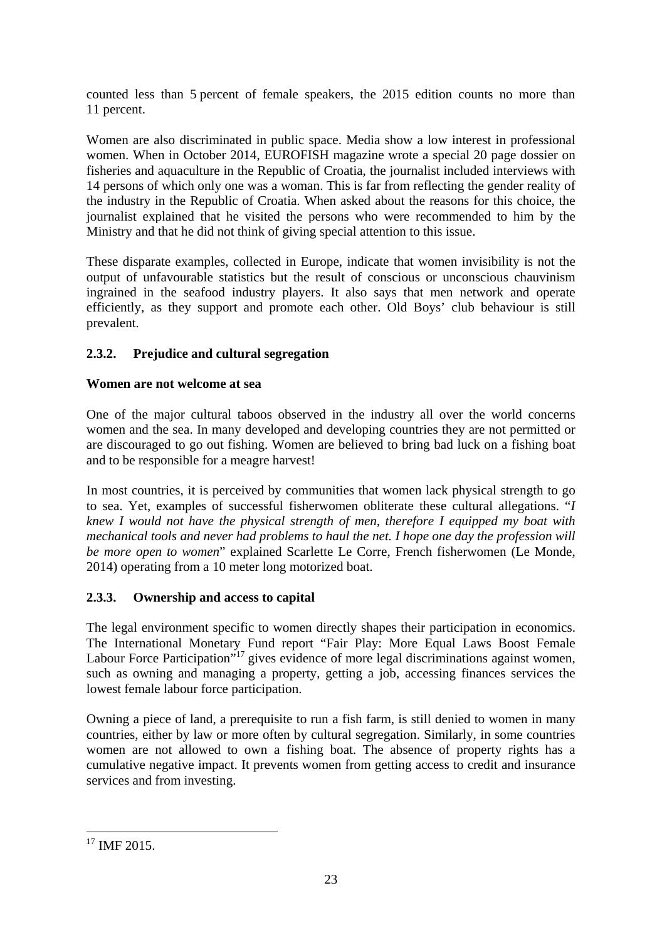counted less than 5 percent of female speakers, the 2015 edition counts no more than 11 percent.

Women are also discriminated in public space. Media show a low interest in professional women. When in October 2014, EUROFISH magazine wrote a special 20 page dossier on fisheries and aquaculture in the Republic of Croatia, the journalist included interviews with 14 persons of which only one was a woman. This is far from reflecting the gender reality of the industry in the Republic of Croatia. When asked about the reasons for this choice, the journalist explained that he visited the persons who were recommended to him by the Ministry and that he did not think of giving special attention to this issue.

These disparate examples, collected in Europe, indicate that women invisibility is not the output of unfavourable statistics but the result of conscious or unconscious chauvinism ingrained in the seafood industry players. It also says that men network and operate efficiently, as they support and promote each other. Old Boys' club behaviour is still prevalent.

# **2.3.2. Prejudice and cultural segregation**

# **Women are not welcome at sea**

One of the major cultural taboos observed in the industry all over the world concerns women and the sea. In many developed and developing countries they are not permitted or are discouraged to go out fishing. Women are believed to bring bad luck on a fishing boat and to be responsible for a meagre harvest!

In most countries, it is perceived by communities that women lack physical strength to go to sea. Yet, examples of successful fisherwomen obliterate these cultural allegations. "*I knew I would not have the physical strength of men, therefore I equipped my boat with mechanical tools and never had problems to haul the net. I hope one day the profession will be more open to women*" explained Scarlette Le Corre, French fisherwomen (Le Monde, 2014) operating from a 10 meter long motorized boat.

# **2.3.3. Ownership and access to capital**

The legal environment specific to women directly shapes their participation in economics. The International Monetary Fund report "Fair Play: More Equal Laws Boost Female Labour Force Participation"<sup>17</sup> gives evidence of more legal discriminations against women, such as owning and managing a property, getting a job, accessing finances services the lowest female labour force participation.

Owning a piece of land, a prerequisite to run a fish farm, is still denied to women in many countries, either by law or more often by cultural segregation. Similarly, in some countries women are not allowed to own a fishing boat. The absence of property rights has a cumulative negative impact. It prevents women from getting access to credit and insurance services and from investing.

1

 $17$  IMF 2015.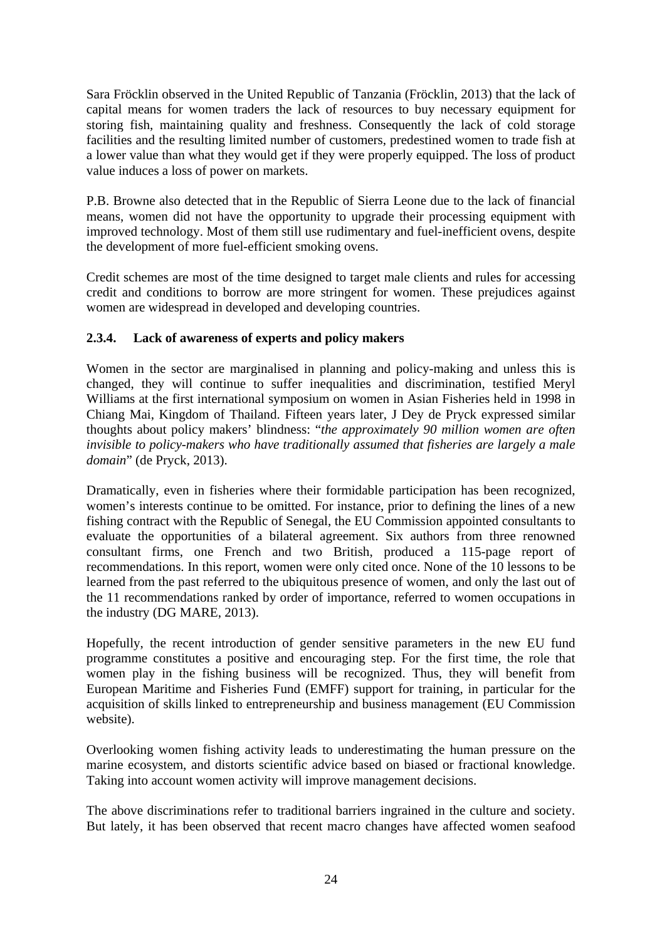Sara Fröcklin observed in the United Republic of Tanzania (Fröcklin, 2013) that the lack of capital means for women traders the lack of resources to buy necessary equipment for storing fish, maintaining quality and freshness. Consequently the lack of cold storage facilities and the resulting limited number of customers, predestined women to trade fish at a lower value than what they would get if they were properly equipped. The loss of product value induces a loss of power on markets.

P.B. Browne also detected that in the Republic of Sierra Leone due to the lack of financial means, women did not have the opportunity to upgrade their processing equipment with improved technology. Most of them still use rudimentary and fuel-inefficient ovens, despite the development of more fuel-efficient smoking ovens.

Credit schemes are most of the time designed to target male clients and rules for accessing credit and conditions to borrow are more stringent for women. These prejudices against women are widespread in developed and developing countries.

# **2.3.4. Lack of awareness of experts and policy makers**

Women in the sector are marginalised in planning and policy-making and unless this is changed, they will continue to suffer inequalities and discrimination, testified Meryl Williams at the first international symposium on women in Asian Fisheries held in 1998 in Chiang Mai, Kingdom of Thailand. Fifteen years later, J Dey de Pryck expressed similar thoughts about policy makers' blindness: "*the approximately 90 million women are often invisible to policy-makers who have traditionally assumed that fisheries are largely a male domain*" (de Pryck, 2013).

Dramatically, even in fisheries where their formidable participation has been recognized, women's interests continue to be omitted. For instance, prior to defining the lines of a new fishing contract with the Republic of Senegal, the EU Commission appointed consultants to evaluate the opportunities of a bilateral agreement. Six authors from three renowned consultant firms, one French and two British, produced a 115-page report of recommendations. In this report, women were only cited once. None of the 10 lessons to be learned from the past referred to the ubiquitous presence of women, and only the last out of the 11 recommendations ranked by order of importance, referred to women occupations in the industry (DG MARE, 2013).

Hopefully, the recent introduction of gender sensitive parameters in the new EU fund programme constitutes a positive and encouraging step. For the first time, the role that women play in the fishing business will be recognized. Thus, they will benefit from European Maritime and Fisheries Fund (EMFF) support for training, in particular for the acquisition of skills linked to entrepreneurship and business management (EU Commission website).

Overlooking women fishing activity leads to underestimating the human pressure on the marine ecosystem, and distorts scientific advice based on biased or fractional knowledge. Taking into account women activity will improve management decisions.

The above discriminations refer to traditional barriers ingrained in the culture and society. But lately, it has been observed that recent macro changes have affected women seafood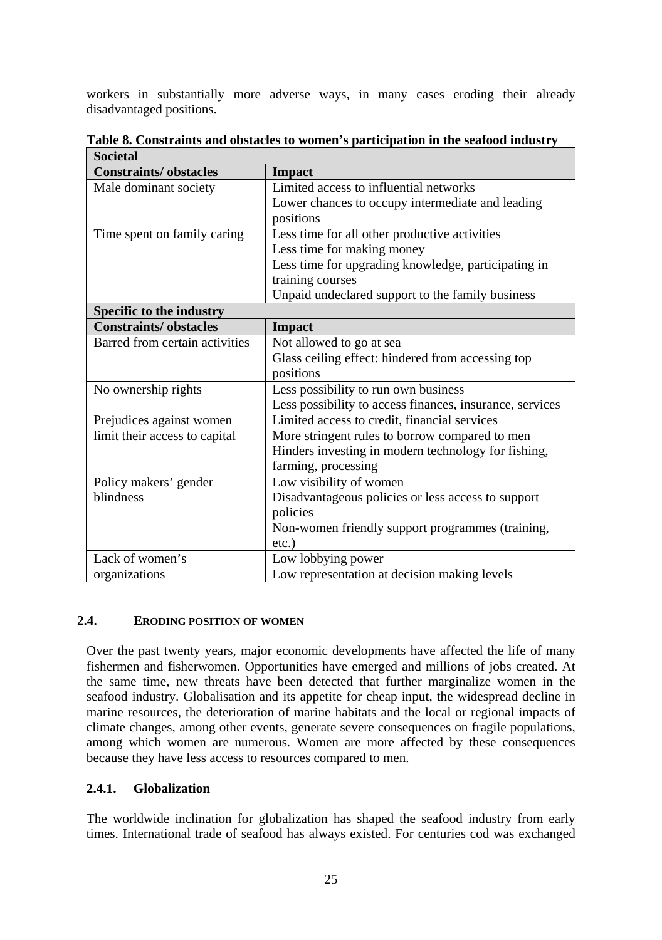workers in substantially more adverse ways, in many cases eroding their already disadvantaged positions.

| <b>Societal</b>                |                                                          |  |  |
|--------------------------------|----------------------------------------------------------|--|--|
| <b>Constraints/obstacles</b>   | <b>Impact</b>                                            |  |  |
| Male dominant society          | Limited access to influential networks                   |  |  |
|                                | Lower chances to occupy intermediate and leading         |  |  |
|                                | positions                                                |  |  |
| Time spent on family caring    | Less time for all other productive activities            |  |  |
|                                | Less time for making money                               |  |  |
|                                | Less time for upgrading knowledge, participating in      |  |  |
|                                | training courses                                         |  |  |
|                                | Unpaid undeclared support to the family business         |  |  |
| Specific to the industry       |                                                          |  |  |
| <b>Constraints/obstacles</b>   | <b>Impact</b>                                            |  |  |
| Barred from certain activities | Not allowed to go at sea                                 |  |  |
|                                | Glass ceiling effect: hindered from accessing top        |  |  |
|                                | positions                                                |  |  |
| No ownership rights            | Less possibility to run own business                     |  |  |
|                                | Less possibility to access finances, insurance, services |  |  |
| Prejudices against women       | Limited access to credit, financial services             |  |  |
| limit their access to capital  | More stringent rules to borrow compared to men           |  |  |
|                                | Hinders investing in modern technology for fishing,      |  |  |
|                                | farming, processing                                      |  |  |
| Policy makers' gender          | Low visibility of women                                  |  |  |
| blindness                      | Disadvantageous policies or less access to support       |  |  |
|                                | policies                                                 |  |  |
|                                | Non-women friendly support programmes (training,         |  |  |
|                                | $etc.$ )                                                 |  |  |
| Lack of women's                | Low lobbying power                                       |  |  |
| organizations                  | Low representation at decision making levels             |  |  |

**Table 8. Constraints and obstacles to women's participation in the seafood industry** 

# **2.4. ERODING POSITION OF WOMEN**

Over the past twenty years, major economic developments have affected the life of many fishermen and fisherwomen. Opportunities have emerged and millions of jobs created. At the same time, new threats have been detected that further marginalize women in the seafood industry. Globalisation and its appetite for cheap input, the widespread decline in marine resources, the deterioration of marine habitats and the local or regional impacts of climate changes, among other events, generate severe consequences on fragile populations, among which women are numerous. Women are more affected by these consequences because they have less access to resources compared to men.

# **2.4.1. Globalization**

The worldwide inclination for globalization has shaped the seafood industry from early times. International trade of seafood has always existed. For centuries cod was exchanged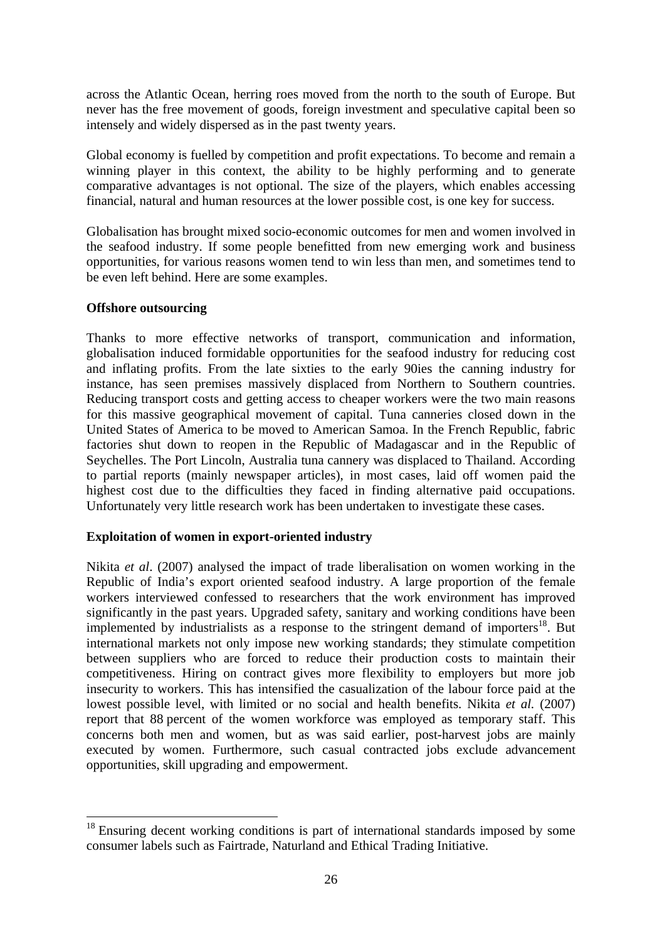across the Atlantic Ocean, herring roes moved from the north to the south of Europe. But never has the free movement of goods, foreign investment and speculative capital been so intensely and widely dispersed as in the past twenty years.

Global economy is fuelled by competition and profit expectations. To become and remain a winning player in this context, the ability to be highly performing and to generate comparative advantages is not optional. The size of the players, which enables accessing financial, natural and human resources at the lower possible cost, is one key for success.

Globalisation has brought mixed socio-economic outcomes for men and women involved in the seafood industry. If some people benefitted from new emerging work and business opportunities, for various reasons women tend to win less than men, and sometimes tend to be even left behind. Here are some examples.

#### **Offshore outsourcing**

-

Thanks to more effective networks of transport, communication and information, globalisation induced formidable opportunities for the seafood industry for reducing cost and inflating profits. From the late sixties to the early 90ies the canning industry for instance, has seen premises massively displaced from Northern to Southern countries. Reducing transport costs and getting access to cheaper workers were the two main reasons for this massive geographical movement of capital. Tuna canneries closed down in the United States of America to be moved to American Samoa. In the French Republic, fabric factories shut down to reopen in the Republic of Madagascar and in the Republic of Seychelles. The Port Lincoln, Australia tuna cannery was displaced to Thailand. According to partial reports (mainly newspaper articles), in most cases, laid off women paid the highest cost due to the difficulties they faced in finding alternative paid occupations. Unfortunately very little research work has been undertaken to investigate these cases.

#### **Exploitation of women in export-oriented industry**

Nikita *et al*. (2007) analysed the impact of trade liberalisation on women working in the Republic of India's export oriented seafood industry. A large proportion of the female workers interviewed confessed to researchers that the work environment has improved significantly in the past years. Upgraded safety, sanitary and working conditions have been implemented by industrialists as a response to the stringent demand of importers<sup>18</sup>. But international markets not only impose new working standards; they stimulate competition between suppliers who are forced to reduce their production costs to maintain their competitiveness. Hiring on contract gives more flexibility to employers but more job insecurity to workers. This has intensified the casualization of the labour force paid at the lowest possible level, with limited or no social and health benefits. Nikita *et al.* (2007) report that 88 percent of the women workforce was employed as temporary staff. This concerns both men and women, but as was said earlier, post-harvest jobs are mainly executed by women. Furthermore, such casual contracted jobs exclude advancement opportunities, skill upgrading and empowerment.

<sup>&</sup>lt;sup>18</sup> Ensuring decent working conditions is part of international standards imposed by some consumer labels such as Fairtrade, Naturland and Ethical Trading Initiative.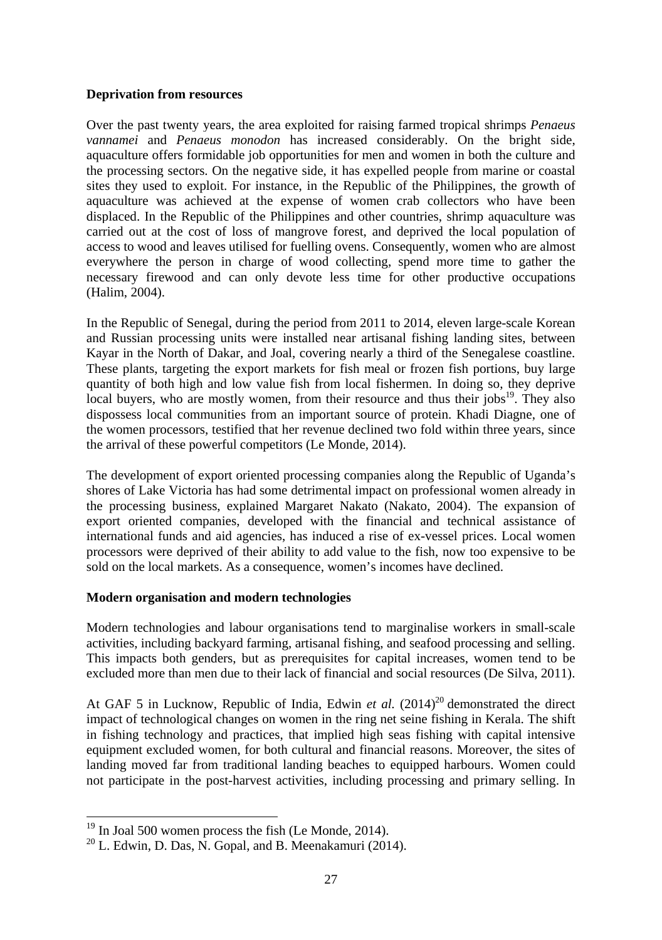#### **Deprivation from resources**

Over the past twenty years, the area exploited for raising farmed tropical shrimps *Penaeus vannamei* and *Penaeus monodon* has increased considerably. On the bright side, aquaculture offers formidable job opportunities for men and women in both the culture and the processing sectors. On the negative side, it has expelled people from marine or coastal sites they used to exploit. For instance, in the Republic of the Philippines, the growth of aquaculture was achieved at the expense of women crab collectors who have been displaced. In the Republic of the Philippines and other countries, shrimp aquaculture was carried out at the cost of loss of mangrove forest, and deprived the local population of access to wood and leaves utilised for fuelling ovens. Consequently, women who are almost everywhere the person in charge of wood collecting, spend more time to gather the necessary firewood and can only devote less time for other productive occupations (Halim, 2004).

In the Republic of Senegal, during the period from 2011 to 2014, eleven large-scale Korean and Russian processing units were installed near artisanal fishing landing sites, between Kayar in the North of Dakar, and Joal, covering nearly a third of the Senegalese coastline. These plants, targeting the export markets for fish meal or frozen fish portions, buy large quantity of both high and low value fish from local fishermen. In doing so, they deprive local buyers, who are mostly women, from their resource and thus their jobs $19$ . They also dispossess local communities from an important source of protein. Khadi Diagne, one of the women processors, testified that her revenue declined two fold within three years, since the arrival of these powerful competitors (Le Monde, 2014).

The development of export oriented processing companies along the Republic of Uganda's shores of Lake Victoria has had some detrimental impact on professional women already in the processing business, explained Margaret Nakato (Nakato, 2004). The expansion of export oriented companies, developed with the financial and technical assistance of international funds and aid agencies, has induced a rise of ex-vessel prices. Local women processors were deprived of their ability to add value to the fish, now too expensive to be sold on the local markets. As a consequence, women's incomes have declined.

#### **Modern organisation and modern technologies**

Modern technologies and labour organisations tend to marginalise workers in small-scale activities, including backyard farming, artisanal fishing, and seafood processing and selling. This impacts both genders, but as prerequisites for capital increases, women tend to be excluded more than men due to their lack of financial and social resources (De Silva, 2011).

At GAF 5 in Lucknow, Republic of India, Edwin *et al.*  $(2014)^{20}$  demonstrated the direct impact of technological changes on women in the ring net seine fishing in Kerala. The shift in fishing technology and practices, that implied high seas fishing with capital intensive equipment excluded women, for both cultural and financial reasons. Moreover, the sites of landing moved far from traditional landing beaches to equipped harbours. Women could not participate in the post-harvest activities, including processing and primary selling. In

 $19$  In Joal 500 women process the fish (Le Monde, 2014).

 $10^{20}$  L. Edwin, D. Das, N. Gopal, and B. Meenakamuri (2014).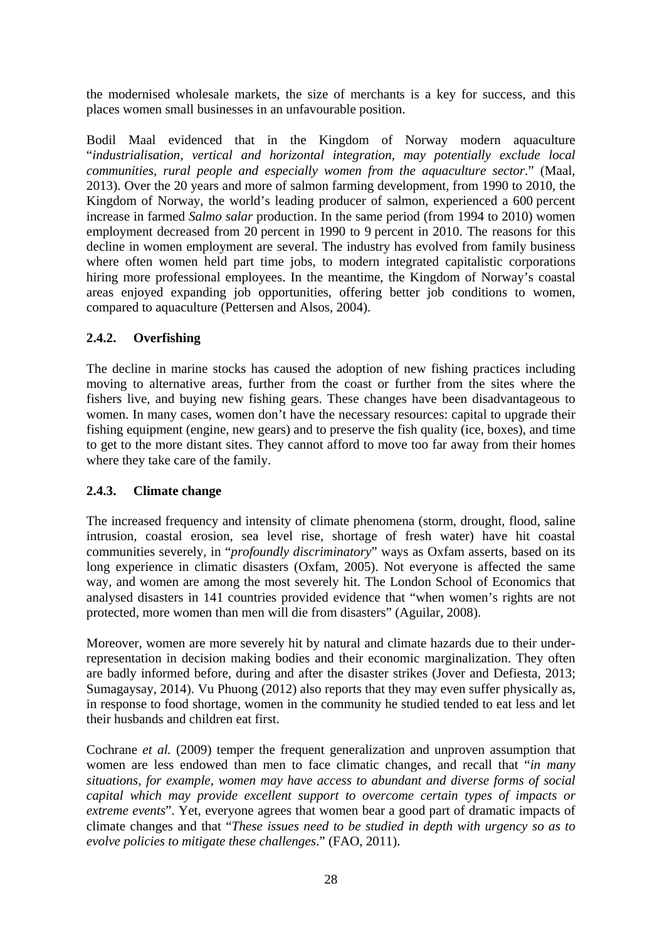the modernised wholesale markets, the size of merchants is a key for success, and this places women small businesses in an unfavourable position.

Bodil Maal evidenced that in the Kingdom of Norway modern aquaculture "*industrialisation, vertical and horizontal integration, may potentially exclude local communities, rural people and especially women from the aquaculture sector*." (Maal, 2013). Over the 20 years and more of salmon farming development, from 1990 to 2010, the Kingdom of Norway, the world's leading producer of salmon, experienced a 600 percent increase in farmed *Salmo salar* production. In the same period (from 1994 to 2010) women employment decreased from 20 percent in 1990 to 9 percent in 2010. The reasons for this decline in women employment are several. The industry has evolved from family business where often women held part time jobs, to modern integrated capitalistic corporations hiring more professional employees. In the meantime, the Kingdom of Norway's coastal areas enjoyed expanding job opportunities, offering better job conditions to women, compared to aquaculture (Pettersen and Alsos, 2004).

# **2.4.2. Overfishing**

The decline in marine stocks has caused the adoption of new fishing practices including moving to alternative areas, further from the coast or further from the sites where the fishers live, and buying new fishing gears. These changes have been disadvantageous to women. In many cases, women don't have the necessary resources: capital to upgrade their fishing equipment (engine, new gears) and to preserve the fish quality (ice, boxes), and time to get to the more distant sites. They cannot afford to move too far away from their homes where they take care of the family.

# **2.4.3. Climate change**

The increased frequency and intensity of climate phenomena (storm, drought, flood, saline intrusion, coastal erosion, sea level rise, shortage of fresh water) have hit coastal communities severely, in "*profoundly discriminatory*" ways as Oxfam asserts, based on its long experience in climatic disasters (Oxfam, 2005). Not everyone is affected the same way, and women are among the most severely hit. The London School of Economics that analysed disasters in 141 countries provided evidence that "when women's rights are not protected, more women than men will die from disasters" (Aguilar, 2008).

Moreover, women are more severely hit by natural and climate hazards due to their underrepresentation in decision making bodies and their economic marginalization. They often are badly informed before, during and after the disaster strikes (Jover and Defiesta, 2013; Sumagaysay, 2014). Vu Phuong (2012) also reports that they may even suffer physically as, in response to food shortage, women in the community he studied tended to eat less and let their husbands and children eat first.

Cochrane *et al.* (2009) temper the frequent generalization and unproven assumption that women are less endowed than men to face climatic changes, and recall that "*in many situations, for example, women may have access to abundant and diverse forms of social capital which may provide excellent support to overcome certain types of impacts or extreme events*". Yet, everyone agrees that women bear a good part of dramatic impacts of climate changes and that "*These issues need to be studied in depth with urgency so as to evolve policies to mitigate these challenges*." (FAO, 2011).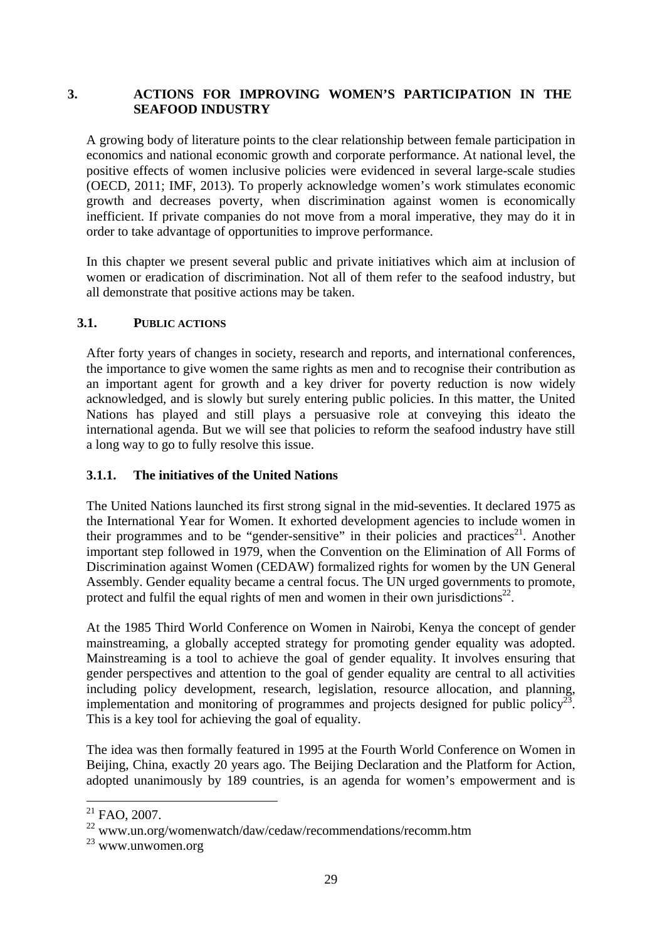# **3. ACTIONS FOR IMPROVING WOMEN'S PARTICIPATION IN THE SEAFOOD INDUSTRY**

A growing body of literature points to the clear relationship between female participation in economics and national economic growth and corporate performance. At national level, the positive effects of women inclusive policies were evidenced in several large-scale studies (OECD, 2011; IMF, 2013). To properly acknowledge women's work stimulates economic growth and decreases poverty, when discrimination against women is economically inefficient. If private companies do not move from a moral imperative, they may do it in order to take advantage of opportunities to improve performance.

In this chapter we present several public and private initiatives which aim at inclusion of women or eradication of discrimination. Not all of them refer to the seafood industry, but all demonstrate that positive actions may be taken.

### **3.1. PUBLIC ACTIONS**

After forty years of changes in society, research and reports, and international conferences, the importance to give women the same rights as men and to recognise their contribution as an important agent for growth and a key driver for poverty reduction is now widely acknowledged, and is slowly but surely entering public policies. In this matter, the United Nations has played and still plays a persuasive role at conveying this ideato the international agenda. But we will see that policies to reform the seafood industry have still a long way to go to fully resolve this issue.

#### **3.1.1. The initiatives of the United Nations**

The United Nations launched its first strong signal in the mid-seventies. It declared 1975 as the International Year for Women. It exhorted development agencies to include women in their programmes and to be "gender-sensitive" in their policies and practices<sup>21</sup>. Another important step followed in 1979, when the Convention on the Elimination of All Forms of Discrimination against Women (CEDAW) formalized rights for women by the UN General Assembly. Gender equality became a central focus. The UN urged governments to promote, protect and fulfil the equal rights of men and women in their own jurisdictions<sup>22</sup>.

At the 1985 Third World Conference on Women in Nairobi, Kenya the concept of gender mainstreaming, a globally accepted strategy for promoting gender equality was adopted. Mainstreaming is a tool to achieve the goal of gender equality. It involves ensuring that gender perspectives and attention to the goal of gender equality are central to all activities including policy development, research, legislation, resource allocation, and planning, implementation and monitoring of programmes and projects designed for public policy<sup>23</sup>. This is a key tool for achieving the goal of equality.

The idea was then formally featured in 1995 at the Fourth World Conference on Women in Beijing, China, exactly 20 years ago. The Beijing Declaration and the Platform for Action, adopted unanimously by 189 countries, is an agenda for women's empowerment and is

-

 $21$  FAO, 2007.

<sup>22</sup> www.un.org/womenwatch/daw/cedaw/recommendations/recomm.htm

<sup>23</sup> www.unwomen.org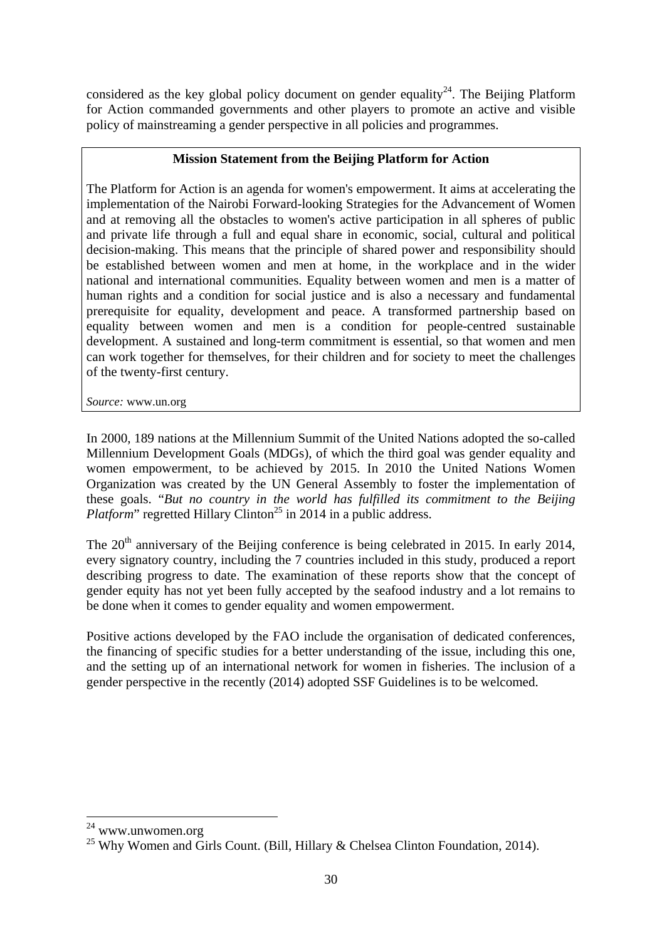considered as the key global policy document on gender equality<sup>24</sup>. The Beijing Platform for Action commanded governments and other players to promote an active and visible policy of mainstreaming a gender perspective in all policies and programmes.

### **Mission Statement from the Beijing Platform for Action**

The Platform for Action is an agenda for women's empowerment. It aims at accelerating the implementation of the Nairobi Forward-looking Strategies for the Advancement of Women and at removing all the obstacles to women's active participation in all spheres of public and private life through a full and equal share in economic, social, cultural and political decision-making. This means that the principle of shared power and responsibility should be established between women and men at home, in the workplace and in the wider national and international communities. Equality between women and men is a matter of human rights and a condition for social justice and is also a necessary and fundamental prerequisite for equality, development and peace. A transformed partnership based on equality between women and men is a condition for people-centred sustainable development. A sustained and long-term commitment is essential, so that women and men can work together for themselves, for their children and for society to meet the challenges of the twenty-first century.

*Source:* www.un.org

In 2000, 189 nations at the Millennium Summit of the United Nations adopted the so-called Millennium Development Goals (MDGs), of which the third goal was gender equality and women empowerment, to be achieved by 2015. In 2010 the United Nations Women Organization was created by the UN General Assembly to foster the implementation of these goals. "*But no country in the world has fulfilled its commitment to the Beijing Platform*" regretted Hillary Clinton<sup>25</sup> in 2014 in a public address.

The 20<sup>th</sup> anniversary of the Beijing conference is being celebrated in 2015. In early 2014, every signatory country, including the 7 countries included in this study, produced a report describing progress to date. The examination of these reports show that the concept of gender equity has not yet been fully accepted by the seafood industry and a lot remains to be done when it comes to gender equality and women empowerment.

Positive actions developed by the FAO include the organisation of dedicated conferences, the financing of specific studies for a better understanding of the issue, including this one, and the setting up of an international network for women in fisheries. The inclusion of a gender perspective in the recently (2014) adopted SSF Guidelines is to be welcomed.

 $24$  www.unwomen.org

<sup>&</sup>lt;sup>25</sup> Why Women and Girls Count. (Bill, Hillary & Chelsea Clinton Foundation, 2014).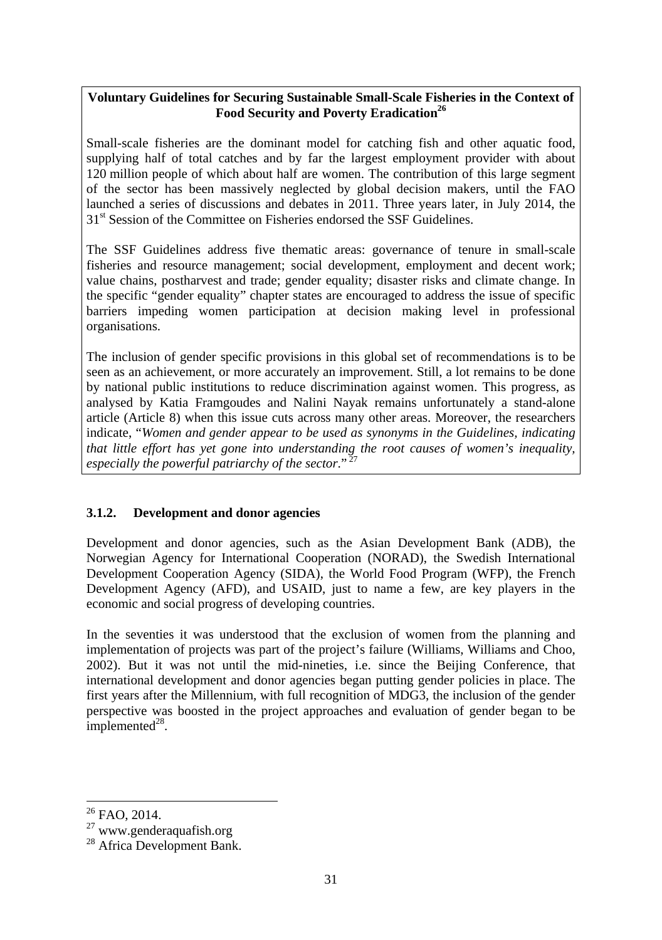## **Voluntary Guidelines for Securing Sustainable Small-Scale Fisheries in the Context of**  Food Security and Poverty Eradication<sup>26</sup>

Small-scale fisheries are the dominant model for catching fish and other aquatic food, supplying half of total catches and by far the largest employment provider with about 120 million people of which about half are women. The contribution of this large segment of the sector has been massively neglected by global decision makers, until the FAO launched a series of discussions and debates in 2011. Three years later, in July 2014, the 31<sup>st</sup> Session of the Committee on Fisheries endorsed the SSF Guidelines.

The SSF Guidelines address five thematic areas: governance of tenure in small-scale fisheries and resource management; social development, employment and decent work; value chains, postharvest and trade; gender equality; disaster risks and climate change. In the specific "gender equality" chapter states are encouraged to address the issue of specific barriers impeding women participation at decision making level in professional organisations.

The inclusion of gender specific provisions in this global set of recommendations is to be seen as an achievement, or more accurately an improvement. Still, a lot remains to be done by national public institutions to reduce discrimination against women. This progress, as analysed by Katia Framgoudes and Nalini Nayak remains unfortunately a stand-alone article (Article 8) when this issue cuts across many other areas. Moreover, the researchers indicate, "*Women and gender appear to be used as synonyms in the Guidelines, indicating that little effort has yet gone into understanding the root causes of women's inequality, especially the powerful patriarchy of the sector*." 27

## **3.1.2. Development and donor agencies**

Development and donor agencies, such as the Asian Development Bank (ADB), the Norwegian Agency for International Cooperation (NORAD), the Swedish International Development Cooperation Agency (SIDA), the World Food Program (WFP), the French Development Agency (AFD), and USAID, just to name a few, are key players in the economic and social progress of developing countries.

In the seventies it was understood that the exclusion of women from the planning and implementation of projects was part of the project's failure (Williams, Williams and Choo, 2002). But it was not until the mid-nineties, i.e. since the Beijing Conference, that international development and donor agencies began putting gender policies in place. The first years after the Millennium, with full recognition of MDG3, the inclusion of the gender perspective was boosted in the project approaches and evaluation of gender began to be implemented $^{28}$ .

<sup>&</sup>lt;sup>26</sup> FAO, 2014.

<sup>27</sup> www.genderaquafish.org

<sup>&</sup>lt;sup>28</sup> Africa Development Bank.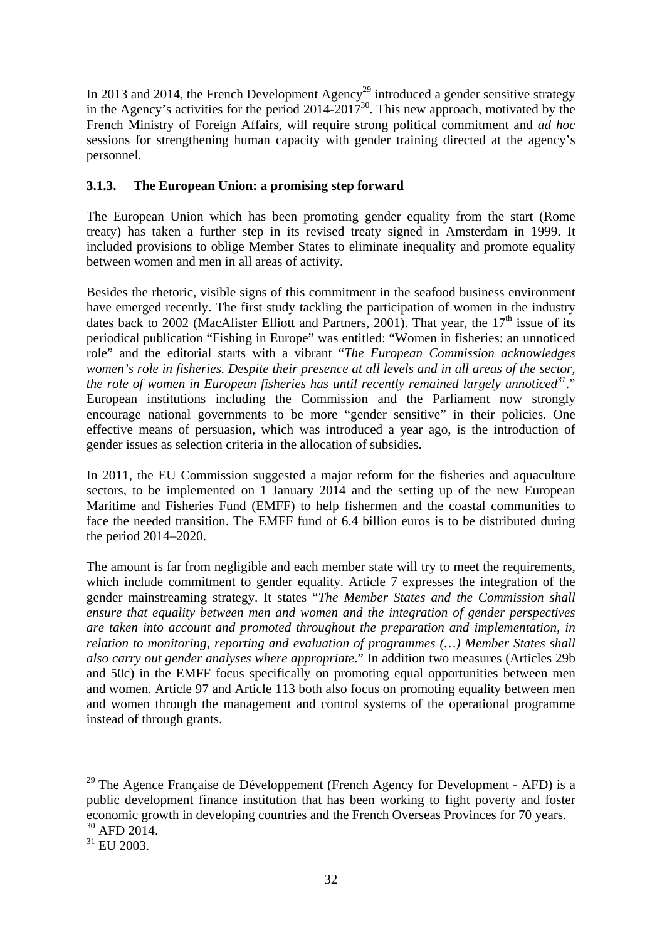In 2013 and 2014, the French Development Agency<sup>29</sup> introduced a gender sensitive strategy in the Agency's activities for the period  $2014-2017^{30}$ . This new approach, motivated by the French Ministry of Foreign Affairs, will require strong political commitment and *ad hoc* sessions for strengthening human capacity with gender training directed at the agency's personnel.

## **3.1.3. The European Union: a promising step forward**

The European Union which has been promoting gender equality from the start (Rome treaty) has taken a further step in its revised treaty signed in Amsterdam in 1999. It included provisions to oblige Member States to eliminate inequality and promote equality between women and men in all areas of activity.

Besides the rhetoric, visible signs of this commitment in the seafood business environment have emerged recently. The first study tackling the participation of women in the industry dates back to 2002 (MacAlister Elliott and Partners, 2001). That year, the  $17<sup>th</sup>$  issue of its periodical publication "Fishing in Europe" was entitled: "Women in fisheries: an unnoticed role" and the editorial starts with a vibrant "*The European Commission acknowledges women's role in fisheries. Despite their presence at all levels and in all areas of the sector, the role of women in European fisheries has until recently remained largely unnoticed*<sup>31</sup>." European institutions including the Commission and the Parliament now strongly encourage national governments to be more "gender sensitive" in their policies. One effective means of persuasion, which was introduced a year ago, is the introduction of gender issues as selection criteria in the allocation of subsidies.

In 2011, the EU Commission suggested a major reform for the fisheries and aquaculture sectors, to be implemented on 1 January 2014 and the setting up of the new European Maritime and Fisheries Fund (EMFF) to help fishermen and the coastal communities to face the needed transition. The EMFF fund of 6.4 billion euros is to be distributed during the period 2014–2020.

The amount is far from negligible and each member state will try to meet the requirements, which include commitment to gender equality. Article 7 expresses the integration of the gender mainstreaming strategy. It states "*The Member States and the Commission shall ensure that equality between men and women and the integration of gender perspectives are taken into account and promoted throughout the preparation and implementation, in relation to monitoring, reporting and evaluation of programmes (…) Member States shall also carry out gender analyses where appropriate*." In addition two measures (Articles 29b and 50c) in the EMFF focus specifically on promoting equal opportunities between men and women. Article 97 and Article 113 both also focus on promoting equality between men and women through the management and control systems of the operational programme instead of through grants.

 $^{29}$  The Agence Française de Développement (French Agency for Development - AFD) is a public development finance institution that has been working to fight poverty and foster economic growth in developing countries and the French Overseas Provinces for 70 years. 30 AFD 2014.

<sup>&</sup>lt;sup>31</sup> EU 2003.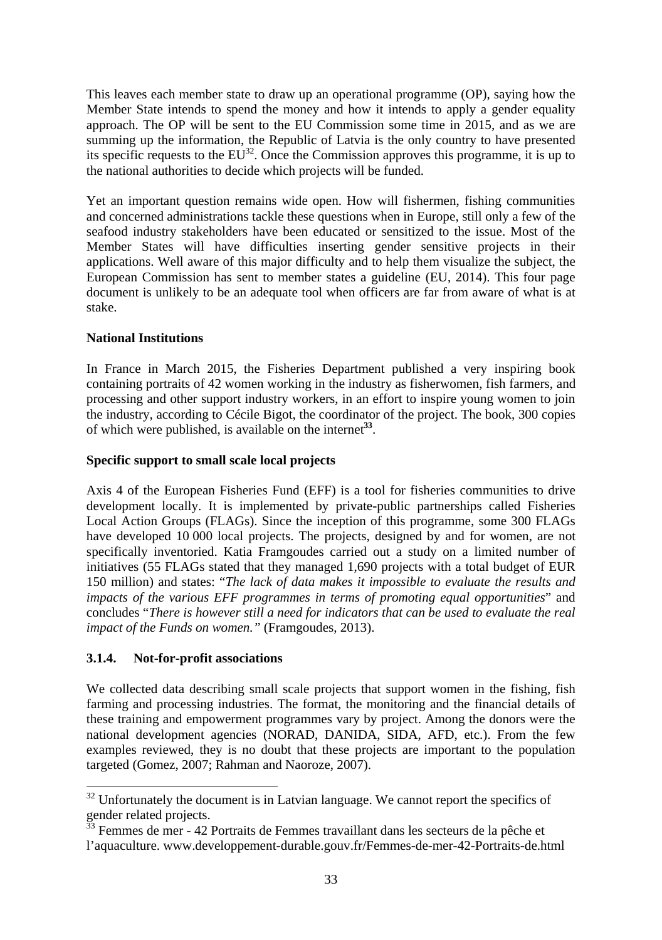This leaves each member state to draw up an operational programme (OP), saying how the Member State intends to spend the money and how it intends to apply a gender equality approach. The OP will be sent to the EU Commission some time in 2015, and as we are summing up the information, the Republic of Latvia is the only country to have presented its specific requests to the  $EU^{32}$ . Once the Commission approves this programme, it is up to the national authorities to decide which projects will be funded.

Yet an important question remains wide open. How will fishermen, fishing communities and concerned administrations tackle these questions when in Europe, still only a few of the seafood industry stakeholders have been educated or sensitized to the issue. Most of the Member States will have difficulties inserting gender sensitive projects in their applications. Well aware of this major difficulty and to help them visualize the subject, the European Commission has sent to member states a guideline (EU, 2014). This four page document is unlikely to be an adequate tool when officers are far from aware of what is at stake.

### **National Institutions**

In France in March 2015, the Fisheries Department published a very inspiring book containing portraits of 42 women working in the industry as fisherwomen, fish farmers, and processing and other support industry workers, in an effort to inspire young women to join the industry, according to Cécile Bigot, the coordinator of the project. The book, 300 copies of which were published, is available on the internet**<sup>33</sup>**.

### **Specific support to small scale local projects**

Axis 4 of the European Fisheries Fund (EFF) is a tool for fisheries communities to drive development locally. It is implemented by private-public partnerships called Fisheries Local Action Groups (FLAGs). Since the inception of this programme, some 300 FLAGs have developed 10 000 local projects. The projects, designed by and for women, are not specifically inventoried. Katia Framgoudes carried out a study on a limited number of initiatives (55 FLAGs stated that they managed 1,690 projects with a total budget of EUR 150 million) and states: "*The lack of data makes it impossible to evaluate the results and impacts of the various EFF programmes in terms of promoting equal opportunities*" and concludes "*There is however still a need for indicators that can be used to evaluate the real impact of the Funds on women."* (Framgoudes, 2013).

## **3.1.4. Not-for-profit associations**

1

We collected data describing small scale projects that support women in the fishing, fish farming and processing industries. The format, the monitoring and the financial details of these training and empowerment programmes vary by project. Among the donors were the national development agencies (NORAD, DANIDA, SIDA, AFD, etc.). From the few examples reviewed, they is no doubt that these projects are important to the population targeted (Gomez, 2007; Rahman and Naoroze, 2007).

 $32$  Unfortunately the document is in Latvian language. We cannot report the specifics of gender related projects.

 $33$  Femmes de mer - 42 Portraits de Femmes travaillant dans les secteurs de la pêche et l'aquaculture. www.developpement-durable.gouv.fr/Femmes-de-mer-42-Portraits-de.html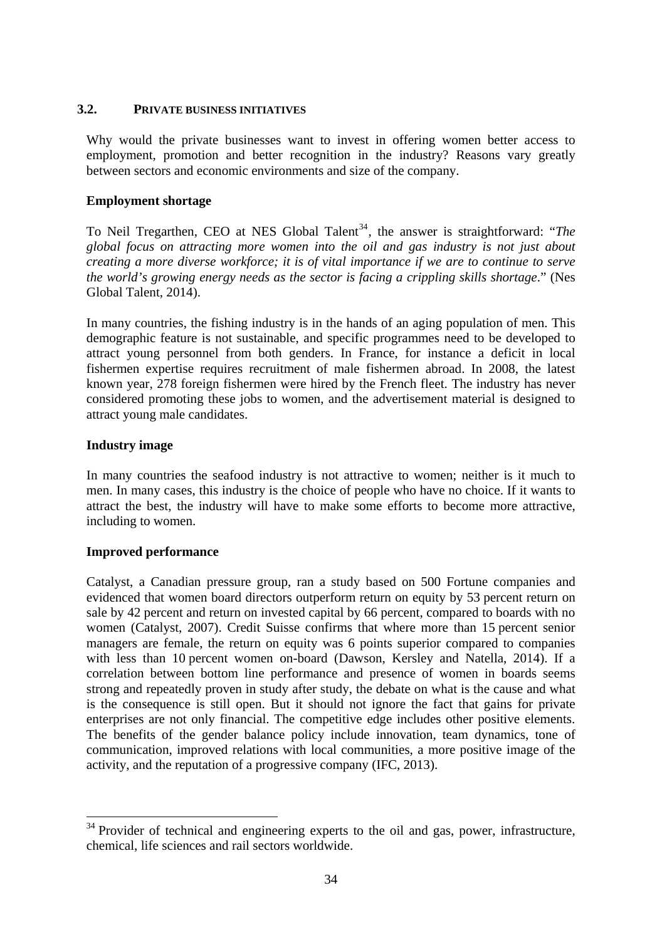### **3.2. PRIVATE BUSINESS INITIATIVES**

Why would the private businesses want to invest in offering women better access to employment, promotion and better recognition in the industry? Reasons vary greatly between sectors and economic environments and size of the company.

#### **Employment shortage**

To Neil Tregarthen, CEO at NES Global Talent<sup>34</sup>, the answer is straightforward: "*The global focus on attracting more women into the oil and gas industry is not just about creating a more diverse workforce; it is of vital importance if we are to continue to serve the world's growing energy needs as the sector is facing a crippling skills shortage*." (Nes Global Talent, 2014).

In many countries, the fishing industry is in the hands of an aging population of men. This demographic feature is not sustainable, and specific programmes need to be developed to attract young personnel from both genders. In France, for instance a deficit in local fishermen expertise requires recruitment of male fishermen abroad. In 2008, the latest known year, 278 foreign fishermen were hired by the French fleet. The industry has never considered promoting these jobs to women, and the advertisement material is designed to attract young male candidates.

#### **Industry image**

-

In many countries the seafood industry is not attractive to women; neither is it much to men. In many cases, this industry is the choice of people who have no choice. If it wants to attract the best, the industry will have to make some efforts to become more attractive, including to women.

### **Improved performance**

Catalyst, a Canadian pressure group, ran a study based on 500 Fortune companies and evidenced that women board directors outperform return on equity by 53 percent return on sale by 42 percent and return on invested capital by 66 percent, compared to boards with no women (Catalyst, 2007). Credit Suisse confirms that where more than 15 percent senior managers are female, the return on equity was 6 points superior compared to companies with less than 10 percent women on-board (Dawson, Kersley and Natella, 2014). If a correlation between bottom line performance and presence of women in boards seems strong and repeatedly proven in study after study, the debate on what is the cause and what is the consequence is still open. But it should not ignore the fact that gains for private enterprises are not only financial. The competitive edge includes other positive elements. The benefits of the gender balance policy include innovation, team dynamics, tone of communication, improved relations with local communities, a more positive image of the activity, and the reputation of a progressive company (IFC, 2013).

 $34$  Provider of technical and engineering experts to the oil and gas, power, infrastructure, chemical, life sciences and rail sectors worldwide.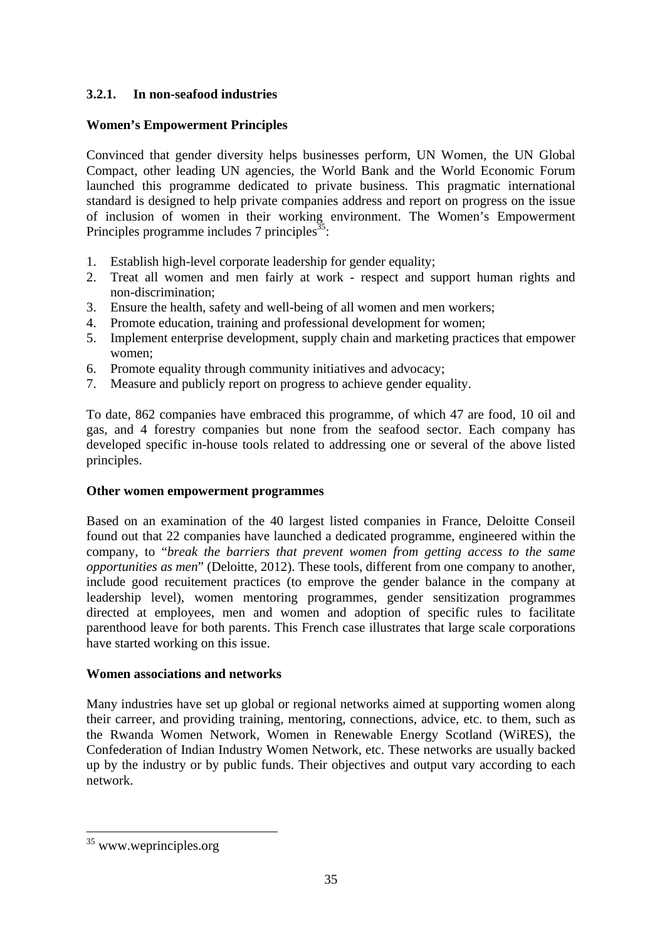## **3.2.1. In non-seafood industries**

## **Women's Empowerment Principles**

Convinced that gender diversity helps businesses perform, UN Women, the UN Global Compact, other leading UN agencies, the World Bank and the World Economic Forum launched this programme dedicated to private business. This pragmatic international standard is designed to help private companies address and report on progress on the issue of inclusion of women in their working environment. The Women's Empowerment Principles programme includes  $7$  principles<sup>35</sup>:

- 1. Establish high-level corporate leadership for gender equality;
- 2. Treat all women and men fairly at work respect and support human rights and non-discrimination;
- 3. Ensure the health, safety and well-being of all women and men workers;
- 4. Promote education, training and professional development for women;
- 5. Implement enterprise development, supply chain and marketing practices that empower women;
- 6. Promote equality through community initiatives and advocacy;
- 7. Measure and publicly report on progress to achieve gender equality.

To date, 862 companies have embraced this programme, of which 47 are food, 10 oil and gas, and 4 forestry companies but none from the seafood sector. Each company has developed specific in-house tools related to addressing one or several of the above listed principles.

## **Other women empowerment programmes**

Based on an examination of the 40 largest listed companies in France, Deloitte Conseil found out that 22 companies have launched a dedicated programme, engineered within the company, to "*break the barriers that prevent women from getting access to the same opportunities as men*" (Deloitte, 2012). These tools, different from one company to another, include good recuitement practices (to emprove the gender balance in the company at leadership level), women mentoring programmes, gender sensitization programmes directed at employees, men and women and adoption of specific rules to facilitate parenthood leave for both parents. This French case illustrates that large scale corporations have started working on this issue.

## **Women associations and networks**

Many industries have set up global or regional networks aimed at supporting women along their carreer, and providing training, mentoring, connections, advice, etc. to them, such as the Rwanda Women Network, Women in Renewable Energy Scotland (WiRES), the Confederation of Indian Industry Women Network, etc. These networks are usually backed up by the industry or by public funds. Their objectives and output vary according to each network.

1

<sup>&</sup>lt;sup>35</sup> www.weprinciples.org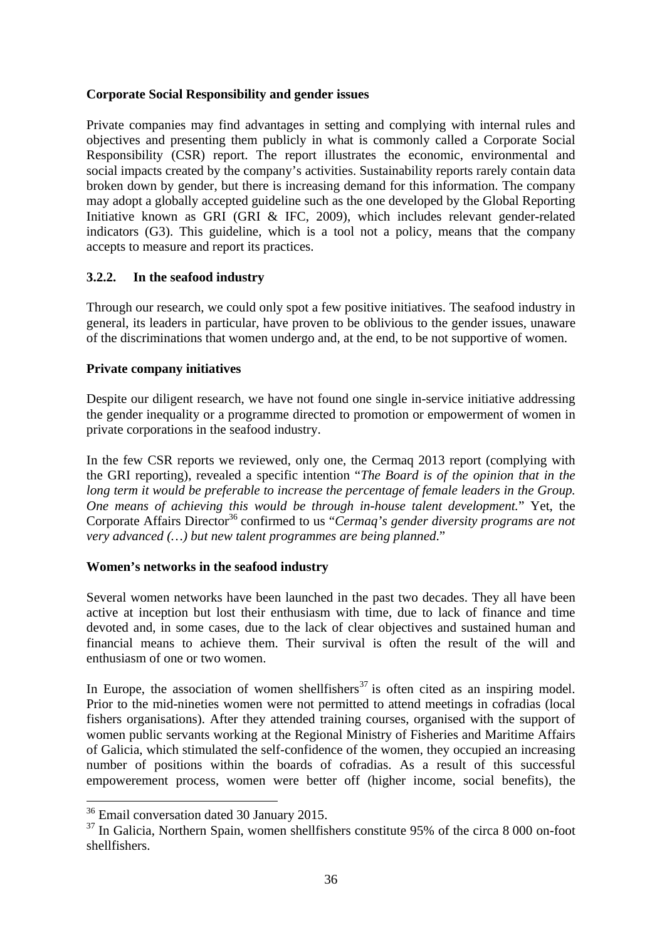### **Corporate Social Responsibility and gender issues**

Private companies may find advantages in setting and complying with internal rules and objectives and presenting them publicly in what is commonly called a Corporate Social Responsibility (CSR) report. The report illustrates the economic, environmental and social impacts created by the company's activities. Sustainability reports rarely contain data broken down by gender, but there is increasing demand for this information. The company may adopt a globally accepted guideline such as the one developed by the Global Reporting Initiative known as GRI (GRI & IFC, 2009), which includes relevant gender-related indicators (G3). This guideline, which is a tool not a policy, means that the company accepts to measure and report its practices.

## **3.2.2. In the seafood industry**

Through our research, we could only spot a few positive initiatives. The seafood industry in general, its leaders in particular, have proven to be oblivious to the gender issues, unaware of the discriminations that women undergo and, at the end, to be not supportive of women.

## **Private company initiatives**

Despite our diligent research, we have not found one single in-service initiative addressing the gender inequality or a programme directed to promotion or empowerment of women in private corporations in the seafood industry.

In the few CSR reports we reviewed, only one, the Cermaq 2013 report (complying with the GRI reporting), revealed a specific intention "*The Board is of the opinion that in the long term it would be preferable to increase the percentage of female leaders in the Group. One means of achieving this would be through in-house talent development.*" Yet, the Corporate Affairs Director<sup>36</sup> confirmed to us "*Cermaq's gender diversity programs are not very advanced (…) but new talent programmes are being planned*."

## **Women's networks in the seafood industry**

Several women networks have been launched in the past two decades. They all have been active at inception but lost their enthusiasm with time, due to lack of finance and time devoted and, in some cases, due to the lack of clear objectives and sustained human and financial means to achieve them. Their survival is often the result of the will and enthusiasm of one or two women.

In Europe, the association of women shellfishers<sup>37</sup> is often cited as an inspiring model. Prior to the mid-nineties women were not permitted to attend meetings in cofradias (local fishers organisations). After they attended training courses, organised with the support of women public servants working at the Regional Ministry of Fisheries and Maritime Affairs of Galicia, which stimulated the self-confidence of the women, they occupied an increasing number of positions within the boards of cofradias. As a result of this successful empowerement process, women were better off (higher income, social benefits), the

<sup>36</sup> Email conversation dated 30 January 2015.

 $37$  In Galicia, Northern Spain, women shellfishers constitute 95% of the circa 8 000 on-foot shellfishers.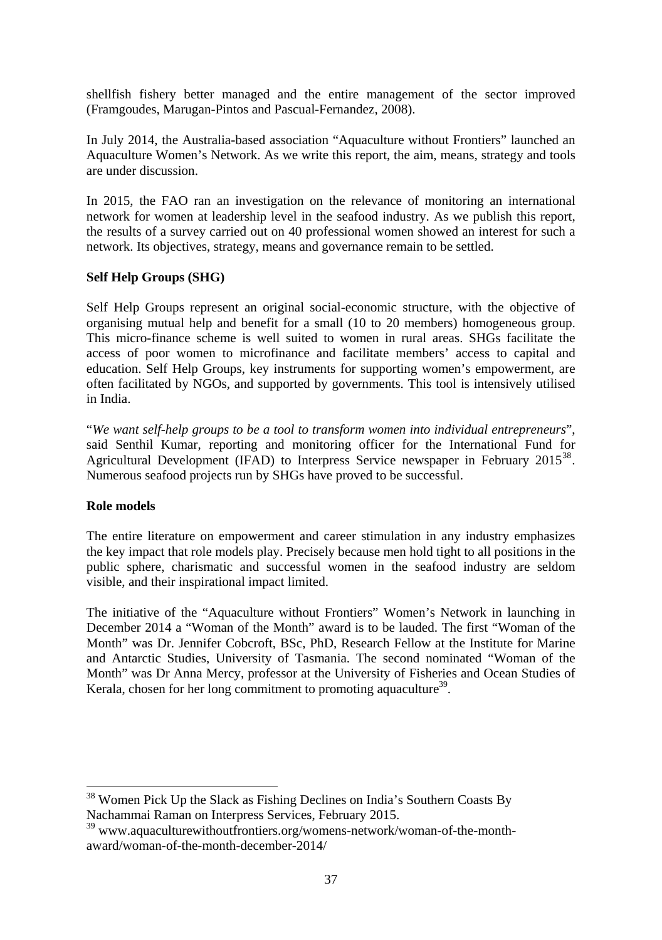shellfish fishery better managed and the entire management of the sector improved (Framgoudes, Marugan-Pintos and Pascual-Fernandez, 2008).

In July 2014, the Australia-based association "Aquaculture without Frontiers" launched an Aquaculture Women's Network. As we write this report, the aim, means, strategy and tools are under discussion.

In 2015, the FAO ran an investigation on the relevance of monitoring an international network for women at leadership level in the seafood industry. As we publish this report, the results of a survey carried out on 40 professional women showed an interest for such a network. Its objectives, strategy, means and governance remain to be settled.

### **Self Help Groups (SHG)**

Self Help Groups represent an original social-economic structure, with the objective of organising mutual help and benefit for a small (10 to 20 members) homogeneous group. This micro-finance scheme is well suited to women in rural areas. SHGs facilitate the access of poor women to microfinance and facilitate members' access to capital and education. Self Help Groups, key instruments for supporting women's empowerment, are often facilitated by NGOs, and supported by governments. This tool is intensively utilised in India.

"*We want self-help groups to be a tool to transform women into individual entrepreneurs*", said Senthil Kumar, reporting and monitoring officer for the International Fund for Agricultural Development (IFAD) to Interpress Service newspaper in February 2015<sup>38</sup>. Numerous seafood projects run by SHGs have proved to be successful.

### **Role models**

1

The entire literature on empowerment and career stimulation in any industry emphasizes the key impact that role models play. Precisely because men hold tight to all positions in the public sphere, charismatic and successful women in the seafood industry are seldom visible, and their inspirational impact limited.

The initiative of the "Aquaculture without Frontiers" Women's Network in launching in December 2014 a "Woman of the Month" award is to be lauded. The first "Woman of the Month" was Dr. Jennifer Cobcroft, BSc, PhD, Research Fellow at the Institute for Marine and Antarctic Studies, University of Tasmania. The second nominated "Woman of the Month" was Dr Anna Mercy, professor at the University of Fisheries and Ocean Studies of Kerala, chosen for her long commitment to promoting aquaculture<sup>39</sup>.

 $38$  Women Pick Up the Slack as Fishing Declines on India's Southern Coasts By Nachammai Raman on Interpress Services, February 2015.

<sup>&</sup>lt;sup>39</sup> www.aquaculturewithoutfrontiers.org/womens-network/woman-of-the-monthaward/woman-of-the-month-december-2014/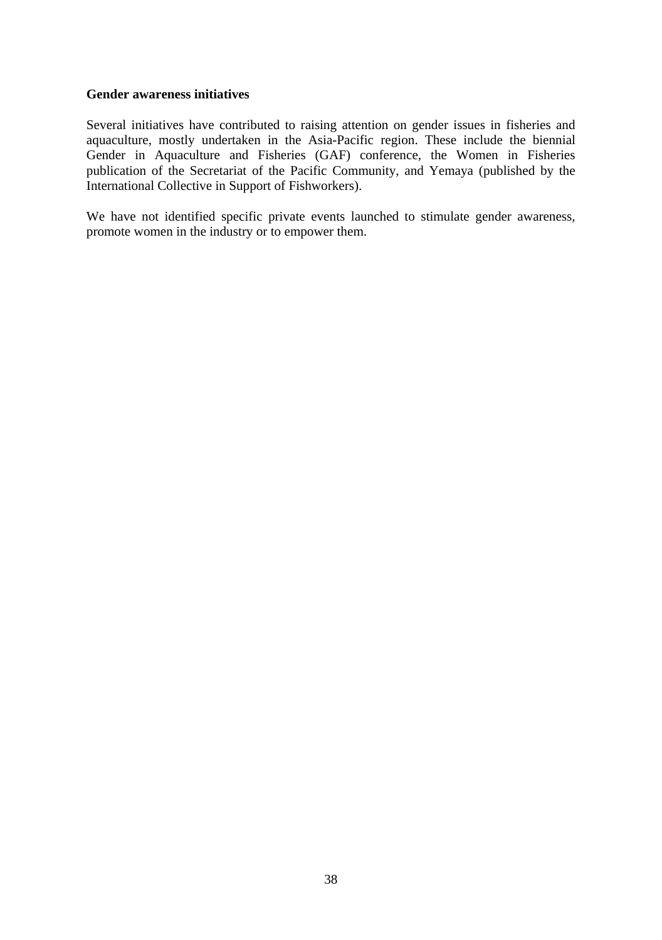#### **Gender awareness initiatives**

Several initiatives have contributed to raising attention on gender issues in fisheries and aquaculture, mostly undertaken in the Asia-Pacific region. These include the biennial Gender in Aquaculture and Fisheries (GAF) conference, the Women in Fisheries publication of the Secretariat of the Pacific Community, and Yemaya (published by the International Collective in Support of Fishworkers).

We have not identified specific private events launched to stimulate gender awareness, promote women in the industry or to empower them.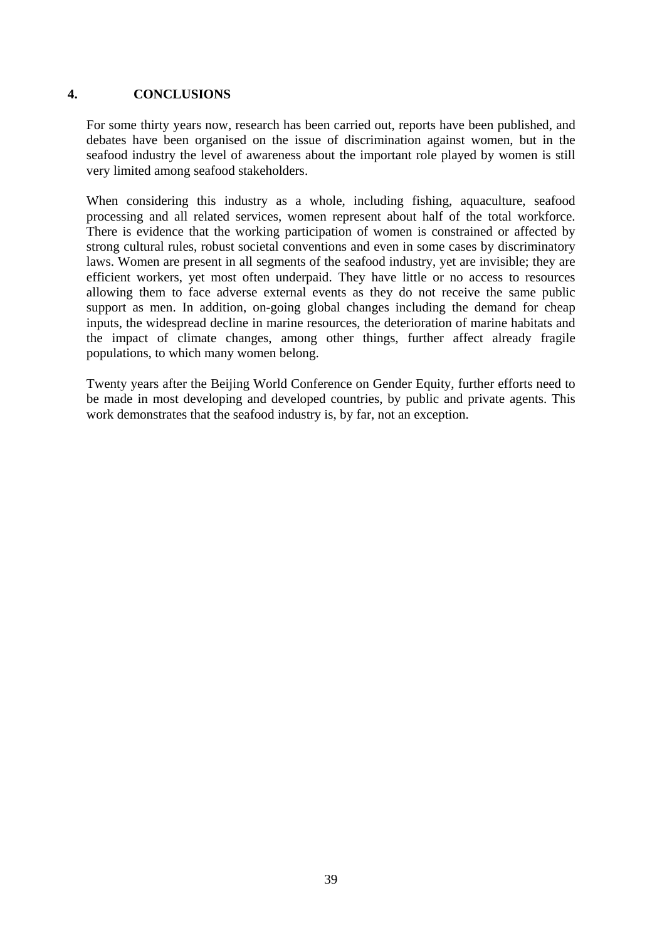### **4. CONCLUSIONS**

For some thirty years now, research has been carried out, reports have been published, and debates have been organised on the issue of discrimination against women, but in the seafood industry the level of awareness about the important role played by women is still very limited among seafood stakeholders.

When considering this industry as a whole, including fishing, aquaculture, seafood processing and all related services, women represent about half of the total workforce. There is evidence that the working participation of women is constrained or affected by strong cultural rules, robust societal conventions and even in some cases by discriminatory laws. Women are present in all segments of the seafood industry, yet are invisible; they are efficient workers, yet most often underpaid. They have little or no access to resources allowing them to face adverse external events as they do not receive the same public support as men. In addition, on-going global changes including the demand for cheap inputs, the widespread decline in marine resources, the deterioration of marine habitats and the impact of climate changes, among other things, further affect already fragile populations, to which many women belong.

Twenty years after the Beijing World Conference on Gender Equity, further efforts need to be made in most developing and developed countries, by public and private agents. This work demonstrates that the seafood industry is, by far, not an exception.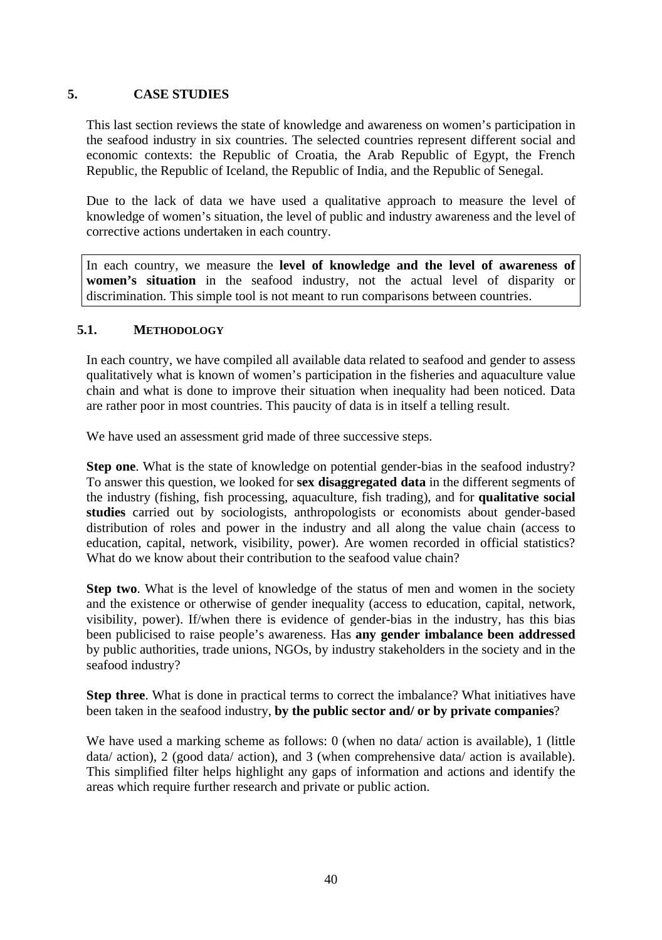## **5. CASE STUDIES**

This last section reviews the state of knowledge and awareness on women's participation in the seafood industry in six countries. The selected countries represent different social and economic contexts: the Republic of Croatia, the Arab Republic of Egypt, the French Republic, the Republic of Iceland, the Republic of India, and the Republic of Senegal.

Due to the lack of data we have used a qualitative approach to measure the level of knowledge of women's situation, the level of public and industry awareness and the level of corrective actions undertaken in each country.

In each country, we measure the **level of knowledge and the level of awareness of women's situation** in the seafood industry, not the actual level of disparity or discrimination. This simple tool is not meant to run comparisons between countries.

### **5.1. METHODOLOGY**

In each country, we have compiled all available data related to seafood and gender to assess qualitatively what is known of women's participation in the fisheries and aquaculture value chain and what is done to improve their situation when inequality had been noticed. Data are rather poor in most countries. This paucity of data is in itself a telling result.

We have used an assessment grid made of three successive steps.

**Step one**. What is the state of knowledge on potential gender-bias in the seafood industry? To answer this question, we looked for **sex disaggregated data** in the different segments of the industry (fishing, fish processing, aquaculture, fish trading), and for **qualitative social studies** carried out by sociologists, anthropologists or economists about gender-based distribution of roles and power in the industry and all along the value chain (access to education, capital, network, visibility, power). Are women recorded in official statistics? What do we know about their contribution to the seafood value chain?

**Step two**. What is the level of knowledge of the status of men and women in the society and the existence or otherwise of gender inequality (access to education, capital, network, visibility, power). If/when there is evidence of gender-bias in the industry, has this bias been publicised to raise people's awareness. Has **any gender imbalance been addressed** by public authorities, trade unions, NGOs, by industry stakeholders in the society and in the seafood industry?

**Step three.** What is done in practical terms to correct the imbalance? What initiatives have been taken in the seafood industry, **by the public sector and/ or by private companies**?

We have used a marking scheme as follows: 0 (when no data/ action is available), 1 (little data/ action), 2 (good data/ action), and 3 (when comprehensive data/ action is available). This simplified filter helps highlight any gaps of information and actions and identify the areas which require further research and private or public action.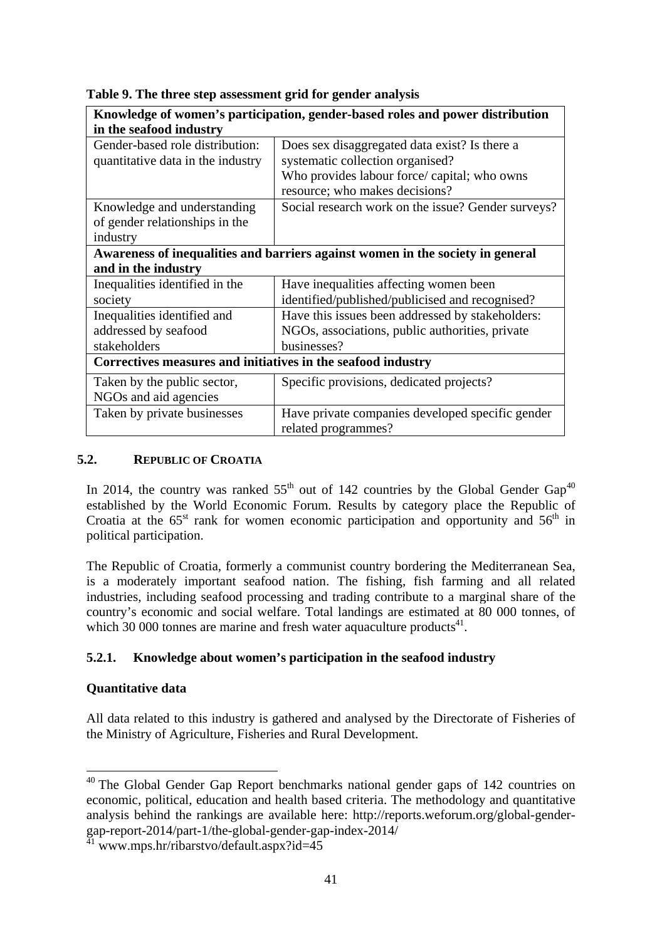| Knowledge of women's participation, gender-based roles and power distribution |                                                                                |  |  |
|-------------------------------------------------------------------------------|--------------------------------------------------------------------------------|--|--|
| in the seafood industry                                                       |                                                                                |  |  |
| Gender-based role distribution:                                               | Does sex disaggregated data exist? Is there a                                  |  |  |
| quantitative data in the industry                                             | systematic collection organised?                                               |  |  |
|                                                                               | Who provides labour force/ capital; who owns                                   |  |  |
|                                                                               | resource; who makes decisions?                                                 |  |  |
| Knowledge and understanding                                                   | Social research work on the issue? Gender surveys?                             |  |  |
| of gender relationships in the                                                |                                                                                |  |  |
| industry                                                                      |                                                                                |  |  |
|                                                                               | Awareness of inequalities and barriers against women in the society in general |  |  |
| and in the industry                                                           |                                                                                |  |  |
| Inequalities identified in the                                                | Have inequalities affecting women been                                         |  |  |
| society                                                                       | identified/published/publicised and recognised?                                |  |  |
| Inequalities identified and                                                   | Have this issues been addressed by stakeholders:                               |  |  |
| addressed by seafood                                                          | NGOs, associations, public authorities, private                                |  |  |
| stakeholders                                                                  | businesses?                                                                    |  |  |
| Correctives measures and initiatives in the seafood industry                  |                                                                                |  |  |
| Taken by the public sector,                                                   | Specific provisions, dedicated projects?                                       |  |  |
| NGOs and aid agencies                                                         |                                                                                |  |  |
| Taken by private businesses                                                   | Have private companies developed specific gender<br>related programmes?        |  |  |

**Table 9. The three step assessment grid for gender analysis** 

### **5.2. REPUBLIC OF CROATIA**

In 2014, the country was ranked  $55<sup>th</sup>$  out of 142 countries by the Global Gender Gap<sup>40</sup> established by the World Economic Forum. Results by category place the Republic of Croatia at the  $65<sup>st</sup>$  rank for women economic participation and opportunity and  $56<sup>th</sup>$  in political participation.

The Republic of Croatia, formerly a communist country bordering the Mediterranean Sea, is a moderately important seafood nation. The fishing, fish farming and all related industries, including seafood processing and trading contribute to a marginal share of the country's economic and social welfare. Total landings are estimated at 80 000 tonnes, of which 30 000 tonnes are marine and fresh water aquaculture products $41$ .

## **5.2.1. Knowledge about women's participation in the seafood industry**

### **Quantitative data**

-

All data related to this industry is gathered and analysed by the Directorate of Fisheries of the Ministry of Agriculture, Fisheries and Rural Development.

 $40$  The Global Gender Gap Report benchmarks national gender gaps of 142 countries on economic, political, education and health based criteria. The methodology and quantitative analysis behind the rankings are available here: http://reports.weforum.org/global-gendergap-report-2014/part-1/the-global-gender-gap-index-2014/

 $41$  www.mps.hr/ribarstvo/default.aspx?id=45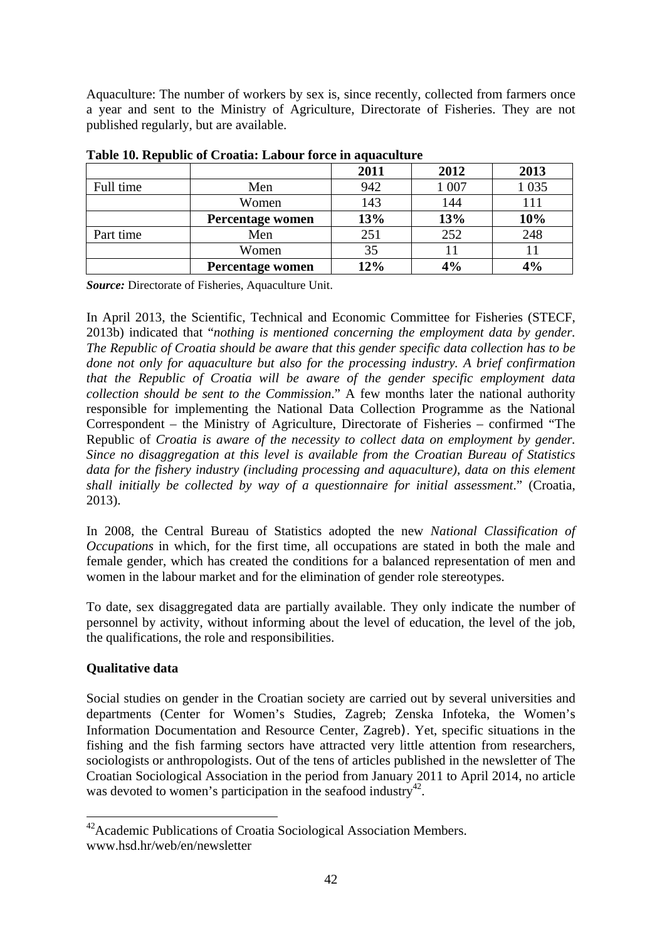Aquaculture: The number of workers by sex is, since recently, collected from farmers once a year and sent to the Ministry of Agriculture, Directorate of Fisheries. They are not published regularly, but are available.

|           |                  | 2011 | 2012  | 2013    |
|-----------|------------------|------|-------|---------|
| Full time | Men              | 942  | 1 007 | 1 0 3 5 |
|           | Women            | 143  | 144   | 111     |
|           | Percentage women | 13%  | 13%   | 10%     |
| Part time | Men              | 251  | 252   | 248     |
|           | Women            | 35   |       |         |
|           | Percentage women | 12%  | 4%    | 4%      |

**Table 10. Republic of Croatia: Labour force in aquaculture** 

*Source:* Directorate of Fisheries, Aquaculture Unit.

In April 2013, the Scientific, Technical and Economic Committee for Fisheries (STECF, 2013b) indicated that "*nothing is mentioned concerning the employment data by gender. The Republic of Croatia should be aware that this gender specific data collection has to be done not only for aquaculture but also for the processing industry. A brief confirmation that the Republic of Croatia will be aware of the gender specific employment data collection should be sent to the Commission*." A few months later the national authority responsible for implementing the National Data Collection Programme as the National Correspondent – the Ministry of Agriculture, Directorate of Fisheries – confirmed "The Republic of *Croatia is aware of the necessity to collect data on employment by gender. Since no disaggregation at this level is available from the Croatian Bureau of Statistics*  data for the fishery industry (including processing and aquaculture), data on this element *shall initially be collected by way of a questionnaire for initial assessment*." (Croatia, 2013).

In 2008, the Central Bureau of Statistics adopted the new *National Classification of Occupations* in which, for the first time, all occupations are stated in both the male and female gender, which has created the conditions for a balanced representation of men and women in the labour market and for the elimination of gender role stereotypes.

To date, sex disaggregated data are partially available. They only indicate the number of personnel by activity, without informing about the level of education, the level of the job, the qualifications, the role and responsibilities.

## **Qualitative data**

-

Social studies on gender in the Croatian society are carried out by several universities and departments (Center for Women's Studies, Zagreb; Zenska Infoteka, the Women's Information Documentation and Resource Center, Zagreb). Yet, specific situations in the fishing and the fish farming sectors have attracted very little attention from researchers, sociologists or anthropologists. Out of the tens of articles published in the newsletter of The Croatian Sociological Association in the period from January 2011 to April 2014, no article was devoted to women's participation in the seafood industry<sup>42</sup>.

<sup>&</sup>lt;sup>42</sup> Academic Publications of Croatia Sociological Association Members. www.hsd.hr/web/en/newsletter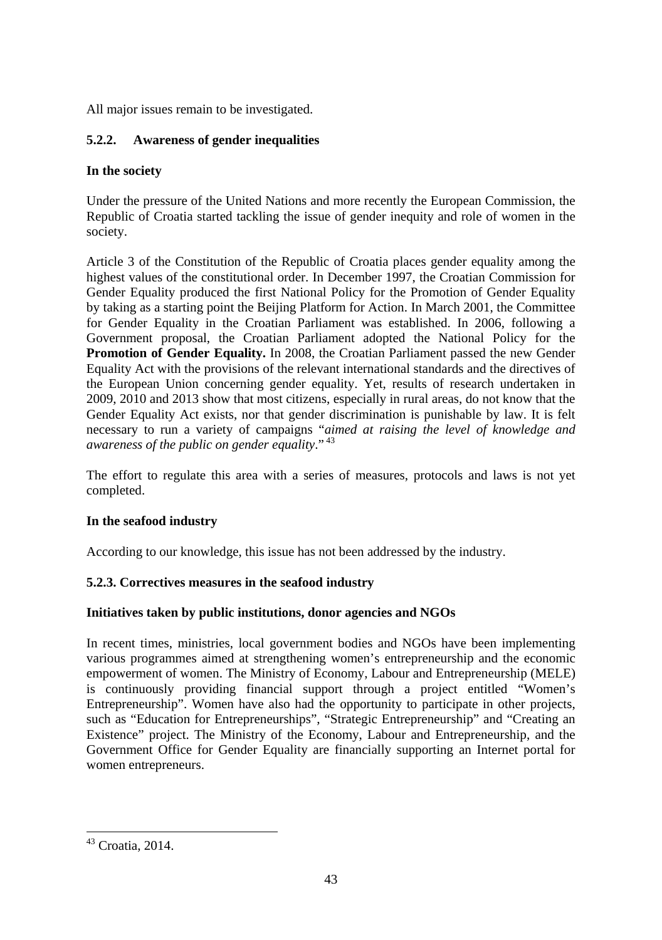All major issues remain to be investigated.

## **5.2.2. Awareness of gender inequalities**

## **In the society**

Under the pressure of the United Nations and more recently the European Commission, the Republic of Croatia started tackling the issue of gender inequity and role of women in the society.

Article 3 of the Constitution of the Republic of Croatia places gender equality among the highest values of the constitutional order. In December 1997, the Croatian Commission for Gender Equality produced the first National Policy for the Promotion of Gender Equality by taking as a starting point the Beijing Platform for Action. In March 2001, the Committee for Gender Equality in the Croatian Parliament was established. In 2006, following a Government proposal, the Croatian Parliament adopted the National Policy for the **Promotion of Gender Equality.** In 2008, the Croatian Parliament passed the new Gender Equality Act with the provisions of the relevant international standards and the directives of the European Union concerning gender equality. Yet, results of research undertaken in 2009, 2010 and 2013 show that most citizens, especially in rural areas, do not know that the Gender Equality Act exists, nor that gender discrimination is punishable by law. It is felt necessary to run a variety of campaigns "*aimed at raising the level of knowledge and awareness of the public on gender equality*." 43

The effort to regulate this area with a series of measures, protocols and laws is not yet completed.

## **In the seafood industry**

According to our knowledge, this issue has not been addressed by the industry.

## **5.2.3. Correctives measures in the seafood industry**

### **Initiatives taken by public institutions, donor agencies and NGOs**

In recent times, ministries, local government bodies and NGOs have been implementing various programmes aimed at strengthening women's entrepreneurship and the economic empowerment of women. The Ministry of Economy, Labour and Entrepreneurship (MELE) is continuously providing financial support through a project entitled "Women's Entrepreneurship". Women have also had the opportunity to participate in other projects, such as "Education for Entrepreneurships", "Strategic Entrepreneurship" and "Creating an Existence" project. The Ministry of the Economy, Labour and Entrepreneurship, and the Government Office for Gender Equality are financially supporting an Internet portal for women entrepreneurs.

1

<sup>43</sup> Croatia, 2014.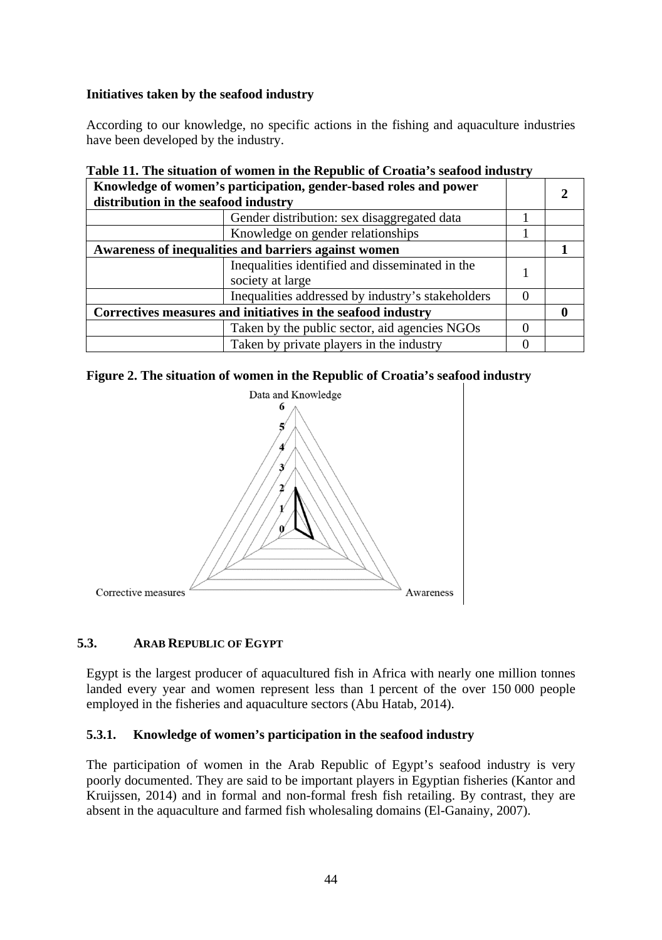### **Initiatives taken by the seafood industry**

According to our knowledge, no specific actions in the fishing and aquaculture industries have been developed by the industry.

| distribution in the seafood industry                         | Knowledge of women's participation, gender-based roles and power    |  |  |
|--------------------------------------------------------------|---------------------------------------------------------------------|--|--|
|                                                              | Gender distribution: sex disaggregated data                         |  |  |
|                                                              | Knowledge on gender relationships                                   |  |  |
| Awareness of inequalities and barriers against women         |                                                                     |  |  |
|                                                              | Inequalities identified and disseminated in the<br>society at large |  |  |
|                                                              | Inequalities addressed by industry's stakeholders                   |  |  |
| Correctives measures and initiatives in the seafood industry |                                                                     |  |  |
|                                                              | Taken by the public sector, aid agencies NGOs                       |  |  |
|                                                              | Taken by private players in the industry                            |  |  |

# **Table 11. The situation of women in the Republic of Croatia's seafood industry**





## **5.3. ARAB REPUBLIC OF EGYPT**

Egypt is the largest producer of aquacultured fish in Africa with nearly one million tonnes landed every year and women represent less than 1 percent of the over 150 000 people employed in the fisheries and aquaculture sectors (Abu Hatab, 2014).

## **5.3.1. Knowledge of women's participation in the seafood industry**

The participation of women in the Arab Republic of Egypt's seafood industry is very poorly documented. They are said to be important players in Egyptian fisheries (Kantor and Kruijssen, 2014) and in formal and non-formal fresh fish retailing. By contrast, they are absent in the aquaculture and farmed fish wholesaling domains (El-Ganainy, 2007).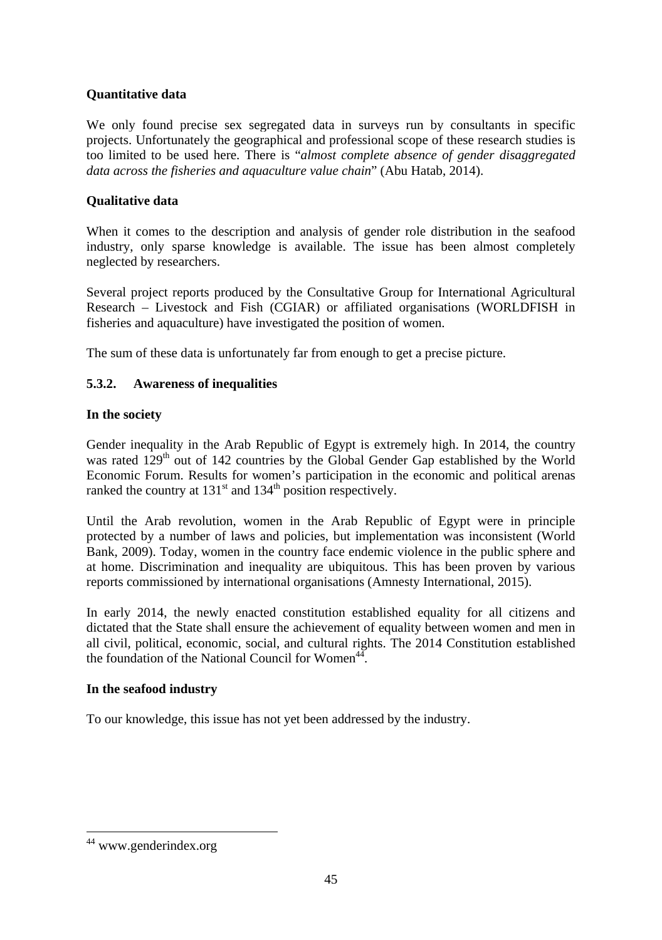## **Quantitative data**

We only found precise sex segregated data in surveys run by consultants in specific projects. Unfortunately the geographical and professional scope of these research studies is too limited to be used here. There is "*almost complete absence of gender disaggregated data across the fisheries and aquaculture value chain*" (Abu Hatab, 2014).

### **Qualitative data**

When it comes to the description and analysis of gender role distribution in the seafood industry, only sparse knowledge is available. The issue has been almost completely neglected by researchers.

Several project reports produced by the Consultative Group for International Agricultural Research – Livestock and Fish (CGIAR) or affiliated organisations (WORLDFISH in fisheries and aquaculture) have investigated the position of women.

The sum of these data is unfortunately far from enough to get a precise picture.

## **5.3.2. Awareness of inequalities**

### **In the society**

Gender inequality in the Arab Republic of Egypt is extremely high. In 2014, the country was rated 129<sup>th</sup> out of 142 countries by the Global Gender Gap established by the World Economic Forum. Results for women's participation in the economic and political arenas ranked the country at  $131<sup>st</sup>$  and  $134<sup>th</sup>$  position respectively.

Until the Arab revolution, women in the Arab Republic of Egypt were in principle protected by a number of laws and policies, but implementation was inconsistent (World Bank, 2009). Today, women in the country face endemic violence in the public sphere and at home. Discrimination and inequality are ubiquitous. This has been proven by various reports commissioned by international organisations (Amnesty International, 2015).

In early 2014, the newly enacted constitution established equality for all citizens and dictated that the State shall ensure the achievement of equality between women and men in all civil, political, economic, social, and cultural rights. The 2014 Constitution established the foundation of the National Council for Women $44$ .

### **In the seafood industry**

To our knowledge, this issue has not yet been addressed by the industry.

1

<sup>44</sup> www.genderindex.org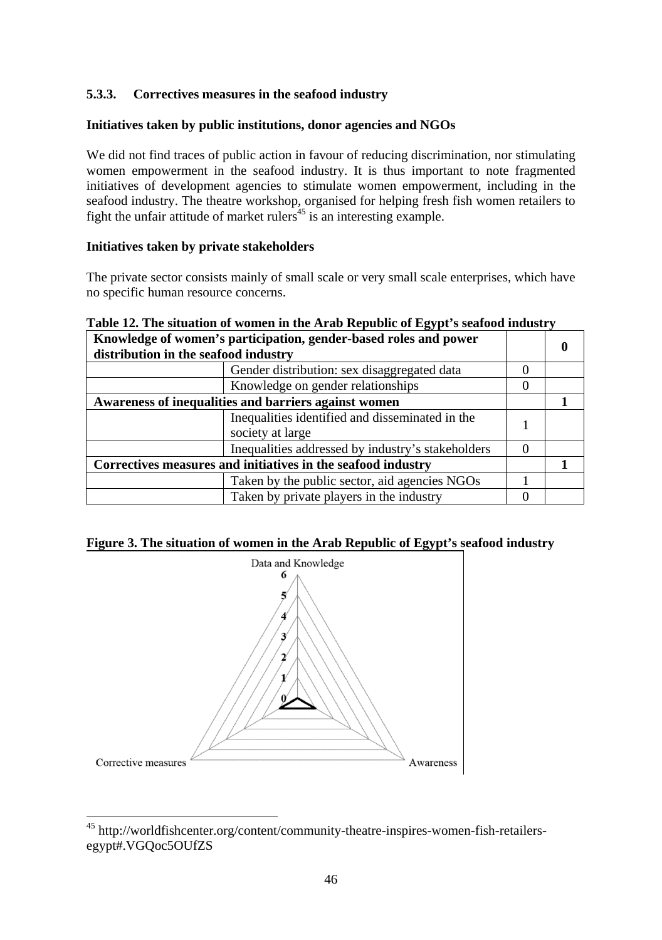## **5.3.3. Correctives measures in the seafood industry**

### **Initiatives taken by public institutions, donor agencies and NGOs**

We did not find traces of public action in favour of reducing discrimination, nor stimulating women empowerment in the seafood industry. It is thus important to note fragmented initiatives of development agencies to stimulate women empowerment, including in the seafood industry. The theatre workshop, organised for helping fresh fish women retailers to fight the unfair attitude of market rulers<sup> $45$ </sup> is an interesting example.

### **Initiatives taken by private stakeholders**

The private sector consists mainly of small scale or very small scale enterprises, which have no specific human resource concerns.

### **Table 12. The situation of women in the Arab Republic of Egypt's seafood industry**

| Knowledge of women's participation, gender-based roles and power<br>distribution in the seafood industry |  |  |
|----------------------------------------------------------------------------------------------------------|--|--|
| Gender distribution: sex disaggregated data                                                              |  |  |
| Knowledge on gender relationships                                                                        |  |  |
| Awareness of inequalities and barriers against women                                                     |  |  |
| Inequalities identified and disseminated in the<br>society at large                                      |  |  |
| Inequalities addressed by industry's stakeholders                                                        |  |  |
| Correctives measures and initiatives in the seafood industry                                             |  |  |
| Taken by the public sector, aid agencies NGOs                                                            |  |  |
| Taken by private players in the industry                                                                 |  |  |

#### **Figure 3. The situation of women in the Arab Republic of Egypt's seafood industry**



<sup>&</sup>lt;sup>45</sup> http://worldfishcenter.org/content/community-theatre-inspires-women-fish-retailersegypt#.VGQoc5OUfZS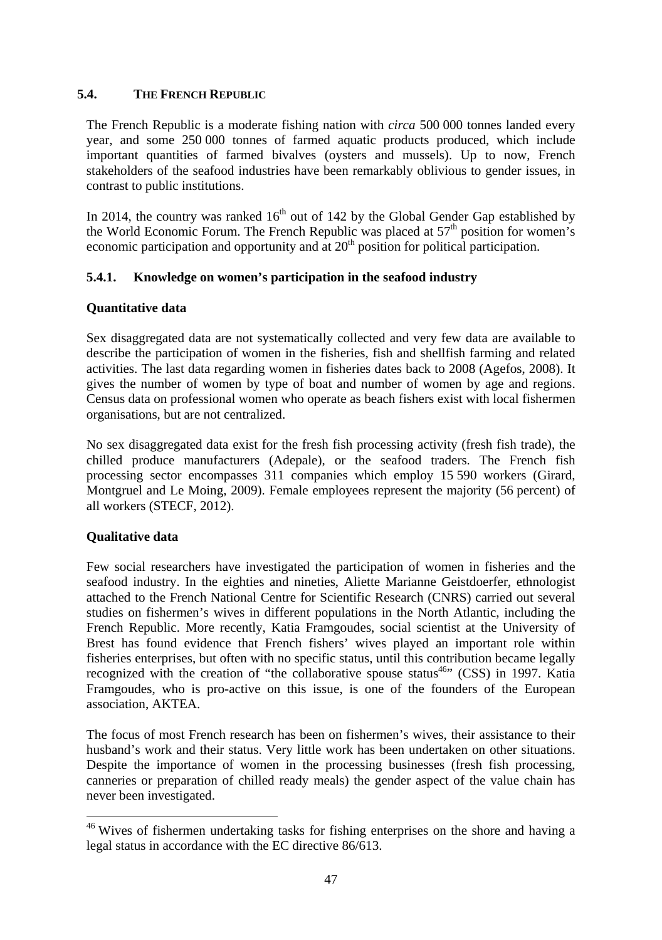### **5.4. THE FRENCH REPUBLIC**

The French Republic is a moderate fishing nation with *circa* 500 000 tonnes landed every year, and some 250,000 tonnes of farmed aquatic products produced, which include important quantities of farmed bivalves (oysters and mussels). Up to now, French stakeholders of the seafood industries have been remarkably oblivious to gender issues, in contrast to public institutions.

In 2014, the country was ranked  $16<sup>th</sup>$  out of 142 by the Global Gender Gap established by the World Economic Forum. The French Republic was placed at  $57<sup>th</sup>$  position for women's economic participation and opportunity and at  $20<sup>th</sup>$  position for political participation.

### **5.4.1. Knowledge on women's participation in the seafood industry**

### **Quantitative data**

Sex disaggregated data are not systematically collected and very few data are available to describe the participation of women in the fisheries, fish and shellfish farming and related activities. The last data regarding women in fisheries dates back to 2008 (Agefos, 2008). It gives the number of women by type of boat and number of women by age and regions. Census data on professional women who operate as beach fishers exist with local fishermen organisations, but are not centralized.

No sex disaggregated data exist for the fresh fish processing activity (fresh fish trade), the chilled produce manufacturers (Adepale), or the seafood traders. The French fish processing sector encompasses 311 companies which employ 15 590 workers (Girard, Montgruel and Le Moing, 2009). Female employees represent the majority (56 percent) of all workers (STECF, 2012).

### **Qualitative data**

-

Few social researchers have investigated the participation of women in fisheries and the seafood industry. In the eighties and nineties, Aliette Marianne Geistdoerfer, ethnologist attached to the French National Centre for Scientific Research (CNRS) carried out several studies on fishermen's wives in different populations in the North Atlantic, including the French Republic. More recently, Katia Framgoudes, social scientist at the University of Brest has found evidence that French fishers' wives played an important role within fisheries enterprises, but often with no specific status, until this contribution became legally recognized with the creation of "the collaborative spouse status<sup>46</sup>" (CSS) in 1997. Katia Framgoudes, who is pro-active on this issue, is one of the founders of the European association, AKTEA.

The focus of most French research has been on fishermen's wives, their assistance to their husband's work and their status. Very little work has been undertaken on other situations. Despite the importance of women in the processing businesses (fresh fish processing, canneries or preparation of chilled ready meals) the gender aspect of the value chain has never been investigated.

<sup>&</sup>lt;sup>46</sup> Wives of fishermen undertaking tasks for fishing enterprises on the shore and having a legal status in accordance with the EC directive 86/613.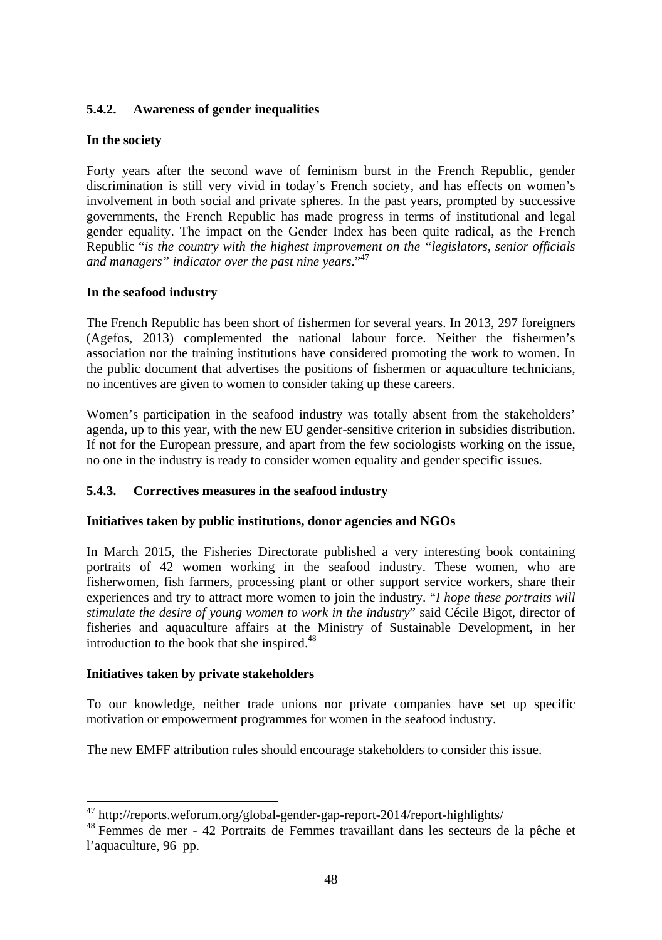## **5.4.2. Awareness of gender inequalities**

## **In the society**

Forty years after the second wave of feminism burst in the French Republic, gender discrimination is still very vivid in today's French society, and has effects on women's involvement in both social and private spheres. In the past years, prompted by successive governments, the French Republic has made progress in terms of institutional and legal gender equality. The impact on the Gender Index has been quite radical, as the French Republic "*is the country with the highest improvement on the "legislators, senior officials and managers" indicator over the past nine years*."47

### **In the seafood industry**

The French Republic has been short of fishermen for several years. In 2013, 297 foreigners (Agefos, 2013) complemented the national labour force. Neither the fishermen's association nor the training institutions have considered promoting the work to women. In the public document that advertises the positions of fishermen or aquaculture technicians, no incentives are given to women to consider taking up these careers.

Women's participation in the seafood industry was totally absent from the stakeholders' agenda, up to this year, with the new EU gender-sensitive criterion in subsidies distribution. If not for the European pressure, and apart from the few sociologists working on the issue, no one in the industry is ready to consider women equality and gender specific issues.

## **5.4.3. Correctives measures in the seafood industry**

### **Initiatives taken by public institutions, donor agencies and NGOs**

In March 2015, the Fisheries Directorate published a very interesting book containing portraits of 42 women working in the seafood industry. These women, who are fisherwomen, fish farmers, processing plant or other support service workers, share their experiences and try to attract more women to join the industry. "*I hope these portraits will stimulate the desire of young women to work in the industry*" said Cécile Bigot, director of fisheries and aquaculture affairs at the Ministry of Sustainable Development, in her introduction to the book that she inspired.<sup>48</sup>

### **Initiatives taken by private stakeholders**

To our knowledge, neither trade unions nor private companies have set up specific motivation or empowerment programmes for women in the seafood industry.

The new EMFF attribution rules should encourage stakeholders to consider this issue.

<sup>&</sup>lt;sup>47</sup> http://reports.weforum.org/global-gender-gap-report-2014/report-highlights/

<sup>&</sup>lt;sup>48</sup> Femmes de mer - 42 Portraits de Femmes travaillant dans les secteurs de la pêche et l'aquaculture, 96 pp.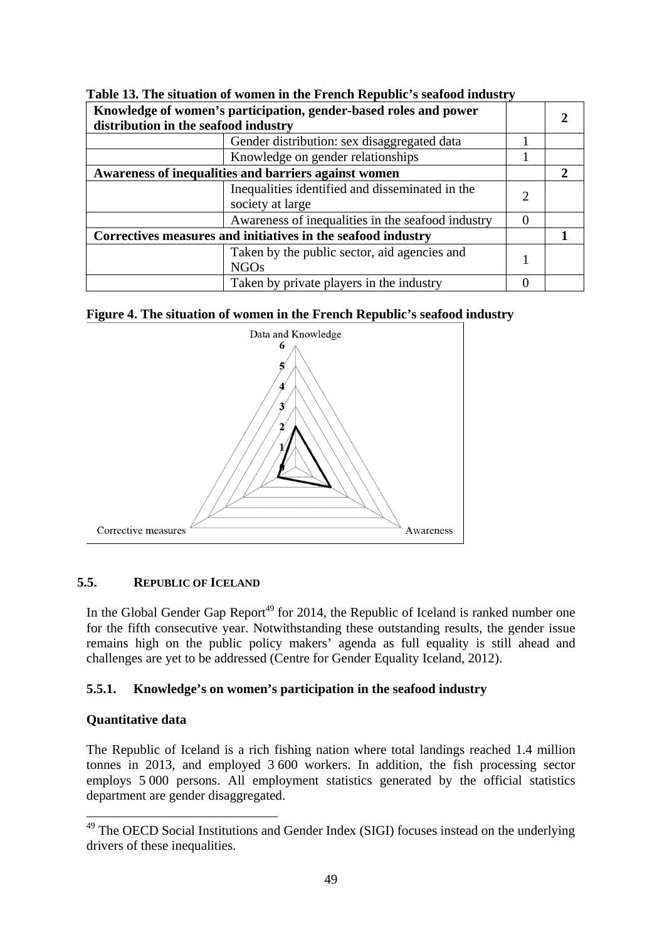| Knowledge of women's participation, gender-based roles and power<br>distribution in the seafood industry |                                                                     |          |  |
|----------------------------------------------------------------------------------------------------------|---------------------------------------------------------------------|----------|--|
|                                                                                                          | Gender distribution: sex disaggregated data                         |          |  |
|                                                                                                          | Knowledge on gender relationships                                   |          |  |
| Awareness of inequalities and barriers against women                                                     |                                                                     |          |  |
|                                                                                                          | Inequalities identified and disseminated in the<br>society at large |          |  |
|                                                                                                          | Awareness of inequalities in the seafood industry                   | $\Omega$ |  |
| Correctives measures and initiatives in the seafood industry                                             |                                                                     |          |  |
|                                                                                                          | Taken by the public sector, aid agencies and<br>NGOs                |          |  |
|                                                                                                          | Taken by private players in the industry                            |          |  |

**Table 13. The situation of women in the French Republic's seafood industry** 





### **5.5. REPUBLIC OF ICELAND**

In the Global Gender Gap Report<sup>49</sup> for 2014, the Republic of Iceland is ranked number one for the fifth consecutive year. Notwithstanding these outstanding results, the gender issue remains high on the public policy makers' agenda as full equality is still ahead and challenges are yet to be addressed (Centre for Gender Equality Iceland, 2012).

### **5.5.1. Knowledge's on women's participation in the seafood industry**

### **Quantitative data**

-

The Republic of Iceland is a rich fishing nation where total landings reached 1.4 million tonnes in 2013, and employed 3 600 workers. In addition, the fish processing sector employs 5 000 persons. All employment statistics generated by the official statistics department are gender disaggregated.

<sup>&</sup>lt;sup>49</sup> The OECD Social Institutions and Gender Index (SIGI) focuses instead on the underlying drivers of these inequalities.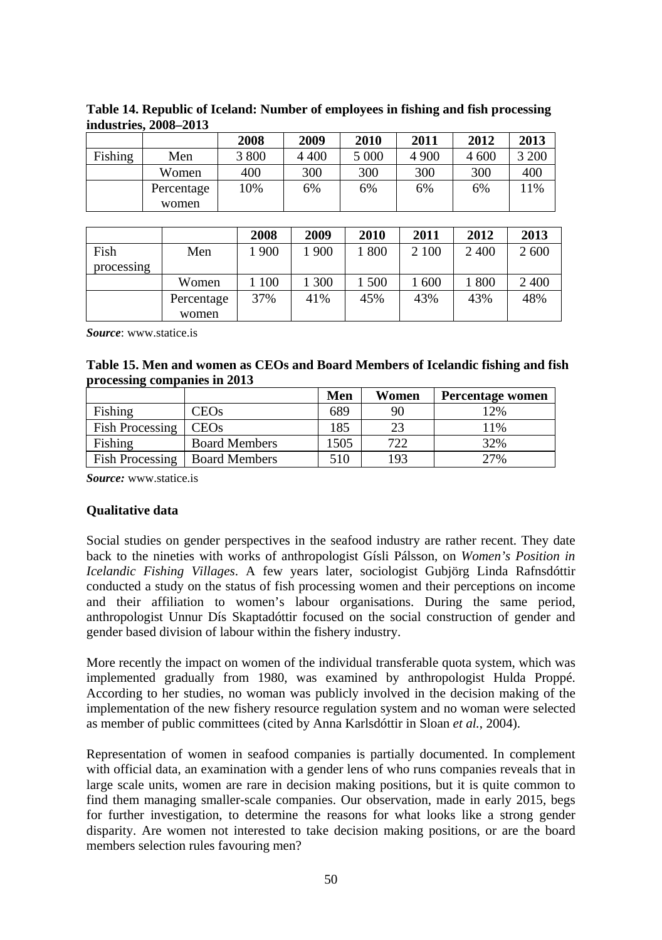|         |            | 2008  | 2009    | 2010  | 2011    | 2012  | 2013  |
|---------|------------|-------|---------|-------|---------|-------|-------|
| Fishing | Men        | 3 800 | 4 4 0 0 | 5 000 | 4 9 0 0 | 4 600 | 3 200 |
|         | Women      | 400   | 300     | 300   | 300     | 300   | 400   |
|         | Percentage | 10%   | 6%      | 6%    | 6%      | 6%    | 11%   |
|         | women      |       |         |       |         |       |       |

**Table 14. Republic of Iceland: Number of employees in fishing and fish processing industries, 2008–2013** 

|            |            | 2008  | 2009 | 2010  | 2011  | 2012 | 2013 |
|------------|------------|-------|------|-------|-------|------|------|
| Fish       | Men        | 1 900 | 1900 | 1800  | 2 100 | 2400 | 2600 |
| processing |            |       |      |       |       |      |      |
|            | Women      | 100   | 300  | 1 500 | 1 600 | 800  | 2400 |
|            | Percentage | 37%   | 41%  | 45%   | 43%   | 43%  | 48%  |
|            | women      |       |      |       |       |      |      |

*Source*: www.statice.is

### **Table 15. Men and women as CEOs and Board Members of Icelandic fishing and fish processing companies in 2013**

|                        |                      | Men  | Women | Percentage women |
|------------------------|----------------------|------|-------|------------------|
| Fishing                | CEOs                 | 689  | 90    | 2%               |
| <b>Fish Processing</b> | <b>CEOs</b>          | 185  |       | 11%              |
| Fishing                | <b>Board Members</b> | 1505 | 722   | 32%              |
| Fish Processing        | <b>Board Members</b> | 510  | 193   | 27%              |

*Source:* www.statice.is

### **Qualitative data**

Social studies on gender perspectives in the seafood industry are rather recent. They date back to the nineties with works of anthropologist Gísli Pálsson, on *Women's Position in Icelandic Fishing Villages*. A few years later, sociologist Gubjörg Linda Rafnsdóttir conducted a study on the status of fish processing women and their perceptions on income and their affiliation to women's labour organisations. During the same period, anthropologist Unnur Dís Skaptadóttir focused on the social construction of gender and gender based division of labour within the fishery industry.

More recently the impact on women of the individual transferable quota system, which was implemented gradually from 1980, was examined by anthropologist Hulda Proppé. According to her studies, no woman was publicly involved in the decision making of the implementation of the new fishery resource regulation system and no woman were selected as member of public committees (cited by Anna Karlsdóttir in Sloan *et al.*, 2004).

Representation of women in seafood companies is partially documented. In complement with official data, an examination with a gender lens of who runs companies reveals that in large scale units, women are rare in decision making positions, but it is quite common to find them managing smaller-scale companies. Our observation, made in early 2015, begs for further investigation, to determine the reasons for what looks like a strong gender disparity. Are women not interested to take decision making positions, or are the board members selection rules favouring men?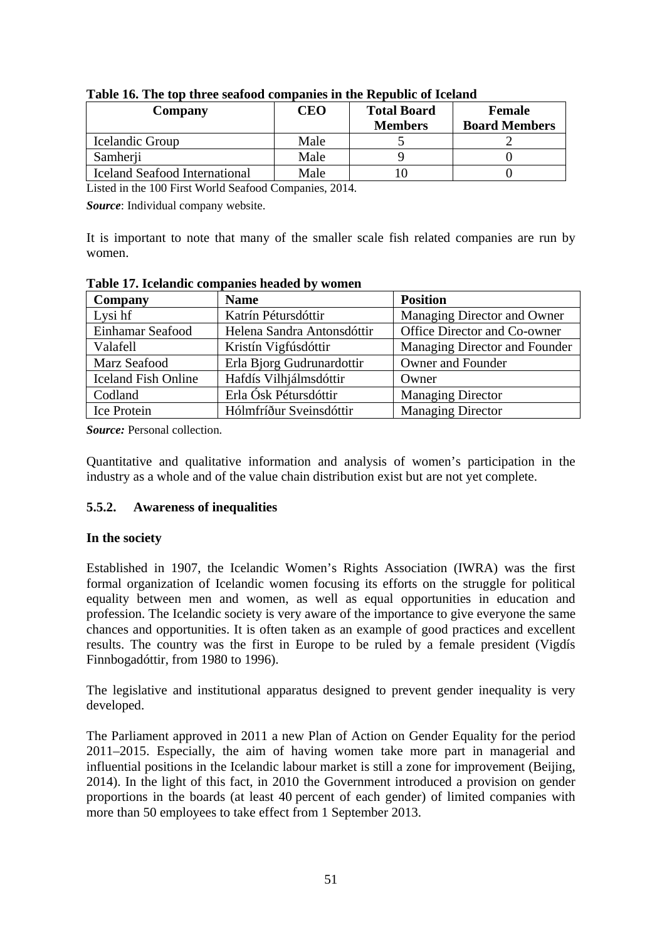| Company                       | CEO  | <b>Total Board</b><br><b>Members</b> | <b>Female</b><br><b>Board Members</b> |
|-------------------------------|------|--------------------------------------|---------------------------------------|
| Icelandic Group               | Male |                                      |                                       |
| Samherii                      | Male |                                      |                                       |
| Iceland Seafood International | Male |                                      |                                       |

**Table 16. The top three seafood companies in the Republic of Iceland** 

Listed in the 100 First World Seafood Companies, 2014.

*Source*: Individual company website.

It is important to note that many of the smaller scale fish related companies are run by women.

| Company                    | <b>Name</b>                | <b>Position</b>               |
|----------------------------|----------------------------|-------------------------------|
| Lysi hf                    | Katrín Pétursdóttir        | Managing Director and Owner   |
| Einhamar Seafood           | Helena Sandra Antonsdóttir | Office Director and Co-owner  |
| Valafell                   | Kristín Vigfúsdóttir       | Managing Director and Founder |
| Marz Seafood               | Erla Bjorg Gudrunardottir  | Owner and Founder             |
| <b>Iceland Fish Online</b> | Hafdís Vilhjálmsdóttir     | Owner                         |
| Codland                    | Erla Ósk Pétursdóttir      | <b>Managing Director</b>      |
| Ice Protein                | Hólmfríður Sveinsdóttir    | <b>Managing Director</b>      |

**Table 17. Icelandic companies headed by women** 

*Source:* Personal collection.

Quantitative and qualitative information and analysis of women's participation in the industry as a whole and of the value chain distribution exist but are not yet complete.

## **5.5.2. Awareness of inequalities**

### **In the society**

Established in 1907, the Icelandic Women's Rights Association (IWRA) was the first formal organization of Icelandic women focusing its efforts on the struggle for political equality between men and women, as well as equal opportunities in education and profession. The Icelandic society is very aware of the importance to give everyone the same chances and opportunities. It is often taken as an example of good practices and excellent results. The country was the first in Europe to be ruled by a female president (Vigdís Finnbogadóttir, from 1980 to 1996).

The legislative and institutional apparatus designed to prevent gender inequality is very developed.

The Parliament approved in 2011 a new Plan of Action on Gender Equality for the period 2011–2015. Especially, the aim of having women take more part in managerial and influential positions in the Icelandic labour market is still a zone for improvement (Beijing, 2014). In the light of this fact, in 2010 the Government introduced a provision on gender proportions in the boards (at least 40 percent of each gender) of limited companies with more than 50 employees to take effect from 1 September 2013.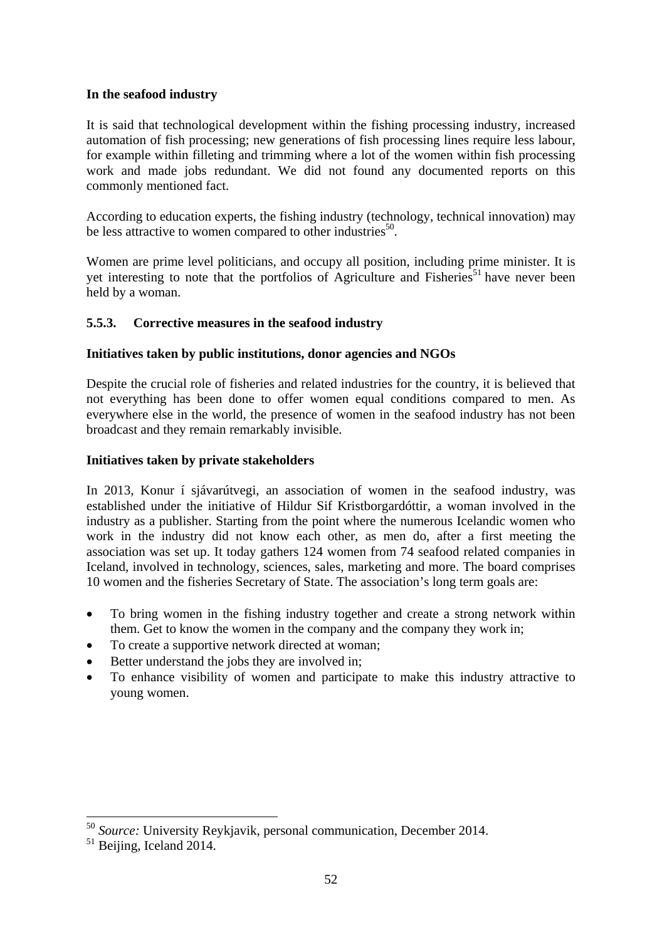### **In the seafood industry**

It is said that technological development within the fishing processing industry, increased automation of fish processing; new generations of fish processing lines require less labour, for example within filleting and trimming where a lot of the women within fish processing work and made jobs redundant. We did not found any documented reports on this commonly mentioned fact.

According to education experts, the fishing industry (technology, technical innovation) may be less attractive to women compared to other industries<sup>50</sup>.

Women are prime level politicians, and occupy all position, including prime minister. It is yet interesting to note that the portfolios of Agriculture and Fisheries<sup>51</sup> have never been held by a woman.

### **5.5.3. Corrective measures in the seafood industry**

### **Initiatives taken by public institutions, donor agencies and NGOs**

Despite the crucial role of fisheries and related industries for the country, it is believed that not everything has been done to offer women equal conditions compared to men. As everywhere else in the world, the presence of women in the seafood industry has not been broadcast and they remain remarkably invisible.

### **Initiatives taken by private stakeholders**

In 2013, Konur í sjávarútvegi, an association of women in the seafood industry, was established under the initiative of Hildur Sif Kristborgardóttir, a woman involved in the industry as a publisher. Starting from the point where the numerous Icelandic women who work in the industry did not know each other, as men do, after a first meeting the association was set up. It today gathers 124 women from 74 seafood related companies in Iceland, involved in technology, sciences, sales, marketing and more. The board comprises 10 women and the fisheries Secretary of State. The association's long term goals are:

- To bring women in the fishing industry together and create a strong network within them. Get to know the women in the company and the company they work in;
- To create a supportive network directed at woman;
- Better understand the jobs they are involved in;
- To enhance visibility of women and participate to make this industry attractive to young women.

<sup>&</sup>lt;sup>50</sup> *Source:* University Reykjavik, personal communication, December 2014.<br><sup>51</sup> Beijing, Iceland 2014.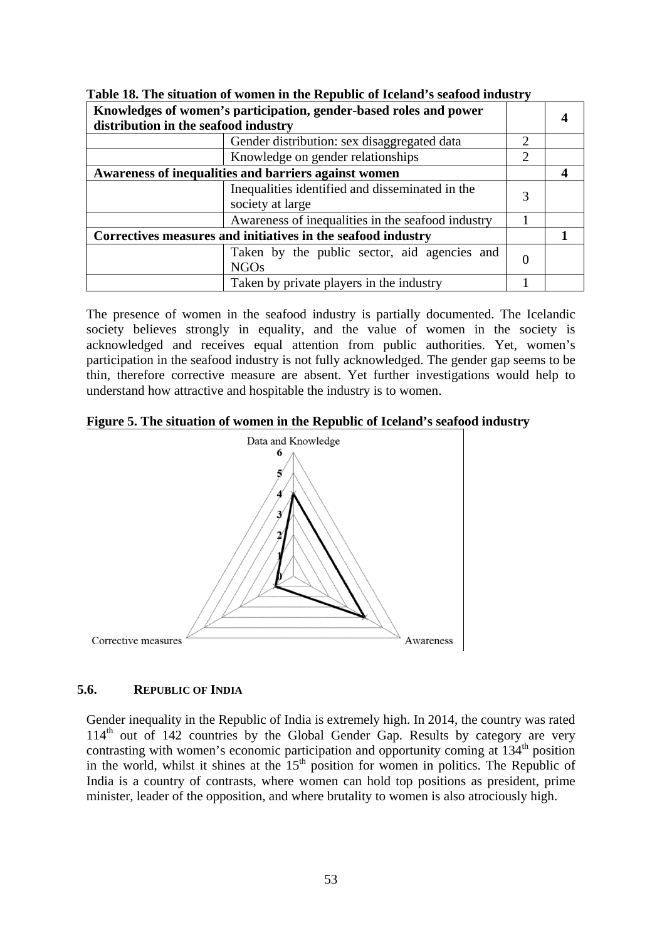| Knowledges of women's participation, gender-based roles and power<br>distribution in the seafood industry |                                                                     |                |  |
|-----------------------------------------------------------------------------------------------------------|---------------------------------------------------------------------|----------------|--|
|                                                                                                           | Gender distribution: sex disaggregated data                         | 2              |  |
|                                                                                                           | Knowledge on gender relationships                                   | $\mathfrak{D}$ |  |
| Awareness of inequalities and barriers against women                                                      |                                                                     |                |  |
|                                                                                                           | Inequalities identified and disseminated in the<br>society at large |                |  |
|                                                                                                           | Awareness of inequalities in the seafood industry                   |                |  |
|                                                                                                           | Correctives measures and initiatives in the seafood industry        |                |  |
|                                                                                                           | Taken by the public sector, aid agencies and<br><b>NGOs</b>         | 0              |  |
|                                                                                                           | Taken by private players in the industry                            |                |  |

**Table 18. The situation of women in the Republic of Iceland's seafood industry** 

The presence of women in the seafood industry is partially documented. The Icelandic society believes strongly in equality, and the value of women in the society is acknowledged and receives equal attention from public authorities. Yet, women's participation in the seafood industry is not fully acknowledged. The gender gap seems to be thin, therefore corrective measure are absent. Yet further investigations would help to understand how attractive and hospitable the industry is to women.

**Figure 5. The situation of women in the Republic of Iceland's seafood industry** 



### **5.6. REPUBLIC OF INDIA**

Gender inequality in the Republic of India is extremely high. In 2014, the country was rated  $114<sup>th</sup>$  out of 142 countries by the Global Gender Gap. Results by category are very contrasting with women's economic participation and opportunity coming at 134<sup>th</sup> position in the world, whilst it shines at the  $15<sup>th</sup>$  position for women in politics. The Republic of India is a country of contrasts, where women can hold top positions as president, prime minister, leader of the opposition, and where brutality to women is also atrociously high.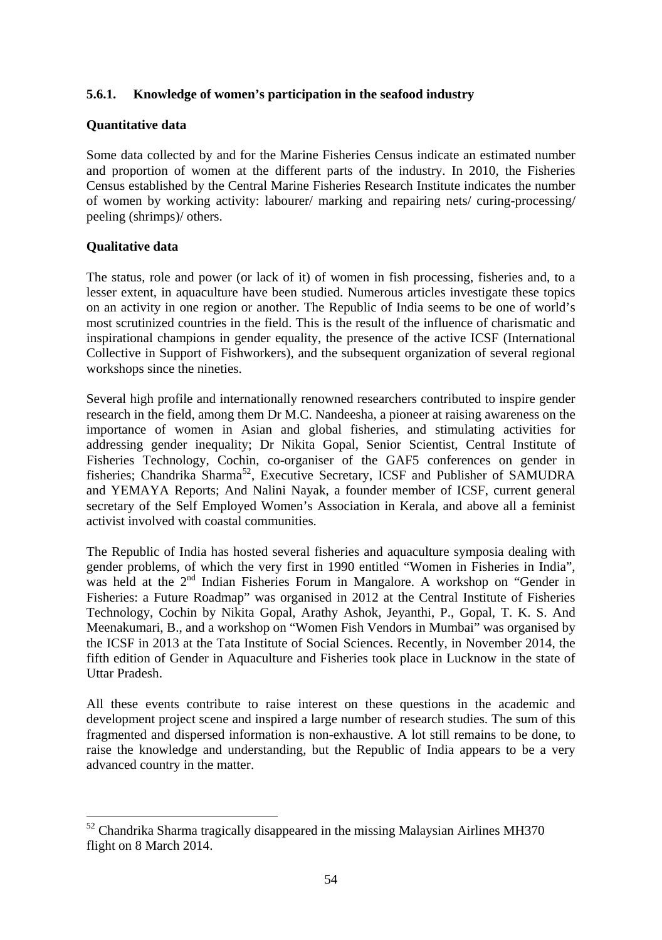## **5.6.1. Knowledge of women's participation in the seafood industry**

### **Quantitative data**

Some data collected by and for the Marine Fisheries Census indicate an estimated number and proportion of women at the different parts of the industry. In 2010, the Fisheries Census established by the Central Marine Fisheries Research Institute indicates the number of women by working activity: labourer/ marking and repairing nets/ curing-processing/ peeling (shrimps)/ others.

### **Qualitative data**

-

The status, role and power (or lack of it) of women in fish processing, fisheries and, to a lesser extent, in aquaculture have been studied. Numerous articles investigate these topics on an activity in one region or another. The Republic of India seems to be one of world's most scrutinized countries in the field. This is the result of the influence of charismatic and inspirational champions in gender equality, the presence of the active ICSF (International Collective in Support of Fishworkers), and the subsequent organization of several regional workshops since the nineties.

Several high profile and internationally renowned researchers contributed to inspire gender research in the field, among them Dr M.C. Nandeesha, a pioneer at raising awareness on the importance of women in Asian and global fisheries, and stimulating activities for addressing gender inequality; Dr Nikita Gopal, Senior Scientist, Central Institute of Fisheries Technology, Cochin, co-organiser of the GAF5 conferences on gender in fisheries; Chandrika Sharma<sup>52</sup>, Executive Secretary, ICSF and Publisher of SAMUDRA and YEMAYA Reports; And Nalini Nayak, a founder member of ICSF, current general secretary of the Self Employed Women's Association in Kerala, and above all a feminist activist involved with coastal communities.

The Republic of India has hosted several fisheries and aquaculture symposia dealing with gender problems, of which the very first in 1990 entitled "Women in Fisheries in India", was held at the 2<sup>nd</sup> Indian Fisheries Forum in Mangalore. A workshop on "Gender in Fisheries: a Future Roadmap" was organised in 2012 at the Central Institute of Fisheries Technology, Cochin by Nikita Gopal, Arathy Ashok, Jeyanthi, P., Gopal, T. K. S. And Meenakumari, B., and a workshop on "Women Fish Vendors in Mumbai" was organised by the ICSF in 2013 at the Tata Institute of Social Sciences. Recently, in November 2014, the fifth edition of Gender in Aquaculture and Fisheries took place in Lucknow in the state of Uttar Pradesh.

All these events contribute to raise interest on these questions in the academic and development project scene and inspired a large number of research studies. The sum of this fragmented and dispersed information is non-exhaustive. A lot still remains to be done, to raise the knowledge and understanding, but the Republic of India appears to be a very advanced country in the matter.

 $52$  Chandrika Sharma tragically disappeared in the missing Malaysian Airlines MH370 flight on 8 March 2014.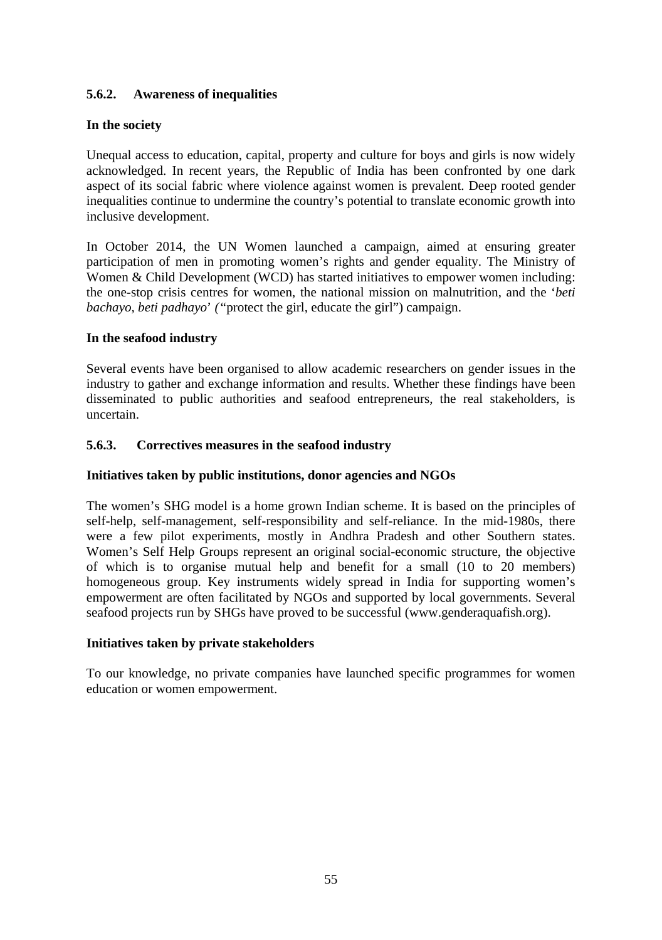## **5.6.2. Awareness of inequalities**

### **In the society**

Unequal access to education, capital, property and culture for boys and girls is now widely acknowledged. In recent years, the Republic of India has been confronted by one dark aspect of its social fabric where violence against women is prevalent. Deep rooted gender inequalities continue to undermine the country's potential to translate economic growth into inclusive development.

In October 2014, the UN Women launched a campaign, aimed at ensuring greater participation of men in promoting women's rights and gender equality. The Ministry of Women & Child Development (WCD) has started initiatives to empower women including: the one-stop crisis centres for women, the national mission on malnutrition, and the '*beti bachayo, beti padhayo*' *("*protect the girl, educate the girl") campaign.

### **In the seafood industry**

Several events have been organised to allow academic researchers on gender issues in the industry to gather and exchange information and results. Whether these findings have been disseminated to public authorities and seafood entrepreneurs, the real stakeholders, is uncertain.

### **5.6.3. Correctives measures in the seafood industry**

### **Initiatives taken by public institutions, donor agencies and NGOs**

The women's SHG model is a home grown Indian scheme. It is based on the principles of self-help, self-management, self-responsibility and self-reliance. In the mid-1980s, there were a few pilot experiments, mostly in Andhra Pradesh and other Southern states. Women's Self Help Groups represent an original social-economic structure, the objective of which is to organise mutual help and benefit for a small (10 to 20 members) homogeneous group. Key instruments widely spread in India for supporting women's empowerment are often facilitated by NGOs and supported by local governments. Several seafood projects run by SHGs have proved to be successful (www.genderaquafish.org).

### **Initiatives taken by private stakeholders**

To our knowledge, no private companies have launched specific programmes for women education or women empowerment.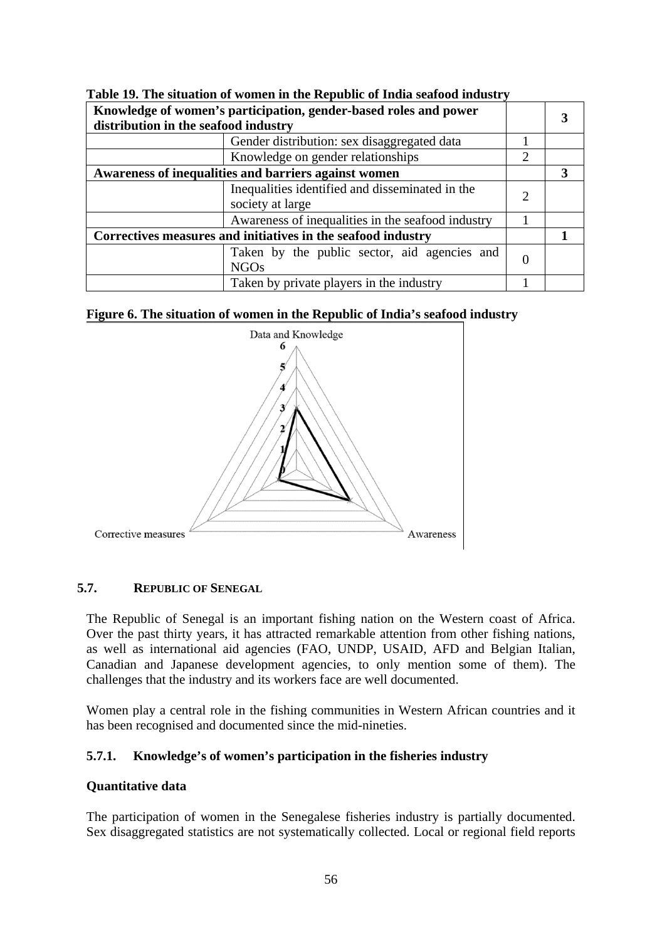| Knowledge of women's participation, gender-based roles and power<br>distribution in the seafood industry |                                                                     |                |  |
|----------------------------------------------------------------------------------------------------------|---------------------------------------------------------------------|----------------|--|
|                                                                                                          | Gender distribution: sex disaggregated data                         |                |  |
|                                                                                                          | Knowledge on gender relationships                                   | $\mathfrak{D}$ |  |
| Awareness of inequalities and barriers against women                                                     |                                                                     |                |  |
|                                                                                                          | Inequalities identified and disseminated in the<br>society at large |                |  |
|                                                                                                          | Awareness of inequalities in the seafood industry                   |                |  |
| Correctives measures and initiatives in the seafood industry                                             |                                                                     |                |  |
|                                                                                                          | Taken by the public sector, aid agencies and<br>NGOs                |                |  |
|                                                                                                          | Taken by private players in the industry                            |                |  |







## **5.7. REPUBLIC OF SENEGAL**

The Republic of Senegal is an important fishing nation on the Western coast of Africa. Over the past thirty years, it has attracted remarkable attention from other fishing nations, as well as international aid agencies (FAO, UNDP, USAID, AFD and Belgian Italian, Canadian and Japanese development agencies, to only mention some of them). The challenges that the industry and its workers face are well documented.

Women play a central role in the fishing communities in Western African countries and it has been recognised and documented since the mid-nineties.

### **5.7.1. Knowledge's of women's participation in the fisheries industry**

#### **Quantitative data**

The participation of women in the Senegalese fisheries industry is partially documented. Sex disaggregated statistics are not systematically collected. Local or regional field reports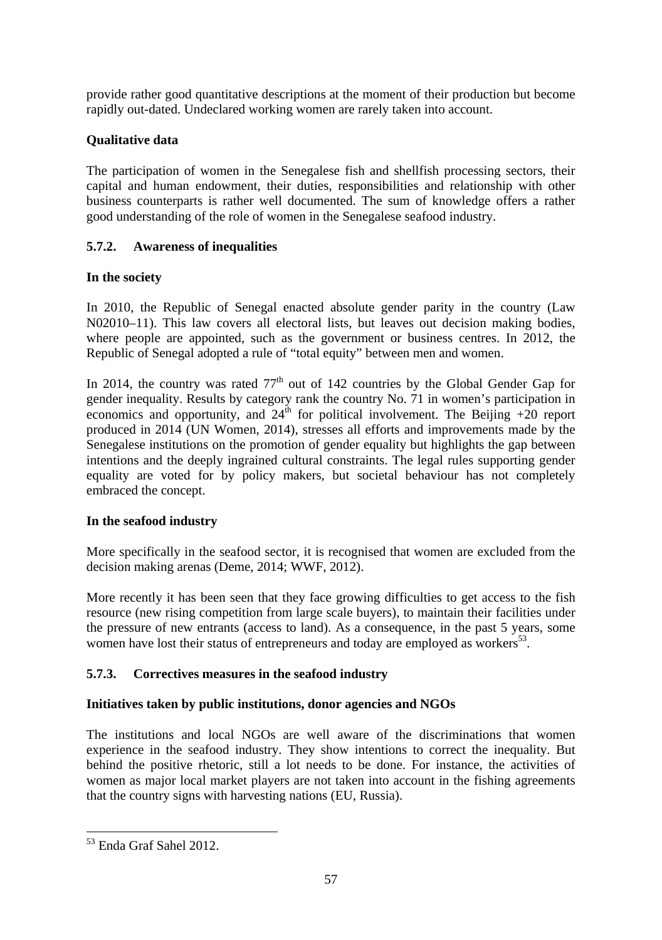provide rather good quantitative descriptions at the moment of their production but become rapidly out-dated. Undeclared working women are rarely taken into account.

## **Qualitative data**

The participation of women in the Senegalese fish and shellfish processing sectors, their capital and human endowment, their duties, responsibilities and relationship with other business counterparts is rather well documented. The sum of knowledge offers a rather good understanding of the role of women in the Senegalese seafood industry.

## **5.7.2. Awareness of inequalities**

## **In the society**

In 2010, the Republic of Senegal enacted absolute gender parity in the country (Law N02010–11). This law covers all electoral lists, but leaves out decision making bodies, where people are appointed, such as the government or business centres. In 2012, the Republic of Senegal adopted a rule of "total equity" between men and women.

In 2014, the country was rated  $77<sup>th</sup>$  out of 142 countries by the Global Gender Gap for gender inequality. Results by category rank the country No. 71 in women's participation in economics and opportunity, and  $24^{\text{th}}$  for political involvement. The Beijing +20 report produced in 2014 (UN Women, 2014), stresses all efforts and improvements made by the Senegalese institutions on the promotion of gender equality but highlights the gap between intentions and the deeply ingrained cultural constraints. The legal rules supporting gender equality are voted for by policy makers, but societal behaviour has not completely embraced the concept.

## **In the seafood industry**

More specifically in the seafood sector, it is recognised that women are excluded from the decision making arenas (Deme, 2014; WWF, 2012).

More recently it has been seen that they face growing difficulties to get access to the fish resource (new rising competition from large scale buyers), to maintain their facilities under the pressure of new entrants (access to land). As a consequence, in the past 5 years, some women have lost their status of entrepreneurs and today are employed as workers<sup>53</sup>.

# **5.7.3. Correctives measures in the seafood industry**

## **Initiatives taken by public institutions, donor agencies and NGOs**

The institutions and local NGOs are well aware of the discriminations that women experience in the seafood industry. They show intentions to correct the inequality. But behind the positive rhetoric, still a lot needs to be done. For instance, the activities of women as major local market players are not taken into account in the fishing agreements that the country signs with harvesting nations (EU, Russia).

1

<sup>53</sup> Enda Graf Sahel 2012.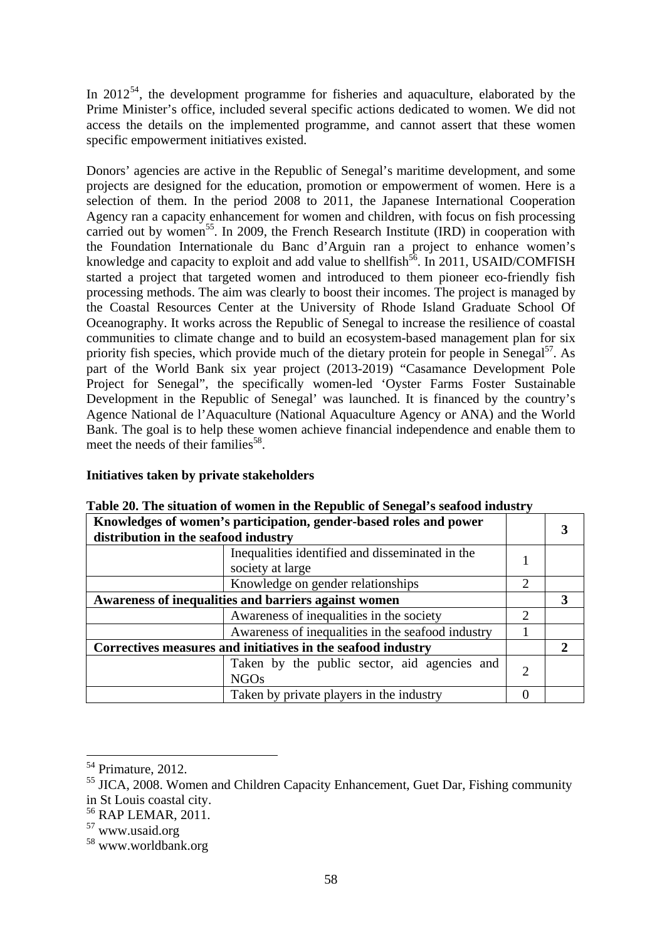In  $2012^{54}$ , the development programme for fisheries and aquaculture, elaborated by the Prime Minister's office, included several specific actions dedicated to women. We did not access the details on the implemented programme, and cannot assert that these women specific empowerment initiatives existed.

Donors' agencies are active in the Republic of Senegal's maritime development, and some projects are designed for the education, promotion or empowerment of women. Here is a selection of them. In the period 2008 to 2011, the Japanese International Cooperation Agency ran a capacity enhancement for women and children, with focus on fish processing carried out by women<sup>55</sup>. In 2009, the French Research Institute (IRD) in cooperation with the Foundation Internationale du Banc d'Arguin ran a project to enhance women's knowledge and capacity to exploit and add value to shellfish<sup>56</sup>. In 2011, USAID/COMFISH started a project that targeted women and introduced to them pioneer eco-friendly fish processing methods. The aim was clearly to boost their incomes. The project is managed by the Coastal Resources Center at the University of Rhode Island Graduate School Of Oceanography. It works across the Republic of Senegal to increase the resilience of coastal communities to climate change and to build an ecosystem-based management plan for six priority fish species, which provide much of the dietary protein for people in Senegal<sup>57</sup>. As part of the World Bank six year project (2013-2019) "Casamance Development Pole Project for Senegal", the specifically women-led 'Oyster Farms Foster Sustainable Development in the Republic of Senegal' was launched. It is financed by the country's Agence National de l'Aquaculture (National Aquaculture Agency or ANA) and the World Bank. The goal is to help these women achieve financial independence and enable them to meet the needs of their families<sup>58</sup>.

## **Initiatives taken by private stakeholders**

| Knowledges of women's participation, gender-based roles and power<br>distribution in the seafood industry |                |  |
|-----------------------------------------------------------------------------------------------------------|----------------|--|
| Inequalities identified and disseminated in the<br>society at large                                       |                |  |
| Knowledge on gender relationships                                                                         | 2              |  |
| Awareness of inequalities and barriers against women                                                      |                |  |
| Awareness of inequalities in the society                                                                  | $\mathfrak{D}$ |  |
| Awareness of inequalities in the seafood industry                                                         |                |  |
| Correctives measures and initiatives in the seafood industry                                              |                |  |
| Taken by the public sector, aid agencies and<br><b>NGOs</b>                                               | $\mathfrak{D}$ |  |
| Taken by private players in the industry                                                                  |                |  |

## **Table 20. The situation of women in the Republic of Senegal's seafood industry**

<sup>54</sup> Primature, 2012.

<sup>&</sup>lt;sup>55</sup> JICA, 2008. Women and Children Capacity Enhancement, Guet Dar, Fishing community in St Louis coastal city.

<sup>56</sup> RAP LEMAR, 2011.

<sup>57</sup> www.usaid.org

<sup>58</sup> www.worldbank.org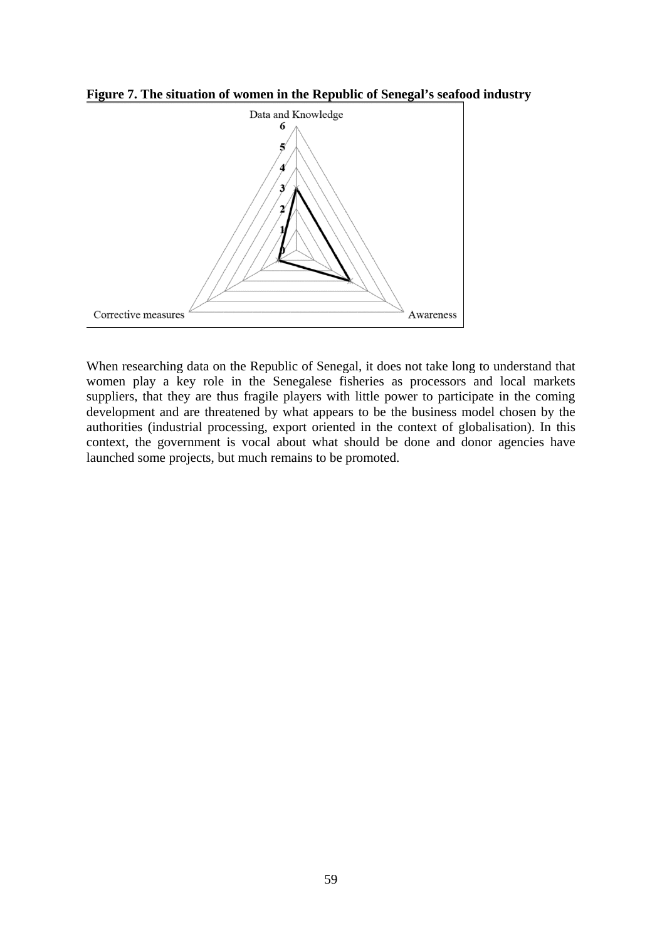**Figure 7. The situation of women in the Republic of Senegal's seafood industry** 



When researching data on the Republic of Senegal, it does not take long to understand that women play a key role in the Senegalese fisheries as processors and local markets suppliers, that they are thus fragile players with little power to participate in the coming development and are threatened by what appears to be the business model chosen by the authorities (industrial processing, export oriented in the context of globalisation). In this context, the government is vocal about what should be done and donor agencies have launched some projects, but much remains to be promoted.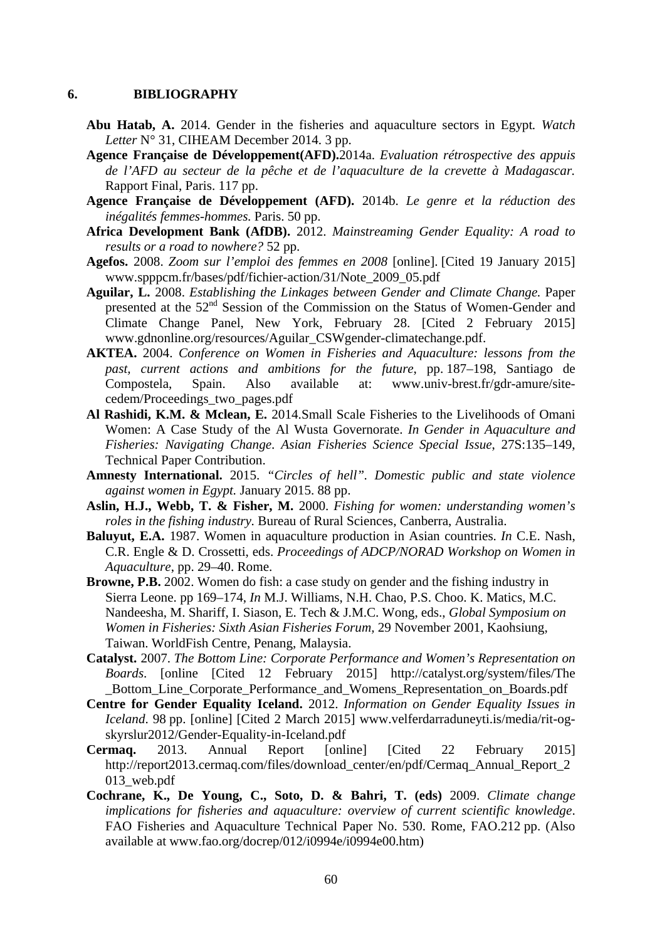#### **6. BIBLIOGRAPHY**

- **Abu Hatab, A.** 2014. Gender in the fisheries and aquaculture sectors in Egypt*. Watch Letter* N° 31, CIHEAM December 2014. 3 pp.
- **Agence Française de Développement(AFD).**2014a. *Evaluation rétrospective des appuis de l'AFD au secteur de la pêche et de l'aquaculture de la crevette à Madagascar.*  Rapport Final, Paris. 117 pp.
- **Agence Française de Développement (AFD).** 2014b. *Le genre et la réduction des inégalités femmes-hommes.* Paris. 50 pp.
- **Africa Development Bank (AfDB).** 2012. *Mainstreaming Gender Equality: A road to results or a road to nowhere?* 52 pp.
- **Agefos.** 2008. *Zoom sur l'emploi des femmes en 2008* [online]. [Cited 19 January 2015] www.spppcm.fr/bases/pdf/fichier-action/31/Note\_2009\_05.pdf
- **Aguilar, L.** 2008. *Establishing the Linkages between Gender and Climate Change.* Paper presented at the 52<sup>nd</sup> Session of the Commission on the Status of Women-Gender and Climate Change Panel, New York, February 28. [Cited 2 February 2015] www.gdnonline.org/resources/Aguilar\_CSWgender-climatechange.pdf.
- **AKTEA.** 2004. *Conference on Women in Fisheries and Aquaculture: lessons from the past, current actions and ambitions for the future*, pp. 187–198, Santiago de Compostela, Spain. Also available at: www.univ-brest.fr/gdr-amure/sitecedem/Proceedings\_two\_pages.pdf
- **Al Rashidi, K.M. & Mclean, E.** 2014.Small Scale Fisheries to the Livelihoods of Omani Women: A Case Study of the Al Wusta Governorate. *In Gender in Aquaculture and Fisheries: Navigating Change*. *Asian Fisheries Science Special Issue*, 27S:135–149, Technical Paper Contribution.
- **Amnesty International.** 2015. *"Circles of hell". Domestic public and state violence against women in Egypt.* January 2015. 88 pp.
- **Aslin, H.J., Webb, T. & Fisher, M.** 2000. *Fishing for women: understanding women's roles in the fishing industry.* Bureau of Rural Sciences, Canberra, Australia.
- **Baluyut, E.A.** 1987. Women in aquaculture production in Asian countries. *In* C.E. Nash, C.R. Engle & D. Crossetti, eds. *Proceedings of ADCP/NORAD Workshop on Women in Aquaculture*, pp. 29–40. Rome.
- **Browne, P.B.** 2002. Women do fish: a case study on gender and the fishing industry in Sierra Leone. pp 169–174, *In* M.J. Williams, N.H. Chao, P.S. Choo. K. Matics, M.C. Nandeesha, M. Shariff, I. Siason, E. Tech & J.M.C. Wong, eds., *Global Symposium on Women in Fisheries: Sixth Asian Fisheries Forum,* 29 November 2001, Kaohsiung, Taiwan. WorldFish Centre, Penang, Malaysia.
- **Catalyst.** 2007. *The Bottom Line: Corporate Performance and Women's Representation on Boards*. [online [Cited 12 February 2015] http://catalyst.org/system/files/The \_Bottom\_Line\_Corporate\_Performance\_and\_Womens\_Representation\_on\_Boards.pdf
- **Centre for Gender Equality Iceland.** 2012. *Information on Gender Equality Issues in Iceland*. 98 pp. [online] [Cited 2 March 2015] www.velferdarraduneyti.is/media/rit-ogskyrslur2012/Gender-Equality-in-Iceland.pdf
- **Cermaq.** 2013. Annual Report [online] [Cited 22 February 2015] http://report2013.cermaq.com/files/download\_center/en/pdf/Cermaq\_Annual\_Report\_2 013\_web.pdf
- **Cochrane, K., De Young, C., Soto, D. & Bahri, T. (eds)** 2009. *Climate change implications for fisheries and aquaculture: overview of current scientific knowledge*. FAO Fisheries and Aquaculture Technical Paper No. 530. Rome, FAO.212 pp. (Also available at www.fao.org/docrep/012/i0994e/i0994e00.htm)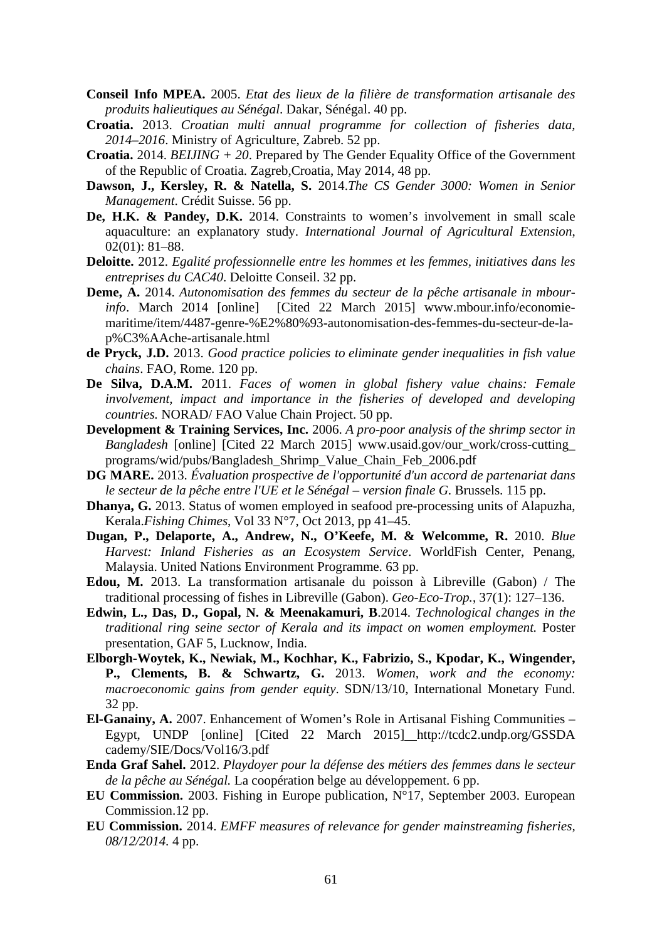- **Conseil Info MPEA.** 2005. *Etat des lieux de la filière de transformation artisanale des produits halieutiques au Sénégal*. Dakar, Sénégal. 40 pp.
- **Croatia.** 2013. *Croatian multi annual programme for collection of fisheries data, 2014–2016*. Ministry of Agriculture, Zabreb. 52 pp.
- **Croatia.** 2014. *BEIJING + 20*. Prepared by The Gender Equality Office of the Government of the Republic of Croatia. Zagreb,Croatia, May 2014, 48 pp.
- **Dawson, J., Kersley, R. & Natella, S.** 2014.*The CS Gender 3000: Women in Senior Management*. Crédit Suisse. 56 pp.
- **De, H.K. & Pandey, D.K.** 2014. Constraints to women's involvement in small scale aquaculture: an explanatory study. *International Journal of Agricultural Extension*, 02(01): 81–88.
- **Deloitte.** 2012. *Egalité professionnelle entre les hommes et les femmes, initiatives dans les entreprises du CAC40*. Deloitte Conseil. 32 pp.
- **Deme, A.** 2014. *Autonomisation des femmes du secteur de la pêche artisanale in mbourinfo*. March 2014 [online] [Cited 22 March 2015] www.mbour.info/economiemaritime/item/4487-genre-%E2%80%93-autonomisation-des-femmes-du-secteur-de-lap%C3%AAche-artisanale.html
- **de Pryck, J.D.** 2013. *Good practice policies to eliminate gender inequalities in fish value chains*. FAO, Rome. 120 pp.
- **De Silva, D.A.M.** 2011. *Faces of women in global fishery value chains: Female involvement, impact and importance in the fisheries of developed and developing countries.* NORAD/ FAO Value Chain Project. 50 pp.
- **Development & Training Services, Inc.** 2006. *A pro-poor analysis of the shrimp sector in Bangladesh* [online] [Cited 22 March 2015] www.usaid.gov/our\_work/cross-cutting\_ programs/wid/pubs/Bangladesh\_Shrimp\_Value\_Chain\_Feb\_2006.pdf
- **DG MARE.** 2013. *Évaluation prospective de l'opportunité d'un accord de partenariat dans le secteur de la pêche entre l'UE et le Sénégal – version finale G*. Brussels. 115 pp.
- **Dhanya, G.** 2013. Status of women employed in seafood pre-processing units of Alapuzha, Kerala.*Fishing Chimes*, Vol 33 N°7, Oct 2013, pp 41–45.
- **Dugan, P., Delaporte, A., Andrew, N., O'Keefe, M. & Welcomme, R.** 2010. *Blue Harvest: Inland Fisheries as an Ecosystem Service*. WorldFish Center, Penang, Malaysia. United Nations Environment Programme. 63 pp.
- **Edou, M.** 2013. La transformation artisanale du poisson à Libreville (Gabon) / The traditional processing of fishes in Libreville (Gabon). *Geo-Eco-Trop.*, 37(1): 127–136.
- **Edwin, L., Das, D., Gopal, N. & Meenakamuri, B**.2014. *Technological changes in the traditional ring seine sector of Kerala and its impact on women employment.* Poster presentation, GAF 5, Lucknow, India.
- **Elborgh-Woytek, K., Newiak, M., Kochhar, K., Fabrizio, S., Kpodar, K., Wingender, P., Clements, B. & Schwartz, G.** 2013. *Women, work and the economy: macroeconomic gains from gender equity*. SDN/13/10, International Monetary Fund. 32 pp.
- **El-Ganainy, A.** 2007. Enhancement of Women's Role in Artisanal Fishing Communities Egypt, UNDP [online] [Cited 22 March 2015] http://tcdc2.undp.org/GSSDA cademy/SIE/Docs/Vol16/3.pdf
- **Enda Graf Sahel.** 2012. *Playdoyer pour la défense des métiers des femmes dans le secteur de la pêche au Sénégal.* La coopération belge au développement. 6 pp.
- **EU Commission.** 2003. Fishing in Europe publication, N°17, September 2003. European Commission.12 pp.
- **EU Commission.** 2014. *EMFF measures of relevance for gender mainstreaming fisheries, 08/12/2014.* 4 pp.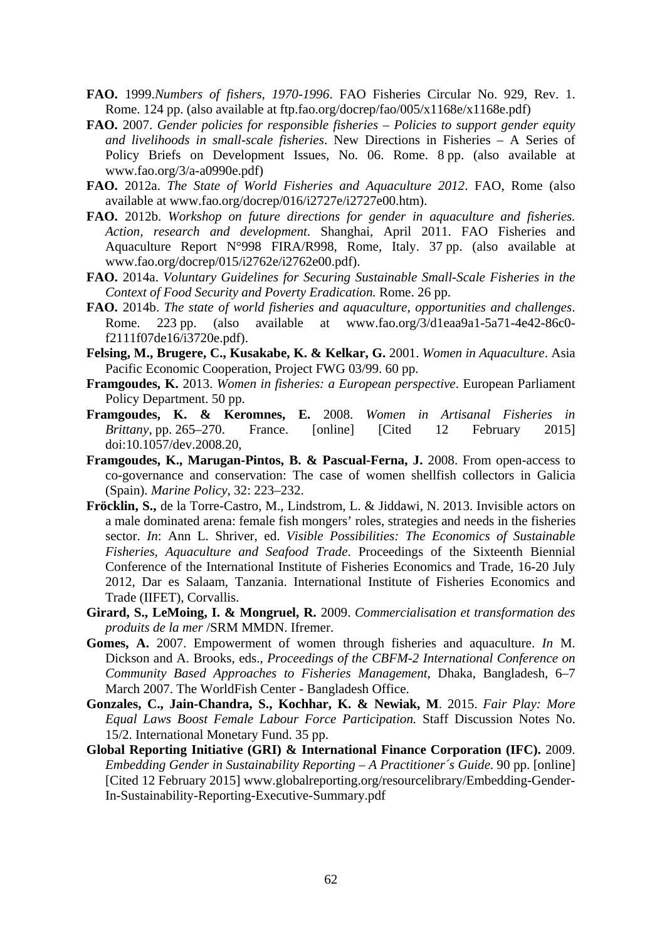- **FAO.** 1999.*Numbers of fishers, 1970-1996*. FAO Fisheries Circular No. 929, Rev. 1. Rome. 124 pp. (also available at ftp.fao.org/docrep/fao/005/x1168e/x1168e.pdf)
- **FAO.** 2007. *Gender policies for responsible fisheries Policies to support gender equity and livelihoods in small-scale fisheries*. New Directions in Fisheries – A Series of Policy Briefs on Development Issues, No. 06. Rome. 8 pp. (also available at www.fao.org/3/a-a0990e.pdf)
- **FAO.** 2012a. *The State of World Fisheries and Aquaculture 2012*. FAO, Rome (also available at www.fao.org/docrep/016/i2727e/i2727e00.htm).
- **FAO.** 2012b. *Workshop on future directions for gender in aquaculture and fisheries. Action, research and development*. Shanghai, April 2011. FAO Fisheries and Aquaculture Report N°998 FIRA/R998, Rome, Italy. 37 pp. (also available at www.fao.org/docrep/015/i2762e/i2762e00.pdf).
- **FAO.** 2014a. *Voluntary Guidelines for Securing Sustainable Small-Scale Fisheries in the Context of Food Security and Poverty Eradication.* Rome. 26 pp.
- **FAO.** 2014b. *The state of world fisheries and aquaculture, opportunities and challenges*. Rome. 223 pp. (also available at www.fao.org/3/d1eaa9a1-5a71-4e42-86c0 f2111f07de16/i3720e.pdf).
- **Felsing, M., Brugere, C., Kusakabe, K. & Kelkar, G.** 2001. *Women in Aquaculture*. Asia Pacific Economic Cooperation, Project FWG 03/99. 60 pp.
- **Framgoudes, K.** 2013. *Women in fisheries: a European perspective*. European Parliament Policy Department. 50 pp.
- **Framgoudes, K. & Keromnes, E.** 2008. *Women in Artisanal Fisheries in Brittany*, pp. 265–270. France. [online] [Cited 12 February 2015] doi:10.1057/dev.2008.20,
- **Framgoudes, K., Marugan-Pintos, B. & Pascual-Ferna, J. 2008. From open-access to** co-governance and conservation: The case of women shellfish collectors in Galicia (Spain). *Marine Policy*, 32: 223–232.
- **Fröcklin, S.,** de la Torre-Castro, M., Lindstrom, L. & Jiddawi, N. 2013. Invisible actors on a male dominated arena: female fish mongers' roles, strategies and needs in the fisheries sector. *In*: Ann L. Shriver, ed. *Visible Possibilities: The Economics of Sustainable Fisheries, Aquaculture and Seafood Trade*. Proceedings of the Sixteenth Biennial Conference of the International Institute of Fisheries Economics and Trade, 16-20 July 2012, Dar es Salaam, Tanzania. International Institute of Fisheries Economics and Trade (IIFET), Corvallis.
- **Girard, S., LeMoing, I. & Mongruel, R.** 2009. *Commercialisation et transformation des produits de la mer* /SRM MMDN. Ifremer.
- **Gomes, A.** 2007. Empowerment of women through fisheries and aquaculture. *In* M. Dickson and A. Brooks, eds., *Proceedings of the CBFM-2 International Conference on Community Based Approaches to Fisheries Management*, Dhaka, Bangladesh, 6–7 March 2007. The WorldFish Center - Bangladesh Office.
- **Gonzales, C., Jain-Chandra, S., Kochhar, K. & Newiak, M**. 2015. *Fair Play: More Equal Laws Boost Female Labour Force Participation.* Staff Discussion Notes No. 15/2. International Monetary Fund. 35 pp.
- **Global Reporting Initiative (GRI) & International Finance Corporation (IFC).** 2009. *Embedding Gender in Sustainability Reporting – A Practitioner´s Guide*. 90 pp. [online] [Cited 12 February 2015] www.globalreporting.org/resourcelibrary/Embedding-Gender-In-Sustainability-Reporting-Executive-Summary.pdf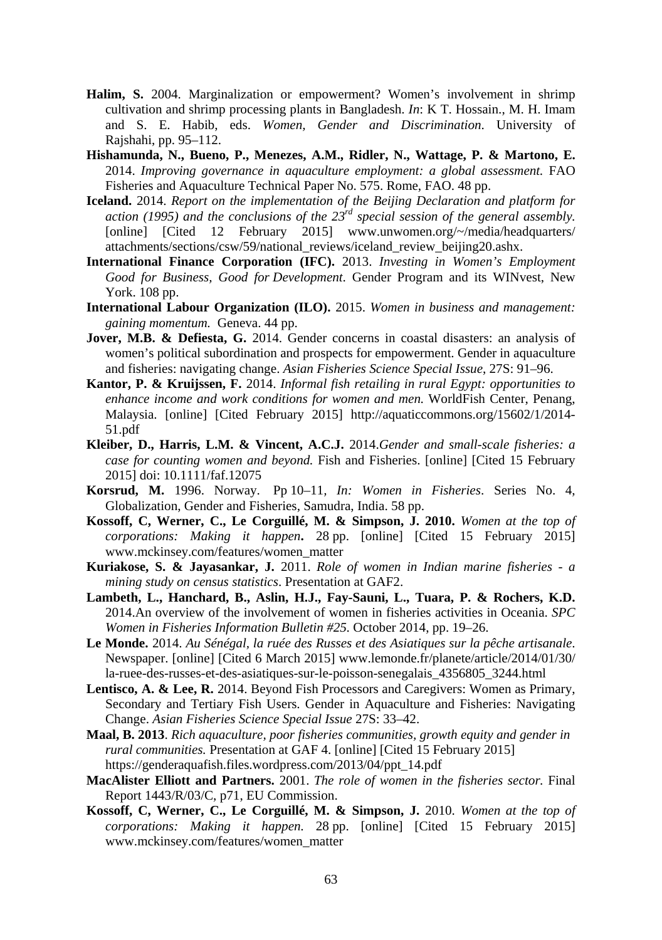- **Halim, S.** 2004. Marginalization or empowerment? Women's involvement in shrimp cultivation and shrimp processing plants in Bangladesh. *In*: K T. Hossain., M. H. Imam and S. E. Habib, eds. *Women, Gender and Discrimination*. University of Rajshahi, pp. 95–112.
- **Hishamunda, N., Bueno, P., Menezes, A.M., Ridler, N., Wattage, P. & Martono, E.**  2014. *Improving governance in aquaculture employment: a global assessment.* FAO Fisheries and Aquaculture Technical Paper No. 575. Rome, FAO. 48 pp.
- **Iceland.** 2014. *Report on the implementation of the Beijing Declaration and platform for action (1995) and the conclusions of the 23rd special session of the general assembly.* [online] [Cited 12 February 2015] www.unwomen.org/~/media/headquarters/ attachments/sections/csw/59/national\_reviews/iceland\_review\_beijing20.ashx.
- **International Finance Corporation (IFC).** 2013. *Investing in Women's Employment Good for Business, Good for Development*. Gender Program and its WINvest, New York. 108 pp.
- **International Labour Organization (ILO).** 2015. *Women in business and management: gaining momentum.* Geneva. 44 pp.
- **Jover, M.B. & Defiesta, G.** 2014. Gender concerns in coastal disasters: an analysis of women's political subordination and prospects for empowerment. Gender in aquaculture and fisheries: navigating change. *Asian Fisheries Science Special Issue*, 27S: 91–96.
- **Kantor, P. & Kruijssen, F.** 2014. *Informal fish retailing in rural Egypt: opportunities to enhance income and work conditions for women and men.* WorldFish Center, Penang, Malaysia. [online] [Cited February 2015] http://aquaticcommons.org/15602/1/2014- 51.pdf
- **Kleiber, D., Harris, L.M. & Vincent, A.C.J.** 2014.*Gender and small-scale fisheries: a case for counting women and beyond.* Fish and Fisheries. [online] [Cited 15 February 2015] doi: 10.1111/faf.12075
- **Korsrud, M.** 1996. Norway. Pp 10–11*, In: Women in Fisheries*. Series No. 4, Globalization, Gender and Fisheries, Samudra, India. 58 pp.
- **Kossoff, C, Werner, C., Le Corguillé, M. & Simpson, J. 2010.** *Women at the top of corporations: Making it happen***.** 28 pp. [online] [Cited 15 February 2015] www.mckinsey.com/features/women\_matter
- **Kuriakose, S. & Jayasankar, J.** 2011. *Role of women in Indian marine fisheries a mining study on census statistics*. Presentation at GAF2.
- **Lambeth, L., Hanchard, B., Aslin, H.J., Fay-Sauni, L., Tuara, P. & Rochers, K.D.** 2014.An overview of the involvement of women in fisheries activities in Oceania. *SPC Women in Fisheries Information Bulletin #25.* October 2014, pp. 19–26.
- **Le Monde.** 2014. *Au Sénégal, la ruée des Russes et des Asiatiques sur la pêche artisanale*. Newspaper. [online] [Cited 6 March 2015] www.lemonde.fr/planete/article/2014/01/30/ la-ruee-des-russes-et-des-asiatiques-sur-le-poisson-senegalais\_4356805\_3244.html
- **Lentisco, A. & Lee, R.** 2014. Beyond Fish Processors and Caregivers: Women as Primary, Secondary and Tertiary Fish Users. Gender in Aquaculture and Fisheries: Navigating Change. *Asian Fisheries Science Special Issue* 27S: 33–42.
- **Maal, B. 2013**. *Rich aquaculture, poor fisheries communities, growth equity and gender in rural communities.* Presentation at GAF 4. [online] [Cited 15 February 2015] https://genderaquafish.files.wordpress.com/2013/04/ppt\_14.pdf
- **MacAlister Elliott and Partners.** 2001. *The role of women in the fisheries sector.* Final Report 1443/R/03/C, p71, EU Commission.
- **Kossoff, C, Werner, C., Le Corguillé, M. & Simpson, J.** 2010. *Women at the top of corporations: Making it happen.* 28 pp. [online] [Cited 15 February 2015] www.mckinsey.com/features/women\_matter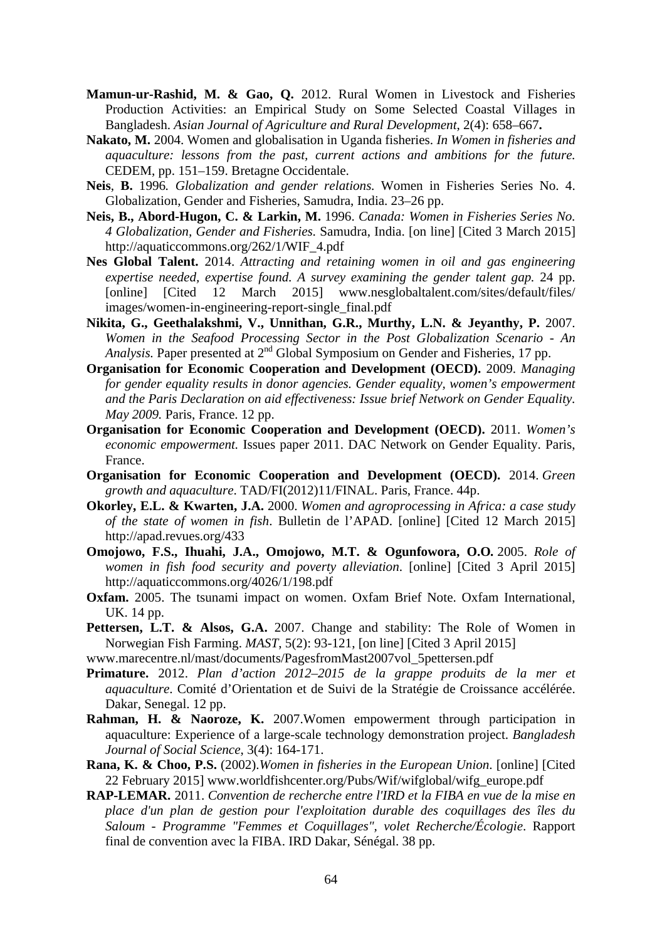- **Mamun-ur-Rashid, M. & Gao, Q.** 2012. Rural Women in Livestock and Fisheries Production Activities: an Empirical Study on Some Selected Coastal Villages in Bangladesh. *Asian Journal of Agriculture and Rural Development*, 2(4): 658–667**.**
- **Nakato, M.** 2004. Women and globalisation in Uganda fisheries. *In Women in fisheries and aquaculture: lessons from the past, current actions and ambitions for the future.* CEDEM, pp. 151–159. Bretagne Occidentale.
- **Neis**, **B.** 1996*. Globalization and gender relations.* Women in Fisheries Series No. 4. Globalization, Gender and Fisheries, Samudra, India. 23–26 pp.
- **Neis, B., Abord-Hugon, C. & Larkin, M.** 1996. *Canada: Women in Fisheries Series No. 4 Globalization, Gender and Fisheries.* Samudra, India. [on line] [Cited 3 March 2015] http://aquaticcommons.org/262/1/WIF\_4.pdf
- **Nes Global Talent.** 2014. *Attracting and retaining women in oil and gas engineering expertise needed, expertise found. A survey examining the gender talent gap.* 24 pp. [online] [Cited 12 March 2015] www.nesglobaltalent.com/sites/default/files/ images/women-in-engineering-report-single\_final.pdf
- **Nikita, G., Geethalakshmi, V., Unnithan, G.R., Murthy, L.N. & Jeyanthy, P.** 2007. *Women in the Seafood Processing Sector in the Post Globalization Scenario - An Analysis.* Paper presented at 2<sup>nd</sup> Global Symposium on Gender and Fisheries, 17 pp.
- **Organisation for Economic Cooperation and Development (OECD).** 2009. *Managing for gender equality results in donor agencies. Gender equality, women's empowerment and the Paris Declaration on aid effectiveness: Issue brief Network on Gender Equality. May 2009.* Paris, France. 12 pp.
- **Organisation for Economic Cooperation and Development (OECD).** 2011. *Women's economic empowerment.* Issues paper 2011. DAC Network on Gender Equality. Paris, France.
- **Organisation for Economic Cooperation and Development (OECD).** 2014. *Green growth and aquaculture*. TAD/FI(2012)11/FINAL. Paris, France. 44p.
- **Okorley, E.L. & Kwarten, J.A.** 2000. *Women and agroprocessing in Africa: a case study of the state of women in fish*. Bulletin de l'APAD. [online] [Cited 12 March 2015] http://apad.revues.org/433
- **Omojowo, F.S., Ihuahi, J.A., Omojowo, M.T. & Ogunfowora, O.O***.* 2005. *Role of women in fish food security and poverty alleviation*. [online] [Cited 3 April 2015] http://aquaticcommons.org/4026/1/198.pdf
- **Oxfam.** 2005. The tsunami impact on women. Oxfam Brief Note. Oxfam International, UK. 14 pp.
- **Pettersen, L.T. & Alsos, G.A.** 2007. Change and stability: The Role of Women in Norwegian Fish Farming. *MAST*, 5(2): 93-121, [on line] [Cited 3 April 2015]
- www.marecentre.nl/mast/documents/PagesfromMast2007vol\_5pettersen.pdf
- **Primature.** 2012. *Plan d'action 2012–2015 de la grappe produits de la mer et aquaculture*. Comité d'Orientation et de Suivi de la Stratégie de Croissance accélérée. Dakar, Senegal. 12 pp.
- **Rahman, H. & Naoroze, K.** 2007.Women empowerment through participation in aquaculture: Experience of a large-scale technology demonstration project. *Bangladesh Journal of Social Science*, 3(4): 164-171.
- **Rana, K. & Choo, P.S.** (2002).*Women in fisheries in the European Union*. [online] [Cited 22 February 2015] www.worldfishcenter.org/Pubs/Wif/wifglobal/wifg\_europe.pdf
- **RAP-LEMAR.** 2011. *Convention de recherche entre l'IRD et la FIBA en vue de la mise en place d'un plan de gestion pour l'exploitation durable des coquillages des îles du Saloum - Programme "Femmes et Coquillages", volet Recherche/Écologie*. Rapport final de convention avec la FIBA. IRD Dakar, Sénégal. 38 pp.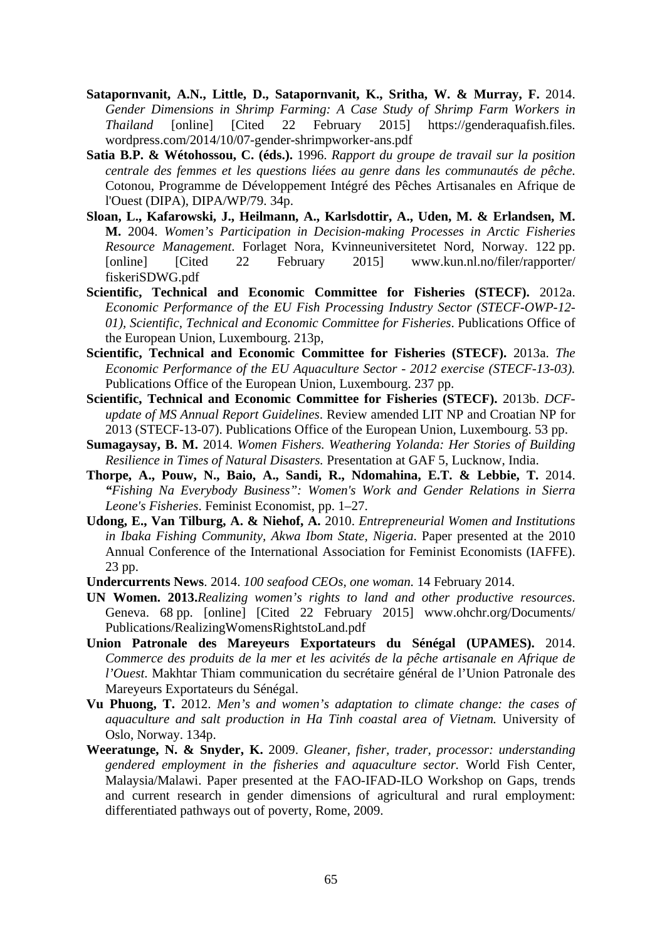- **Satapornvanit, A.N., Little, D., Satapornvanit, K., Sritha, W. & Murray, F.** 2014. *Gender Dimensions in Shrimp Farming: A Case Study of Shrimp Farm Workers in Thailand* [online] [Cited 22 February 2015] https://genderaquafish.files. wordpress.com/2014/10/07-gender-shrimpworker-ans.pdf
- **Satia B.P. & Wétohossou, C. (éds.).** 1996. *Rapport du groupe de travail sur la position centrale des femmes et les questions liées au genre dans les communautés de pêche*. Cotonou, Programme de Développement Intégré des Pêches Artisanales en Afrique de l'Ouest (DIPA), DIPA/WP/79. 34p.
- **Sloan, L., Kafarowski, J., Heilmann, A., Karlsdottir, A., Uden, M. & Erlandsen, M. M.** 2004. *Women's Participation in Decision-making Processes in Arctic Fisheries Resource Management*. Forlaget Nora, Kvinneuniversitetet Nord, Norway. 122 pp. [online] [Cited 22 February 2015] www.kun.nl.no/filer/rapporter/ fiskeriSDWG.pdf
- **Scientific, Technical and Economic Committee for Fisheries (STECF).** 2012a. *Economic Performance of the EU Fish Processing Industry Sector (STECF-OWP-12- 01), Scientific, Technical and Economic Committee for Fisheries*. Publications Office of the European Union, Luxembourg. 213p,
- **Scientific, Technical and Economic Committee for Fisheries (STECF).** 2013a. *The Economic Performance of the EU Aquaculture Sector - 2012 exercise (STECF-13-03).* Publications Office of the European Union, Luxembourg. 237 pp.
- **Scientific, Technical and Economic Committee for Fisheries (STECF).** 2013b. *DCFupdate of MS Annual Report Guidelines*. Review amended LIT NP and Croatian NP for 2013 (STECF-13-07). Publications Office of the European Union, Luxembourg. 53 pp.
- **Sumagaysay, B. M.** 2014. *Women Fishers. Weathering Yolanda: Her Stories of Building Resilience in Times of Natural Disasters.* Presentation at GAF 5, Lucknow, India.
- **Thorpe, A., Pouw, N., Baio, A., Sandi, R., Ndomahina, E.T. & Lebbie, T.** 2014. *"Fishing Na Everybody Business": Women's Work and Gender Relations in Sierra Leone's Fisheries*. Feminist Economist, pp. 1–27.
- **Udong, E., Van Tilburg, A. & Niehof, A.** 2010. *Entrepreneurial Women and Institutions in Ibaka Fishing Community, Akwa Ibom State, Nigeria*. Paper presented at the 2010 Annual Conference of the International Association for Feminist Economists (IAFFE). 23 pp.
- **Undercurrents News**. 2014. *100 seafood CEOs, one woman.* 14 February 2014.
- **UN Women. 2013.***Realizing women's rights to land and other productive resources*. Geneva. 68 pp. [online] [Cited 22 February 2015] www.ohchr.org/Documents/ Publications/RealizingWomensRightstoLand.pdf
- **Union Patronale des Mareyeurs Exportateurs du Sénégal (UPAMES).** 2014. *Commerce des produits de la mer et les acivités de la pêche artisanale en Afrique de l'Ouest*. Makhtar Thiam communication du secrétaire général de l'Union Patronale des Mareyeurs Exportateurs du Sénégal.
- **Vu Phuong, T.** 2012. *Men's and women's adaptation to climate change: the cases of aquaculture and salt production in Ha Tinh coastal area of Vietnam.* University of Oslo, Norway. 134p.
- **Weeratunge, N. & Snyder, K.** 2009. *Gleaner, fisher, trader, processor: understanding gendered employment in the fisheries and aquaculture sector.* World Fish Center, Malaysia/Malawi. Paper presented at the FAO-IFAD-ILO Workshop on Gaps, trends and current research in gender dimensions of agricultural and rural employment: differentiated pathways out of poverty, Rome, 2009.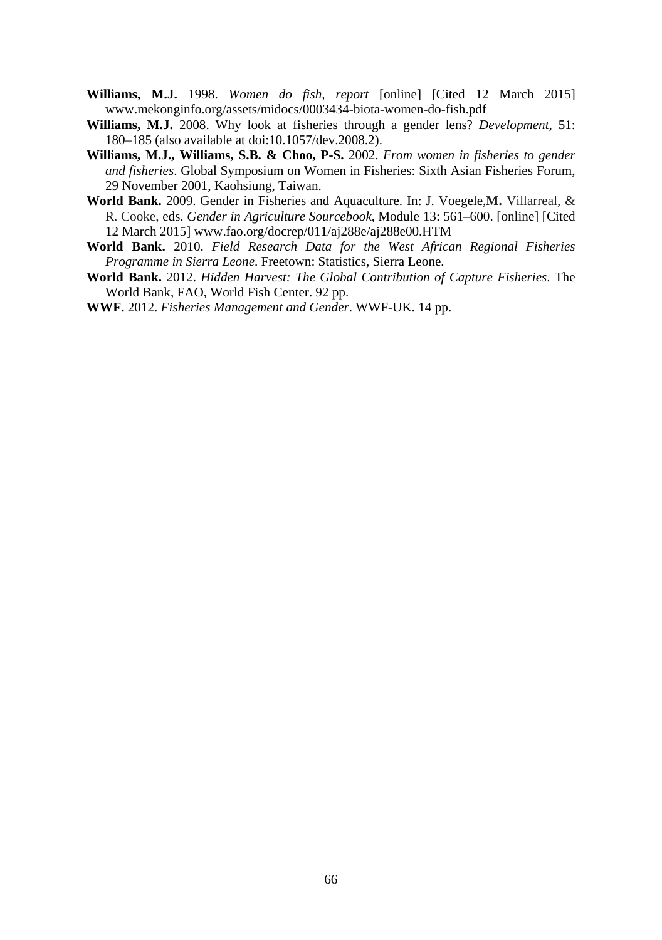- **Williams, M.J.** 1998. *Women do fish, report* [online] [Cited 12 March 2015] www.mekonginfo.org/assets/midocs/0003434-biota-women-do-fish.pdf
- **Williams, M.J.** 2008. Why look at fisheries through a gender lens? *Development*, 51: 180–185 (also available at doi:10.1057/dev.2008.2).
- **Williams, M.J., Williams, S.B. & Choo, P-S.** 2002. *From women in fisheries to gender and fisheries*. Global Symposium on Women in Fisheries: Sixth Asian Fisheries Forum, 29 November 2001, Kaohsiung, Taiwan.
- **World Bank.** 2009. Gender in Fisheries and Aquaculture. In: J. Voegele,**M.** Villarreal, & R. Cooke, eds. *Gender in Agriculture Sourcebook*, Module 13: 561–600. [online] [Cited 12 March 2015] www.fao.org/docrep/011/aj288e/aj288e00.HTM
- **World Bank.** 2010. *Field Research Data for the West African Regional Fisheries Programme in Sierra Leone*. Freetown: Statistics, Sierra Leone.
- **World Bank.** 2012. *Hidden Harvest: The Global Contribution of Capture Fisheries*. The World Bank, FAO, World Fish Center. 92 pp.
- **WWF.** 2012. *Fisheries Management and Gender*. WWF-UK. 14 pp.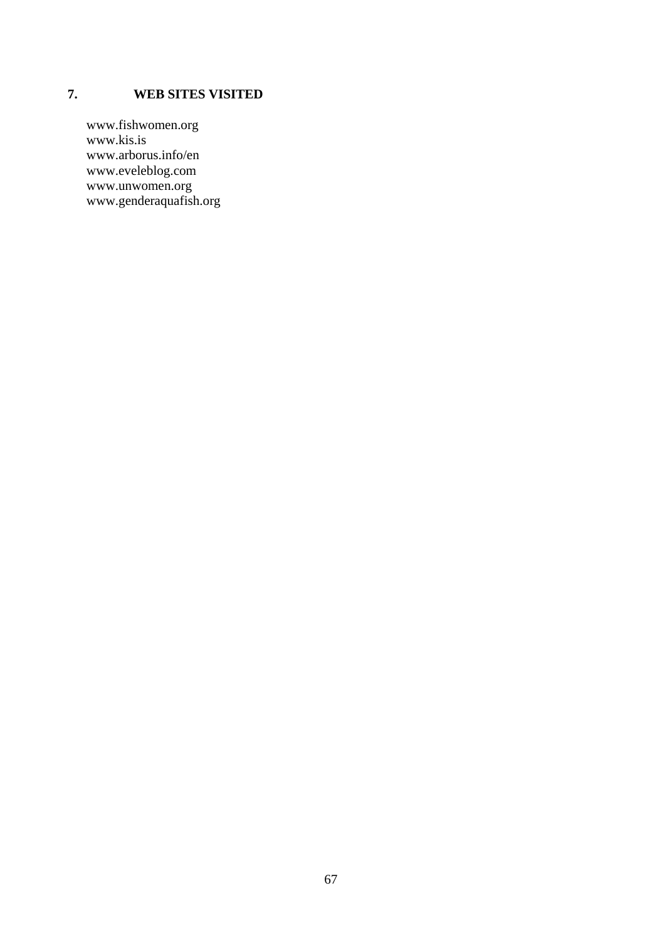## **7. WEB SITES VISITED**

www.fishwomen.org www.kis.is www.arborus.info/en www.eveleblog.com www.unwomen.org www.genderaquafish.org